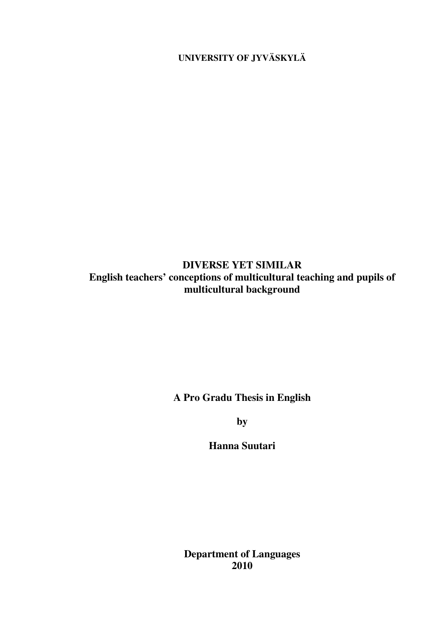**UNIVERSITY OF JYVÄSKYLÄ** 

# **DIVERSE YET SIMILAR English teachers' conceptions of multicultural teaching and pupils of multicultural background**

**A Pro Gradu Thesis in English** 

**by** 

**Hanna Suutari** 

**Department of Languages 2010**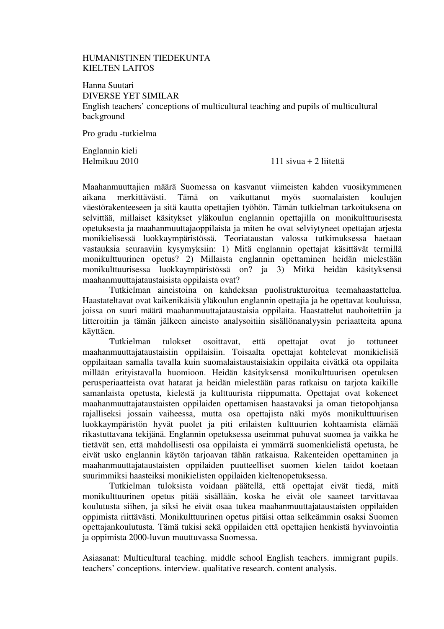# HUMANISTINEN TIEDEKUNTA KIELTEN LAITOS

Hanna Suutari DIVERSE YET SIMILAR English teachers' conceptions of multicultural teaching and pupils of multicultural background

Pro gradu -tutkielma

Englannin kieli

Helmikuu 2010 111 sivua + 2 liitettä

Maahanmuuttajien määrä Suomessa on kasvanut viimeisten kahden vuosikymmenen aikana merkittävästi. Tämä on vaikuttanut myös suomalaisten koulujen väestörakenteeseen ja sitä kautta opettajien työhön. Tämän tutkielman tarkoituksena on selvittää, millaiset käsitykset yläkoulun englannin opettajilla on monikulttuurisesta opetuksesta ja maahanmuuttajaoppilaista ja miten he ovat selviytyneet opettajan arjesta monikielisessä luokkaympäristössä. Teoriataustan valossa tutkimuksessa haetaan vastauksia seuraaviin kysymyksiin: 1) Mitä englannin opettajat käsittävät termillä monikulttuurinen opetus? 2) Millaista englannin opettaminen heidän mielestään monikulttuurisessa luokkaympäristössä on? ja 3) Mitkä heidän käsityksensä maahanmuuttajataustaisista oppilaista ovat?

Tutkielman aineistoina on kahdeksan puolistrukturoitua teemahaastattelua. Haastateltavat ovat kaikenikäisiä yläkoulun englannin opettajia ja he opettavat kouluissa, joissa on suuri määrä maahanmuuttajataustaisia oppilaita. Haastattelut nauhoitettiin ja litteroitiin ja tämän jälkeen aineisto analysoitiin sisällönanalyysin periaatteita apuna käyttäen.

Tutkielman tulokset osoittavat, että opettajat ovat jo tottuneet maahanmuuttajataustaisiin oppilaisiin. Toisaalta opettajat kohtelevat monikielisiä oppilaitaan samalla tavalla kuin suomalaistaustaisiakin oppilaita eivätkä ota oppilaita millään erityistavalla huomioon. Heidän käsityksensä monikulttuurisen opetuksen perusperiaatteista ovat hatarat ja heidän mielestään paras ratkaisu on tarjota kaikille samanlaista opetusta, kielestä ja kulttuurista riippumatta. Opettajat ovat kokeneet maahanmuuttajataustaisten oppilaiden opettamisen haastavaksi ja oman tietopohjansa rajalliseksi jossain vaiheessa, mutta osa opettajista näki myös monikulttuurisen luokkaympäristön hyvät puolet ja piti erilaisten kulttuurien kohtaamista elämää rikastuttavana tekijänä. Englannin opetuksessa useimmat puhuvat suomea ja vaikka he tietävät sen, että mahdollisesti osa oppilaista ei ymmärrä suomenkielistä opetusta, he eivät usko englannin käytön tarjoavan tähän ratkaisua. Rakenteiden opettaminen ja maahanmuuttajataustaisten oppilaiden puutteelliset suomen kielen taidot koetaan suurimmiksi haasteiksi monikielisten oppilaiden kieltenopetuksessa.

Tutkielman tuloksista voidaan päätellä, että opettajat eivät tiedä, mitä monikulttuurinen opetus pitää sisällään, koska he eivät ole saaneet tarvittavaa koulutusta siihen, ja siksi he eivät osaa tukea maahanmuuttajataustaisten oppilaiden oppimista riittävästi. Monikulttuurinen opetus pitäisi ottaa selkeämmin osaksi Suomen opettajankoulutusta. Tämä tukisi sekä oppilaiden että opettajien henkistä hyvinvointia ja oppimista 2000-luvun muuttuvassa Suomessa.

Asiasanat: Multicultural teaching. middle school English teachers. immigrant pupils. teachers' conceptions. interview. qualitative research. content analysis.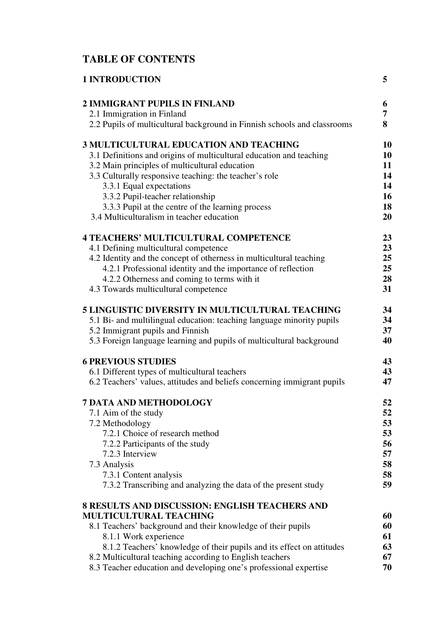# **TABLE OF CONTENTS**

| <b>1 INTRODUCTION</b>                                                                                                                                                                                                                                                                                                                                                                     | 5                                |
|-------------------------------------------------------------------------------------------------------------------------------------------------------------------------------------------------------------------------------------------------------------------------------------------------------------------------------------------------------------------------------------------|----------------------------------|
| <b>2 IMMIGRANT PUPILS IN FINLAND</b>                                                                                                                                                                                                                                                                                                                                                      | 6                                |
| 2.1 Immigration in Finland                                                                                                                                                                                                                                                                                                                                                                | 7                                |
| 2.2 Pupils of multicultural background in Finnish schools and classrooms                                                                                                                                                                                                                                                                                                                  | 8                                |
| <b>3 MULTICULTURAL EDUCATION AND TEACHING</b>                                                                                                                                                                                                                                                                                                                                             | 10                               |
| 3.1 Definitions and origins of multicultural education and teaching                                                                                                                                                                                                                                                                                                                       | 10                               |
| 3.2 Main principles of multicultural education                                                                                                                                                                                                                                                                                                                                            | 11                               |
| 3.3 Culturally responsive teaching: the teacher's role                                                                                                                                                                                                                                                                                                                                    | 14                               |
| 3.3.1 Equal expectations                                                                                                                                                                                                                                                                                                                                                                  | 14                               |
| 3.3.2 Pupil-teacher relationship                                                                                                                                                                                                                                                                                                                                                          | 16                               |
| 3.3.3 Pupil at the centre of the learning process                                                                                                                                                                                                                                                                                                                                         | 18                               |
| 3.4 Multiculturalism in teacher education                                                                                                                                                                                                                                                                                                                                                 | 20                               |
| <b>4 TEACHERS' MULTICULTURAL COMPETENCE</b>                                                                                                                                                                                                                                                                                                                                               | 23                               |
| 4.1 Defining multicultural competence                                                                                                                                                                                                                                                                                                                                                     | 23                               |
| 4.2 Identity and the concept of otherness in multicultural teaching                                                                                                                                                                                                                                                                                                                       | 25                               |
| 4.2.1 Professional identity and the importance of reflection                                                                                                                                                                                                                                                                                                                              | 25                               |
| 4.2.2 Otherness and coming to terms with it                                                                                                                                                                                                                                                                                                                                               | 28                               |
| 4.3 Towards multicultural competence                                                                                                                                                                                                                                                                                                                                                      | 31                               |
| <b>5 LINGUISTIC DIVERSITY IN MULTICULTURAL TEACHING</b>                                                                                                                                                                                                                                                                                                                                   | 34                               |
| 5.1 Bi- and multilingual education: teaching language minority pupils                                                                                                                                                                                                                                                                                                                     | 34                               |
| 5.2 Immigrant pupils and Finnish                                                                                                                                                                                                                                                                                                                                                          | 37                               |
| 5.3 Foreign language learning and pupils of multicultural background                                                                                                                                                                                                                                                                                                                      | 40                               |
| <b>6 PREVIOUS STUDIES</b>                                                                                                                                                                                                                                                                                                                                                                 | 43                               |
| 6.1 Different types of multicultural teachers                                                                                                                                                                                                                                                                                                                                             | 43                               |
| 6.2 Teachers' values, attitudes and beliefs concerning immigrant pupils                                                                                                                                                                                                                                                                                                                   | 47                               |
| <b>7 DATA AND METHODOLOGY</b>                                                                                                                                                                                                                                                                                                                                                             | 52                               |
| 7.1 Aim of the study                                                                                                                                                                                                                                                                                                                                                                      | 52                               |
| 7.2 Methodology                                                                                                                                                                                                                                                                                                                                                                           | 53                               |
| 7.2.1 Choice of research method                                                                                                                                                                                                                                                                                                                                                           | 53                               |
| 7.2.2 Participants of the study                                                                                                                                                                                                                                                                                                                                                           | 56                               |
| 7.2.3 Interview                                                                                                                                                                                                                                                                                                                                                                           | 57                               |
| 7.3 Analysis                                                                                                                                                                                                                                                                                                                                                                              | 58                               |
| 7.3.1 Content analysis                                                                                                                                                                                                                                                                                                                                                                    | 58                               |
| 7.3.2 Transcribing and analyzing the data of the present study                                                                                                                                                                                                                                                                                                                            | 59                               |
| <b>8 RESULTS AND DISCUSSION: ENGLISH TEACHERS AND</b><br><b>MULTICULTURAL TEACHING</b><br>8.1 Teachers' background and their knowledge of their pupils<br>8.1.1 Work experience<br>8.1.2 Teachers' knowledge of their pupils and its effect on attitudes<br>8.2 Multicultural teaching according to English teachers<br>8.3 Teacher education and developing one's professional expertise | 60<br>60<br>61<br>63<br>67<br>70 |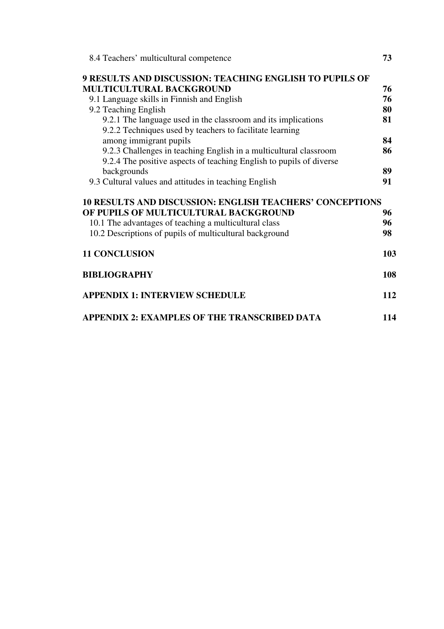| 8.4 Teachers' multicultural competence                                                                                    | 73  |
|---------------------------------------------------------------------------------------------------------------------------|-----|
| <b>9 RESULTS AND DISCUSSION: TEACHING ENGLISH TO PUPILS OF</b>                                                            |     |
| <b>MULTICULTURAL BACKGROUND</b>                                                                                           | 76  |
| 9.1 Language skills in Finnish and English                                                                                | 76  |
| 9.2 Teaching English                                                                                                      | 80  |
| 9.2.1 The language used in the classroom and its implications<br>9.2.2 Techniques used by teachers to facilitate learning | 81  |
| among immigrant pupils                                                                                                    | 84  |
| 9.2.3 Challenges in teaching English in a multicultural classroom                                                         | 86  |
| 9.2.4 The positive aspects of teaching English to pupils of diverse                                                       |     |
| backgrounds                                                                                                               | 89  |
| 9.3 Cultural values and attitudes in teaching English                                                                     | 91  |
| <b>10 RESULTS AND DISCUSSION: ENGLISH TEACHERS' CONCEPTIONS</b>                                                           |     |
| OF PUPILS OF MULTICULTURAL BACKGROUND                                                                                     | 96  |
| 10.1 The advantages of teaching a multicultural class                                                                     | 96  |
| 10.2 Descriptions of pupils of multicultural background                                                                   | 98  |
| <b>11 CONCLUSION</b>                                                                                                      | 103 |
| <b>BIBLIOGRAPHY</b>                                                                                                       | 108 |
| <b>APPENDIX 1: INTERVIEW SCHEDULE</b>                                                                                     | 112 |
| APPENDIX 2: EXAMPLES OF THE TRANSCRIBED DATA                                                                              | 114 |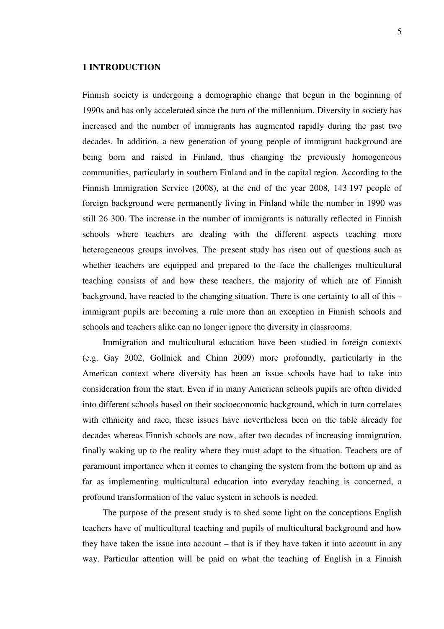## **1 INTRODUCTION**

Finnish society is undergoing a demographic change that begun in the beginning of 1990s and has only accelerated since the turn of the millennium. Diversity in society has increased and the number of immigrants has augmented rapidly during the past two decades. In addition, a new generation of young people of immigrant background are being born and raised in Finland, thus changing the previously homogeneous communities, particularly in southern Finland and in the capital region. According to the Finnish Immigration Service (2008), at the end of the year 2008, 143 197 people of foreign background were permanently living in Finland while the number in 1990 was still 26 300. The increase in the number of immigrants is naturally reflected in Finnish schools where teachers are dealing with the different aspects teaching more heterogeneous groups involves. The present study has risen out of questions such as whether teachers are equipped and prepared to the face the challenges multicultural teaching consists of and how these teachers, the majority of which are of Finnish background, have reacted to the changing situation. There is one certainty to all of this – immigrant pupils are becoming a rule more than an exception in Finnish schools and schools and teachers alike can no longer ignore the diversity in classrooms.

Immigration and multicultural education have been studied in foreign contexts (e.g. Gay 2002, Gollnick and Chinn 2009) more profoundly, particularly in the American context where diversity has been an issue schools have had to take into consideration from the start. Even if in many American schools pupils are often divided into different schools based on their socioeconomic background, which in turn correlates with ethnicity and race, these issues have nevertheless been on the table already for decades whereas Finnish schools are now, after two decades of increasing immigration, finally waking up to the reality where they must adapt to the situation. Teachers are of paramount importance when it comes to changing the system from the bottom up and as far as implementing multicultural education into everyday teaching is concerned, a profound transformation of the value system in schools is needed.

The purpose of the present study is to shed some light on the conceptions English teachers have of multicultural teaching and pupils of multicultural background and how they have taken the issue into account – that is if they have taken it into account in any way. Particular attention will be paid on what the teaching of English in a Finnish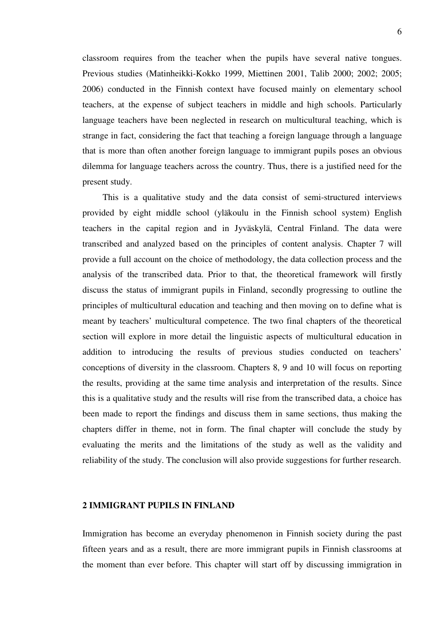classroom requires from the teacher when the pupils have several native tongues. Previous studies (Matinheikki-Kokko 1999, Miettinen 2001, Talib 2000; 2002; 2005; 2006) conducted in the Finnish context have focused mainly on elementary school teachers, at the expense of subject teachers in middle and high schools. Particularly language teachers have been neglected in research on multicultural teaching, which is strange in fact, considering the fact that teaching a foreign language through a language that is more than often another foreign language to immigrant pupils poses an obvious dilemma for language teachers across the country. Thus, there is a justified need for the present study.

This is a qualitative study and the data consist of semi-structured interviews provided by eight middle school (yläkoulu in the Finnish school system) English teachers in the capital region and in Jyväskylä, Central Finland. The data were transcribed and analyzed based on the principles of content analysis. Chapter 7 will provide a full account on the choice of methodology, the data collection process and the analysis of the transcribed data. Prior to that, the theoretical framework will firstly discuss the status of immigrant pupils in Finland, secondly progressing to outline the principles of multicultural education and teaching and then moving on to define what is meant by teachers' multicultural competence. The two final chapters of the theoretical section will explore in more detail the linguistic aspects of multicultural education in addition to introducing the results of previous studies conducted on teachers' conceptions of diversity in the classroom. Chapters 8, 9 and 10 will focus on reporting the results, providing at the same time analysis and interpretation of the results. Since this is a qualitative study and the results will rise from the transcribed data, a choice has been made to report the findings and discuss them in same sections, thus making the chapters differ in theme, not in form. The final chapter will conclude the study by evaluating the merits and the limitations of the study as well as the validity and reliability of the study. The conclusion will also provide suggestions for further research.

#### **2 IMMIGRANT PUPILS IN FINLAND**

Immigration has become an everyday phenomenon in Finnish society during the past fifteen years and as a result, there are more immigrant pupils in Finnish classrooms at the moment than ever before. This chapter will start off by discussing immigration in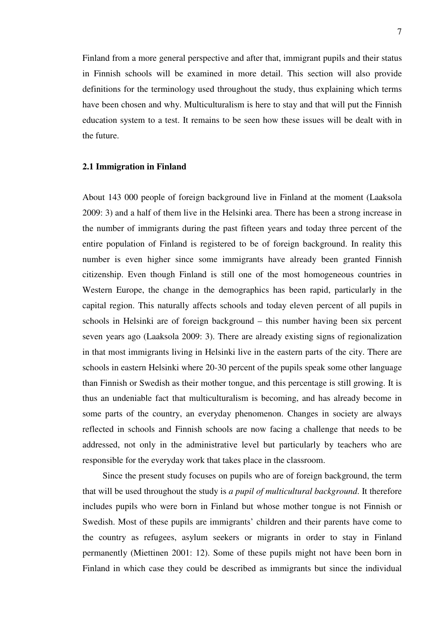Finland from a more general perspective and after that, immigrant pupils and their status in Finnish schools will be examined in more detail. This section will also provide definitions for the terminology used throughout the study, thus explaining which terms have been chosen and why. Multiculturalism is here to stay and that will put the Finnish education system to a test. It remains to be seen how these issues will be dealt with in the future.

#### **2.1 Immigration in Finland**

About 143 000 people of foreign background live in Finland at the moment (Laaksola 2009: 3) and a half of them live in the Helsinki area. There has been a strong increase in the number of immigrants during the past fifteen years and today three percent of the entire population of Finland is registered to be of foreign background. In reality this number is even higher since some immigrants have already been granted Finnish citizenship. Even though Finland is still one of the most homogeneous countries in Western Europe, the change in the demographics has been rapid, particularly in the capital region. This naturally affects schools and today eleven percent of all pupils in schools in Helsinki are of foreign background – this number having been six percent seven years ago (Laaksola 2009: 3). There are already existing signs of regionalization in that most immigrants living in Helsinki live in the eastern parts of the city. There are schools in eastern Helsinki where 20-30 percent of the pupils speak some other language than Finnish or Swedish as their mother tongue, and this percentage is still growing. It is thus an undeniable fact that multiculturalism is becoming, and has already become in some parts of the country, an everyday phenomenon. Changes in society are always reflected in schools and Finnish schools are now facing a challenge that needs to be addressed, not only in the administrative level but particularly by teachers who are responsible for the everyday work that takes place in the classroom.

Since the present study focuses on pupils who are of foreign background, the term that will be used throughout the study is *a pupil of multicultural background*. It therefore includes pupils who were born in Finland but whose mother tongue is not Finnish or Swedish. Most of these pupils are immigrants' children and their parents have come to the country as refugees, asylum seekers or migrants in order to stay in Finland permanently (Miettinen 2001: 12). Some of these pupils might not have been born in Finland in which case they could be described as immigrants but since the individual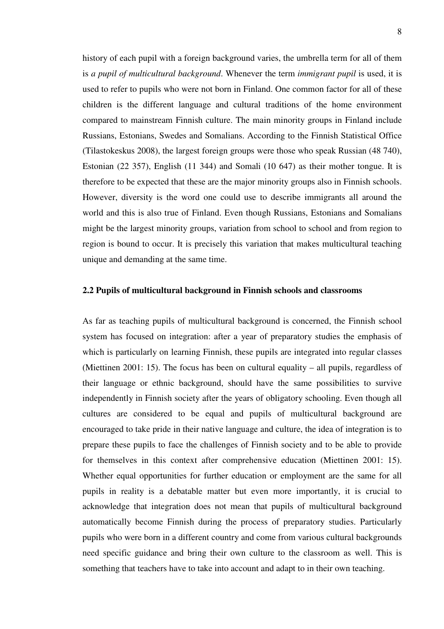history of each pupil with a foreign background varies, the umbrella term for all of them is *a pupil of multicultural background*. Whenever the term *immigrant pupil* is used, it is used to refer to pupils who were not born in Finland. One common factor for all of these children is the different language and cultural traditions of the home environment compared to mainstream Finnish culture. The main minority groups in Finland include Russians, Estonians, Swedes and Somalians. According to the Finnish Statistical Office (Tilastokeskus 2008), the largest foreign groups were those who speak Russian (48 740), Estonian (22 357), English (11 344) and Somali (10 647) as their mother tongue. It is therefore to be expected that these are the major minority groups also in Finnish schools. However, diversity is the word one could use to describe immigrants all around the world and this is also true of Finland. Even though Russians, Estonians and Somalians might be the largest minority groups, variation from school to school and from region to region is bound to occur. It is precisely this variation that makes multicultural teaching unique and demanding at the same time.

# **2.2 Pupils of multicultural background in Finnish schools and classrooms**

As far as teaching pupils of multicultural background is concerned, the Finnish school system has focused on integration: after a year of preparatory studies the emphasis of which is particularly on learning Finnish, these pupils are integrated into regular classes (Miettinen 2001: 15). The focus has been on cultural equality – all pupils, regardless of their language or ethnic background, should have the same possibilities to survive independently in Finnish society after the years of obligatory schooling. Even though all cultures are considered to be equal and pupils of multicultural background are encouraged to take pride in their native language and culture, the idea of integration is to prepare these pupils to face the challenges of Finnish society and to be able to provide for themselves in this context after comprehensive education (Miettinen 2001: 15). Whether equal opportunities for further education or employment are the same for all pupils in reality is a debatable matter but even more importantly, it is crucial to acknowledge that integration does not mean that pupils of multicultural background automatically become Finnish during the process of preparatory studies. Particularly pupils who were born in a different country and come from various cultural backgrounds need specific guidance and bring their own culture to the classroom as well. This is something that teachers have to take into account and adapt to in their own teaching.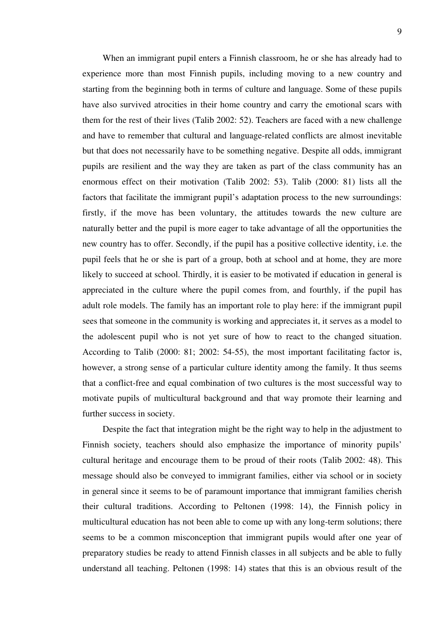When an immigrant pupil enters a Finnish classroom, he or she has already had to experience more than most Finnish pupils, including moving to a new country and starting from the beginning both in terms of culture and language. Some of these pupils have also survived atrocities in their home country and carry the emotional scars with them for the rest of their lives (Talib 2002: 52). Teachers are faced with a new challenge and have to remember that cultural and language-related conflicts are almost inevitable but that does not necessarily have to be something negative. Despite all odds, immigrant pupils are resilient and the way they are taken as part of the class community has an enormous effect on their motivation (Talib 2002: 53). Talib (2000: 81) lists all the factors that facilitate the immigrant pupil's adaptation process to the new surroundings: firstly, if the move has been voluntary, the attitudes towards the new culture are naturally better and the pupil is more eager to take advantage of all the opportunities the new country has to offer. Secondly, if the pupil has a positive collective identity, i.e. the pupil feels that he or she is part of a group, both at school and at home, they are more likely to succeed at school. Thirdly, it is easier to be motivated if education in general is appreciated in the culture where the pupil comes from, and fourthly, if the pupil has adult role models. The family has an important role to play here: if the immigrant pupil sees that someone in the community is working and appreciates it, it serves as a model to the adolescent pupil who is not yet sure of how to react to the changed situation. According to Talib (2000: 81; 2002: 54-55), the most important facilitating factor is, however, a strong sense of a particular culture identity among the family. It thus seems that a conflict-free and equal combination of two cultures is the most successful way to motivate pupils of multicultural background and that way promote their learning and further success in society.

Despite the fact that integration might be the right way to help in the adjustment to Finnish society, teachers should also emphasize the importance of minority pupils' cultural heritage and encourage them to be proud of their roots (Talib 2002: 48). This message should also be conveyed to immigrant families, either via school or in society in general since it seems to be of paramount importance that immigrant families cherish their cultural traditions. According to Peltonen (1998: 14), the Finnish policy in multicultural education has not been able to come up with any long-term solutions; there seems to be a common misconception that immigrant pupils would after one year of preparatory studies be ready to attend Finnish classes in all subjects and be able to fully understand all teaching. Peltonen (1998: 14) states that this is an obvious result of the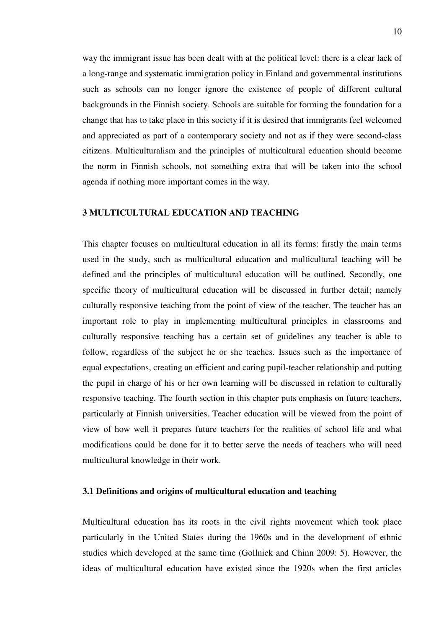way the immigrant issue has been dealt with at the political level: there is a clear lack of a long-range and systematic immigration policy in Finland and governmental institutions such as schools can no longer ignore the existence of people of different cultural backgrounds in the Finnish society. Schools are suitable for forming the foundation for a change that has to take place in this society if it is desired that immigrants feel welcomed and appreciated as part of a contemporary society and not as if they were second-class citizens. Multiculturalism and the principles of multicultural education should become the norm in Finnish schools, not something extra that will be taken into the school agenda if nothing more important comes in the way.

# **3 MULTICULTURAL EDUCATION AND TEACHING**

This chapter focuses on multicultural education in all its forms: firstly the main terms used in the study, such as multicultural education and multicultural teaching will be defined and the principles of multicultural education will be outlined. Secondly, one specific theory of multicultural education will be discussed in further detail; namely culturally responsive teaching from the point of view of the teacher. The teacher has an important role to play in implementing multicultural principles in classrooms and culturally responsive teaching has a certain set of guidelines any teacher is able to follow, regardless of the subject he or she teaches. Issues such as the importance of equal expectations, creating an efficient and caring pupil-teacher relationship and putting the pupil in charge of his or her own learning will be discussed in relation to culturally responsive teaching. The fourth section in this chapter puts emphasis on future teachers, particularly at Finnish universities. Teacher education will be viewed from the point of view of how well it prepares future teachers for the realities of school life and what modifications could be done for it to better serve the needs of teachers who will need multicultural knowledge in their work.

## **3.1 Definitions and origins of multicultural education and teaching**

Multicultural education has its roots in the civil rights movement which took place particularly in the United States during the 1960s and in the development of ethnic studies which developed at the same time (Gollnick and Chinn 2009: 5). However, the ideas of multicultural education have existed since the 1920s when the first articles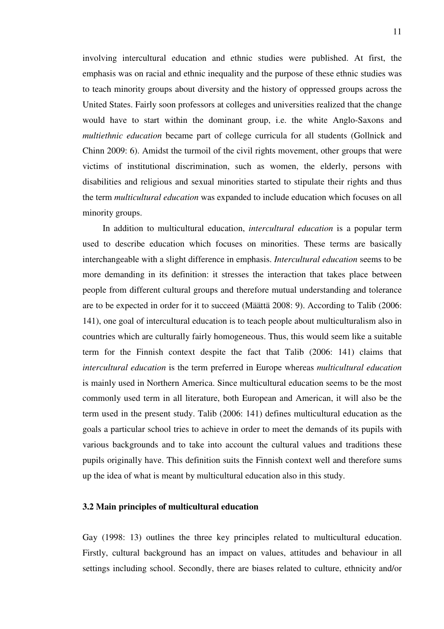involving intercultural education and ethnic studies were published. At first, the emphasis was on racial and ethnic inequality and the purpose of these ethnic studies was to teach minority groups about diversity and the history of oppressed groups across the United States. Fairly soon professors at colleges and universities realized that the change would have to start within the dominant group, i.e. the white Anglo-Saxons and *multiethnic education* became part of college curricula for all students (Gollnick and Chinn 2009: 6). Amidst the turmoil of the civil rights movement, other groups that were victims of institutional discrimination, such as women, the elderly, persons with disabilities and religious and sexual minorities started to stipulate their rights and thus the term *multicultural education* was expanded to include education which focuses on all minority groups.

In addition to multicultural education, *intercultural education* is a popular term used to describe education which focuses on minorities. These terms are basically interchangeable with a slight difference in emphasis. *Intercultural education* seems to be more demanding in its definition: it stresses the interaction that takes place between people from different cultural groups and therefore mutual understanding and tolerance are to be expected in order for it to succeed (Määttä 2008: 9). According to Talib (2006: 141), one goal of intercultural education is to teach people about multiculturalism also in countries which are culturally fairly homogeneous. Thus, this would seem like a suitable term for the Finnish context despite the fact that Talib (2006: 141) claims that *intercultural education* is the term preferred in Europe whereas *multicultural education* is mainly used in Northern America. Since multicultural education seems to be the most commonly used term in all literature, both European and American, it will also be the term used in the present study. Talib (2006: 141) defines multicultural education as the goals a particular school tries to achieve in order to meet the demands of its pupils with various backgrounds and to take into account the cultural values and traditions these pupils originally have. This definition suits the Finnish context well and therefore sums up the idea of what is meant by multicultural education also in this study.

## **3.2 Main principles of multicultural education**

Gay (1998: 13) outlines the three key principles related to multicultural education. Firstly, cultural background has an impact on values, attitudes and behaviour in all settings including school. Secondly, there are biases related to culture, ethnicity and/or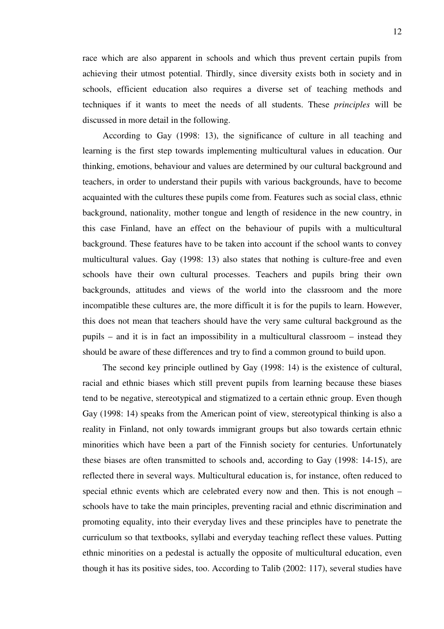race which are also apparent in schools and which thus prevent certain pupils from achieving their utmost potential. Thirdly, since diversity exists both in society and in schools, efficient education also requires a diverse set of teaching methods and techniques if it wants to meet the needs of all students. These *principles* will be discussed in more detail in the following.

According to Gay (1998: 13), the significance of culture in all teaching and learning is the first step towards implementing multicultural values in education. Our thinking, emotions, behaviour and values are determined by our cultural background and teachers, in order to understand their pupils with various backgrounds, have to become acquainted with the cultures these pupils come from. Features such as social class, ethnic background, nationality, mother tongue and length of residence in the new country, in this case Finland, have an effect on the behaviour of pupils with a multicultural background. These features have to be taken into account if the school wants to convey multicultural values. Gay (1998: 13) also states that nothing is culture-free and even schools have their own cultural processes. Teachers and pupils bring their own backgrounds, attitudes and views of the world into the classroom and the more incompatible these cultures are, the more difficult it is for the pupils to learn. However, this does not mean that teachers should have the very same cultural background as the pupils – and it is in fact an impossibility in a multicultural classroom – instead they should be aware of these differences and try to find a common ground to build upon.

The second key principle outlined by Gay (1998: 14) is the existence of cultural, racial and ethnic biases which still prevent pupils from learning because these biases tend to be negative, stereotypical and stigmatized to a certain ethnic group. Even though Gay (1998: 14) speaks from the American point of view, stereotypical thinking is also a reality in Finland, not only towards immigrant groups but also towards certain ethnic minorities which have been a part of the Finnish society for centuries. Unfortunately these biases are often transmitted to schools and, according to Gay (1998: 14-15), are reflected there in several ways. Multicultural education is, for instance, often reduced to special ethnic events which are celebrated every now and then. This is not enough – schools have to take the main principles, preventing racial and ethnic discrimination and promoting equality, into their everyday lives and these principles have to penetrate the curriculum so that textbooks, syllabi and everyday teaching reflect these values. Putting ethnic minorities on a pedestal is actually the opposite of multicultural education, even though it has its positive sides, too. According to Talib (2002: 117), several studies have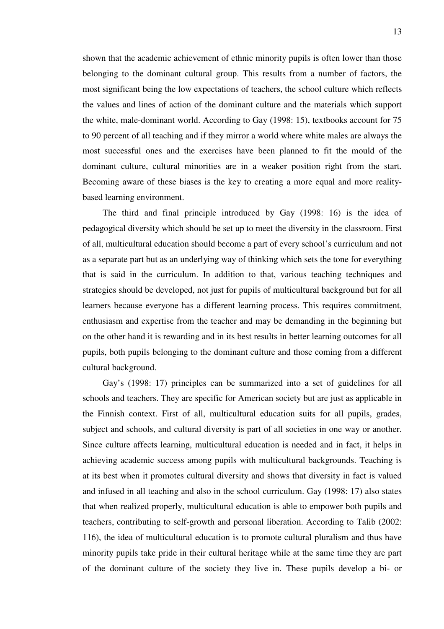shown that the academic achievement of ethnic minority pupils is often lower than those belonging to the dominant cultural group. This results from a number of factors, the most significant being the low expectations of teachers, the school culture which reflects the values and lines of action of the dominant culture and the materials which support the white, male-dominant world. According to Gay (1998: 15), textbooks account for 75 to 90 percent of all teaching and if they mirror a world where white males are always the most successful ones and the exercises have been planned to fit the mould of the dominant culture, cultural minorities are in a weaker position right from the start. Becoming aware of these biases is the key to creating a more equal and more realitybased learning environment.

The third and final principle introduced by Gay (1998: 16) is the idea of pedagogical diversity which should be set up to meet the diversity in the classroom. First of all, multicultural education should become a part of every school's curriculum and not as a separate part but as an underlying way of thinking which sets the tone for everything that is said in the curriculum. In addition to that, various teaching techniques and strategies should be developed, not just for pupils of multicultural background but for all learners because everyone has a different learning process. This requires commitment, enthusiasm and expertise from the teacher and may be demanding in the beginning but on the other hand it is rewarding and in its best results in better learning outcomes for all pupils, both pupils belonging to the dominant culture and those coming from a different cultural background.

Gay's (1998: 17) principles can be summarized into a set of guidelines for all schools and teachers. They are specific for American society but are just as applicable in the Finnish context. First of all, multicultural education suits for all pupils, grades, subject and schools, and cultural diversity is part of all societies in one way or another. Since culture affects learning, multicultural education is needed and in fact, it helps in achieving academic success among pupils with multicultural backgrounds. Teaching is at its best when it promotes cultural diversity and shows that diversity in fact is valued and infused in all teaching and also in the school curriculum. Gay (1998: 17) also states that when realized properly, multicultural education is able to empower both pupils and teachers, contributing to self-growth and personal liberation. According to Talib (2002: 116), the idea of multicultural education is to promote cultural pluralism and thus have minority pupils take pride in their cultural heritage while at the same time they are part of the dominant culture of the society they live in. These pupils develop a bi- or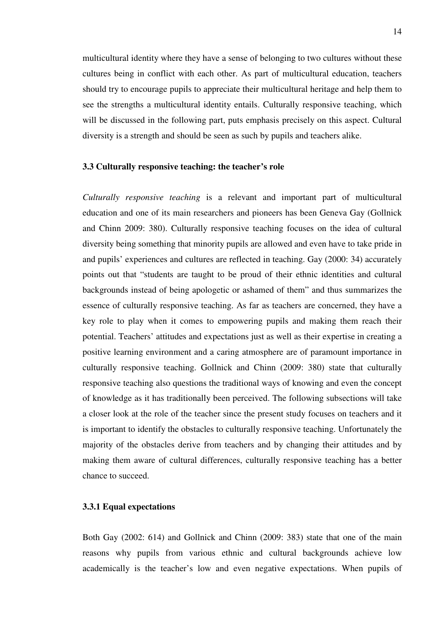multicultural identity where they have a sense of belonging to two cultures without these cultures being in conflict with each other. As part of multicultural education, teachers should try to encourage pupils to appreciate their multicultural heritage and help them to see the strengths a multicultural identity entails. Culturally responsive teaching, which will be discussed in the following part, puts emphasis precisely on this aspect. Cultural diversity is a strength and should be seen as such by pupils and teachers alike.

### **3.3 Culturally responsive teaching: the teacher's role**

*Culturally responsive teaching* is a relevant and important part of multicultural education and one of its main researchers and pioneers has been Geneva Gay (Gollnick and Chinn 2009: 380). Culturally responsive teaching focuses on the idea of cultural diversity being something that minority pupils are allowed and even have to take pride in and pupils' experiences and cultures are reflected in teaching. Gay (2000: 34) accurately points out that "students are taught to be proud of their ethnic identities and cultural backgrounds instead of being apologetic or ashamed of them" and thus summarizes the essence of culturally responsive teaching. As far as teachers are concerned, they have a key role to play when it comes to empowering pupils and making them reach their potential. Teachers' attitudes and expectations just as well as their expertise in creating a positive learning environment and a caring atmosphere are of paramount importance in culturally responsive teaching. Gollnick and Chinn (2009: 380) state that culturally responsive teaching also questions the traditional ways of knowing and even the concept of knowledge as it has traditionally been perceived. The following subsections will take a closer look at the role of the teacher since the present study focuses on teachers and it is important to identify the obstacles to culturally responsive teaching. Unfortunately the majority of the obstacles derive from teachers and by changing their attitudes and by making them aware of cultural differences, culturally responsive teaching has a better chance to succeed.

#### **3.3.1 Equal expectations**

Both Gay (2002: 614) and Gollnick and Chinn (2009: 383) state that one of the main reasons why pupils from various ethnic and cultural backgrounds achieve low academically is the teacher's low and even negative expectations. When pupils of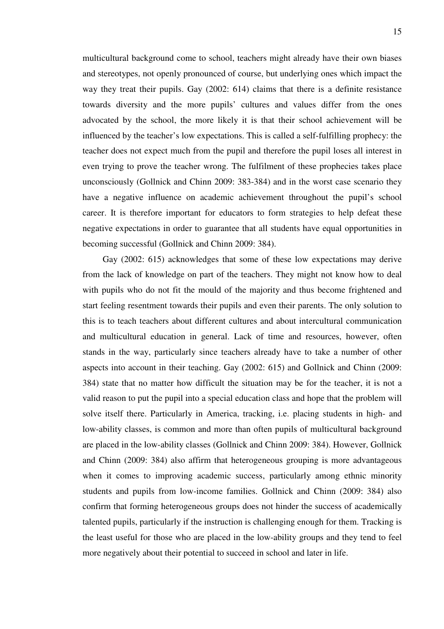multicultural background come to school, teachers might already have their own biases and stereotypes, not openly pronounced of course, but underlying ones which impact the way they treat their pupils. Gay (2002: 614) claims that there is a definite resistance towards diversity and the more pupils' cultures and values differ from the ones advocated by the school, the more likely it is that their school achievement will be influenced by the teacher's low expectations. This is called a self-fulfilling prophecy: the teacher does not expect much from the pupil and therefore the pupil loses all interest in even trying to prove the teacher wrong. The fulfilment of these prophecies takes place unconsciously (Gollnick and Chinn 2009: 383-384) and in the worst case scenario they have a negative influence on academic achievement throughout the pupil's school career. It is therefore important for educators to form strategies to help defeat these negative expectations in order to guarantee that all students have equal opportunities in becoming successful (Gollnick and Chinn 2009: 384).

Gay (2002: 615) acknowledges that some of these low expectations may derive from the lack of knowledge on part of the teachers. They might not know how to deal with pupils who do not fit the mould of the majority and thus become frightened and start feeling resentment towards their pupils and even their parents. The only solution to this is to teach teachers about different cultures and about intercultural communication and multicultural education in general. Lack of time and resources, however, often stands in the way, particularly since teachers already have to take a number of other aspects into account in their teaching. Gay (2002: 615) and Gollnick and Chinn (2009: 384) state that no matter how difficult the situation may be for the teacher, it is not a valid reason to put the pupil into a special education class and hope that the problem will solve itself there. Particularly in America, tracking, i.e. placing students in high- and low-ability classes, is common and more than often pupils of multicultural background are placed in the low-ability classes (Gollnick and Chinn 2009: 384). However, Gollnick and Chinn (2009: 384) also affirm that heterogeneous grouping is more advantageous when it comes to improving academic success, particularly among ethnic minority students and pupils from low-income families. Gollnick and Chinn (2009: 384) also confirm that forming heterogeneous groups does not hinder the success of academically talented pupils, particularly if the instruction is challenging enough for them. Tracking is the least useful for those who are placed in the low-ability groups and they tend to feel more negatively about their potential to succeed in school and later in life.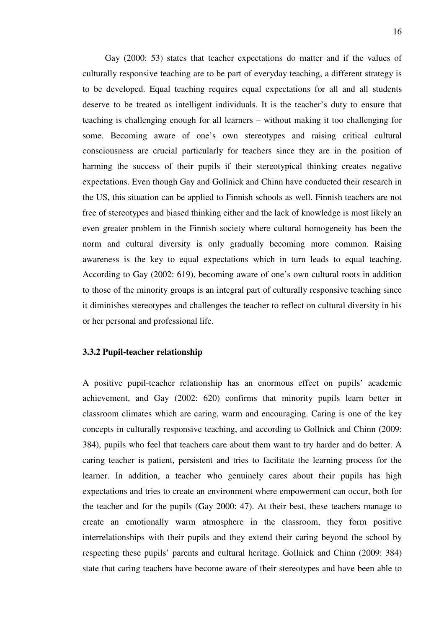Gay (2000: 53) states that teacher expectations do matter and if the values of culturally responsive teaching are to be part of everyday teaching, a different strategy is to be developed. Equal teaching requires equal expectations for all and all students deserve to be treated as intelligent individuals. It is the teacher's duty to ensure that teaching is challenging enough for all learners – without making it too challenging for some. Becoming aware of one's own stereotypes and raising critical cultural consciousness are crucial particularly for teachers since they are in the position of harming the success of their pupils if their stereotypical thinking creates negative expectations. Even though Gay and Gollnick and Chinn have conducted their research in the US, this situation can be applied to Finnish schools as well. Finnish teachers are not free of stereotypes and biased thinking either and the lack of knowledge is most likely an even greater problem in the Finnish society where cultural homogeneity has been the norm and cultural diversity is only gradually becoming more common. Raising awareness is the key to equal expectations which in turn leads to equal teaching. According to Gay (2002: 619), becoming aware of one's own cultural roots in addition to those of the minority groups is an integral part of culturally responsive teaching since it diminishes stereotypes and challenges the teacher to reflect on cultural diversity in his or her personal and professional life.

## **3.3.2 Pupil-teacher relationship**

A positive pupil-teacher relationship has an enormous effect on pupils' academic achievement, and Gay (2002: 620) confirms that minority pupils learn better in classroom climates which are caring, warm and encouraging. Caring is one of the key concepts in culturally responsive teaching, and according to Gollnick and Chinn (2009: 384), pupils who feel that teachers care about them want to try harder and do better. A caring teacher is patient, persistent and tries to facilitate the learning process for the learner. In addition, a teacher who genuinely cares about their pupils has high expectations and tries to create an environment where empowerment can occur, both for the teacher and for the pupils (Gay 2000: 47). At their best, these teachers manage to create an emotionally warm atmosphere in the classroom, they form positive interrelationships with their pupils and they extend their caring beyond the school by respecting these pupils' parents and cultural heritage. Gollnick and Chinn (2009: 384) state that caring teachers have become aware of their stereotypes and have been able to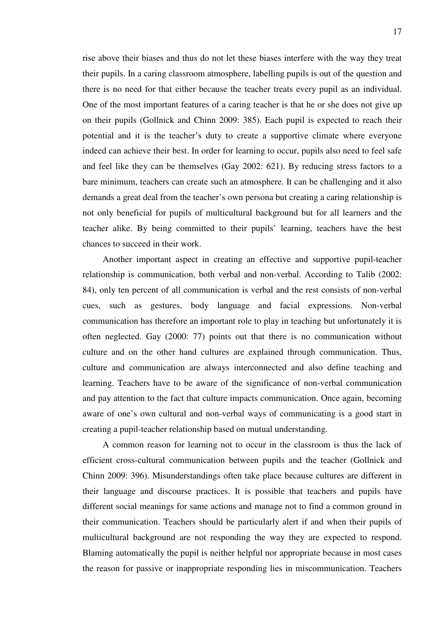rise above their biases and thus do not let these biases interfere with the way they treat their pupils. In a caring classroom atmosphere, labelling pupils is out of the question and there is no need for that either because the teacher treats every pupil as an individual. One of the most important features of a caring teacher is that he or she does not give up on their pupils (Gollnick and Chinn 2009: 385). Each pupil is expected to reach their potential and it is the teacher's duty to create a supportive climate where everyone indeed can achieve their best. In order for learning to occur, pupils also need to feel safe and feel like they can be themselves (Gay 2002: 621). By reducing stress factors to a bare minimum, teachers can create such an atmosphere. It can be challenging and it also demands a great deal from the teacher's own persona but creating a caring relationship is not only beneficial for pupils of multicultural background but for all learners and the teacher alike. By being committed to their pupils' learning, teachers have the best chances to succeed in their work.

Another important aspect in creating an effective and supportive pupil-teacher relationship is communication, both verbal and non-verbal. According to Talib (2002: 84), only ten percent of all communication is verbal and the rest consists of non-verbal cues, such as gestures, body language and facial expressions. Non-verbal communication has therefore an important role to play in teaching but unfortunately it is often neglected. Gay (2000: 77) points out that there is no communication without culture and on the other hand cultures are explained through communication. Thus, culture and communication are always interconnected and also define teaching and learning. Teachers have to be aware of the significance of non-verbal communication and pay attention to the fact that culture impacts communication. Once again, becoming aware of one's own cultural and non-verbal ways of communicating is a good start in creating a pupil-teacher relationship based on mutual understanding.

A common reason for learning not to occur in the classroom is thus the lack of efficient cross-cultural communication between pupils and the teacher (Gollnick and Chinn 2009: 396). Misunderstandings often take place because cultures are different in their language and discourse practices. It is possible that teachers and pupils have different social meanings for same actions and manage not to find a common ground in their communication. Teachers should be particularly alert if and when their pupils of multicultural background are not responding the way they are expected to respond. Blaming automatically the pupil is neither helpful nor appropriate because in most cases the reason for passive or inappropriate responding lies in miscommunication. Teachers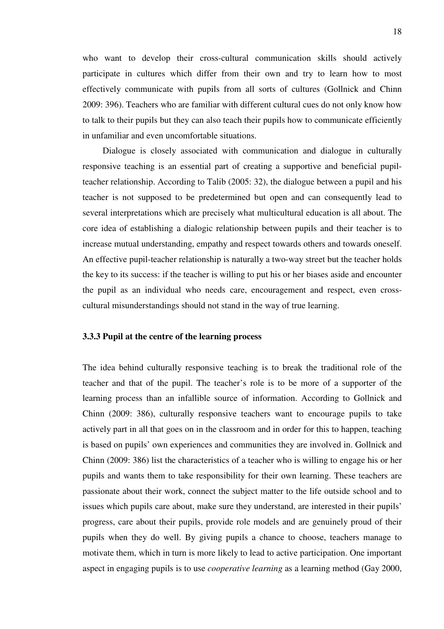who want to develop their cross-cultural communication skills should actively participate in cultures which differ from their own and try to learn how to most effectively communicate with pupils from all sorts of cultures (Gollnick and Chinn 2009: 396). Teachers who are familiar with different cultural cues do not only know how to talk to their pupils but they can also teach their pupils how to communicate efficiently in unfamiliar and even uncomfortable situations.

Dialogue is closely associated with communication and dialogue in culturally responsive teaching is an essential part of creating a supportive and beneficial pupilteacher relationship. According to Talib (2005: 32), the dialogue between a pupil and his teacher is not supposed to be predetermined but open and can consequently lead to several interpretations which are precisely what multicultural education is all about. The core idea of establishing a dialogic relationship between pupils and their teacher is to increase mutual understanding, empathy and respect towards others and towards oneself. An effective pupil-teacher relationship is naturally a two-way street but the teacher holds the key to its success: if the teacher is willing to put his or her biases aside and encounter the pupil as an individual who needs care, encouragement and respect, even crosscultural misunderstandings should not stand in the way of true learning.

## **3.3.3 Pupil at the centre of the learning process**

The idea behind culturally responsive teaching is to break the traditional role of the teacher and that of the pupil. The teacher's role is to be more of a supporter of the learning process than an infallible source of information. According to Gollnick and Chinn (2009: 386), culturally responsive teachers want to encourage pupils to take actively part in all that goes on in the classroom and in order for this to happen, teaching is based on pupils' own experiences and communities they are involved in. Gollnick and Chinn (2009: 386) list the characteristics of a teacher who is willing to engage his or her pupils and wants them to take responsibility for their own learning. These teachers are passionate about their work, connect the subject matter to the life outside school and to issues which pupils care about, make sure they understand, are interested in their pupils' progress, care about their pupils, provide role models and are genuinely proud of their pupils when they do well. By giving pupils a chance to choose, teachers manage to motivate them, which in turn is more likely to lead to active participation. One important aspect in engaging pupils is to use *cooperative learning* as a learning method (Gay 2000,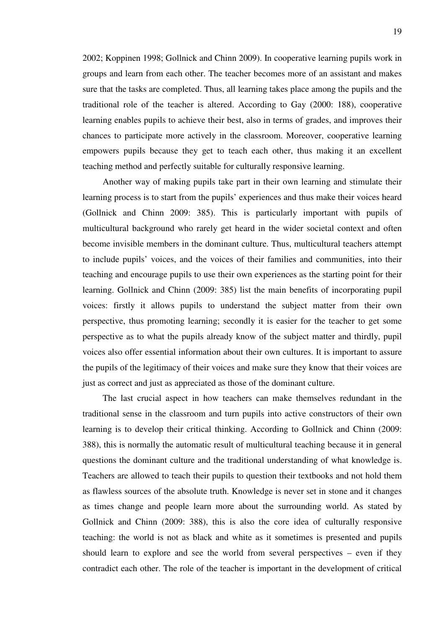2002; Koppinen 1998; Gollnick and Chinn 2009). In cooperative learning pupils work in groups and learn from each other. The teacher becomes more of an assistant and makes sure that the tasks are completed. Thus, all learning takes place among the pupils and the traditional role of the teacher is altered. According to Gay (2000: 188), cooperative learning enables pupils to achieve their best, also in terms of grades, and improves their chances to participate more actively in the classroom. Moreover, cooperative learning empowers pupils because they get to teach each other, thus making it an excellent teaching method and perfectly suitable for culturally responsive learning.

Another way of making pupils take part in their own learning and stimulate their learning process is to start from the pupils' experiences and thus make their voices heard (Gollnick and Chinn 2009: 385). This is particularly important with pupils of multicultural background who rarely get heard in the wider societal context and often become invisible members in the dominant culture. Thus, multicultural teachers attempt to include pupils' voices, and the voices of their families and communities, into their teaching and encourage pupils to use their own experiences as the starting point for their learning. Gollnick and Chinn (2009: 385) list the main benefits of incorporating pupil voices: firstly it allows pupils to understand the subject matter from their own perspective, thus promoting learning; secondly it is easier for the teacher to get some perspective as to what the pupils already know of the subject matter and thirdly, pupil voices also offer essential information about their own cultures. It is important to assure the pupils of the legitimacy of their voices and make sure they know that their voices are just as correct and just as appreciated as those of the dominant culture.

The last crucial aspect in how teachers can make themselves redundant in the traditional sense in the classroom and turn pupils into active constructors of their own learning is to develop their critical thinking. According to Gollnick and Chinn (2009: 388), this is normally the automatic result of multicultural teaching because it in general questions the dominant culture and the traditional understanding of what knowledge is. Teachers are allowed to teach their pupils to question their textbooks and not hold them as flawless sources of the absolute truth. Knowledge is never set in stone and it changes as times change and people learn more about the surrounding world. As stated by Gollnick and Chinn (2009: 388), this is also the core idea of culturally responsive teaching: the world is not as black and white as it sometimes is presented and pupils should learn to explore and see the world from several perspectives – even if they contradict each other. The role of the teacher is important in the development of critical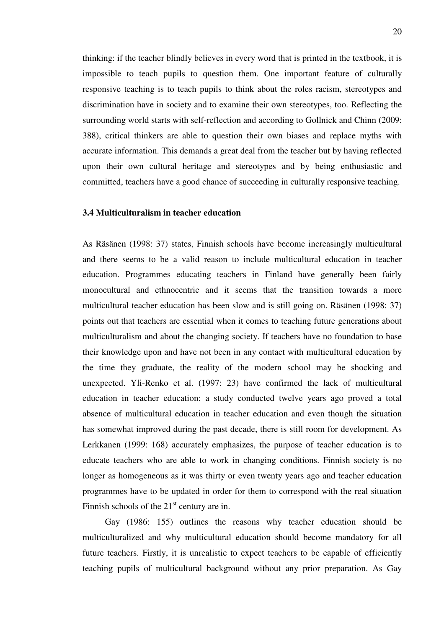thinking: if the teacher blindly believes in every word that is printed in the textbook, it is impossible to teach pupils to question them. One important feature of culturally responsive teaching is to teach pupils to think about the roles racism, stereotypes and discrimination have in society and to examine their own stereotypes, too. Reflecting the surrounding world starts with self-reflection and according to Gollnick and Chinn (2009: 388), critical thinkers are able to question their own biases and replace myths with accurate information. This demands a great deal from the teacher but by having reflected upon their own cultural heritage and stereotypes and by being enthusiastic and committed, teachers have a good chance of succeeding in culturally responsive teaching.

### **3.4 Multiculturalism in teacher education**

As Räsänen (1998: 37) states, Finnish schools have become increasingly multicultural and there seems to be a valid reason to include multicultural education in teacher education. Programmes educating teachers in Finland have generally been fairly monocultural and ethnocentric and it seems that the transition towards a more multicultural teacher education has been slow and is still going on. Räsänen (1998: 37) points out that teachers are essential when it comes to teaching future generations about multiculturalism and about the changing society. If teachers have no foundation to base their knowledge upon and have not been in any contact with multicultural education by the time they graduate, the reality of the modern school may be shocking and unexpected. Yli-Renko et al. (1997: 23) have confirmed the lack of multicultural education in teacher education: a study conducted twelve years ago proved a total absence of multicultural education in teacher education and even though the situation has somewhat improved during the past decade, there is still room for development. As Lerkkanen (1999: 168) accurately emphasizes, the purpose of teacher education is to educate teachers who are able to work in changing conditions. Finnish society is no longer as homogeneous as it was thirty or even twenty years ago and teacher education programmes have to be updated in order for them to correspond with the real situation Finnish schools of the  $21<sup>st</sup>$  century are in.

 Gay (1986: 155) outlines the reasons why teacher education should be multiculturalized and why multicultural education should become mandatory for all future teachers. Firstly, it is unrealistic to expect teachers to be capable of efficiently teaching pupils of multicultural background without any prior preparation. As Gay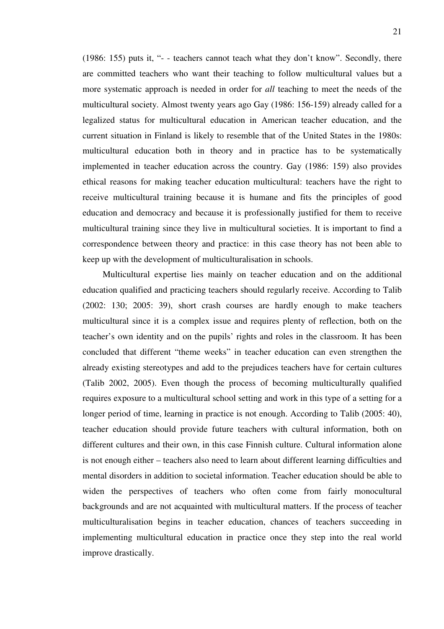(1986: 155) puts it, "- - teachers cannot teach what they don't know". Secondly, there are committed teachers who want their teaching to follow multicultural values but a more systematic approach is needed in order for *all* teaching to meet the needs of the multicultural society. Almost twenty years ago Gay (1986: 156-159) already called for a legalized status for multicultural education in American teacher education, and the current situation in Finland is likely to resemble that of the United States in the 1980s: multicultural education both in theory and in practice has to be systematically implemented in teacher education across the country. Gay (1986: 159) also provides ethical reasons for making teacher education multicultural: teachers have the right to receive multicultural training because it is humane and fits the principles of good education and democracy and because it is professionally justified for them to receive multicultural training since they live in multicultural societies. It is important to find a correspondence between theory and practice: in this case theory has not been able to keep up with the development of multiculturalisation in schools.

Multicultural expertise lies mainly on teacher education and on the additional education qualified and practicing teachers should regularly receive. According to Talib (2002: 130; 2005: 39), short crash courses are hardly enough to make teachers multicultural since it is a complex issue and requires plenty of reflection, both on the teacher's own identity and on the pupils' rights and roles in the classroom. It has been concluded that different "theme weeks" in teacher education can even strengthen the already existing stereotypes and add to the prejudices teachers have for certain cultures (Talib 2002, 2005). Even though the process of becoming multiculturally qualified requires exposure to a multicultural school setting and work in this type of a setting for a longer period of time, learning in practice is not enough. According to Talib (2005: 40), teacher education should provide future teachers with cultural information, both on different cultures and their own, in this case Finnish culture. Cultural information alone is not enough either – teachers also need to learn about different learning difficulties and mental disorders in addition to societal information. Teacher education should be able to widen the perspectives of teachers who often come from fairly monocultural backgrounds and are not acquainted with multicultural matters. If the process of teacher multiculturalisation begins in teacher education, chances of teachers succeeding in implementing multicultural education in practice once they step into the real world improve drastically.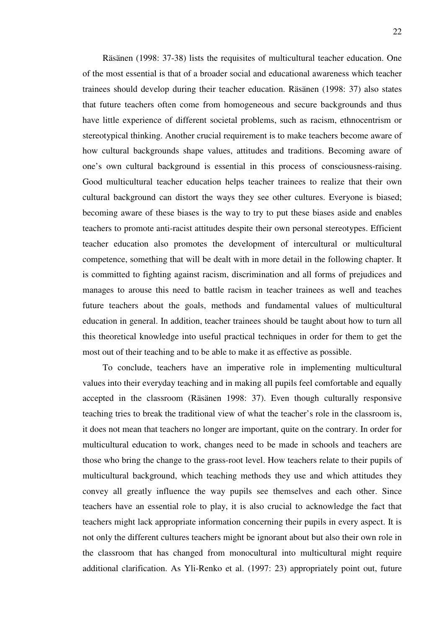Räsänen (1998: 37-38) lists the requisites of multicultural teacher education. One of the most essential is that of a broader social and educational awareness which teacher trainees should develop during their teacher education. Räsänen (1998: 37) also states that future teachers often come from homogeneous and secure backgrounds and thus have little experience of different societal problems, such as racism, ethnocentrism or stereotypical thinking. Another crucial requirement is to make teachers become aware of how cultural backgrounds shape values, attitudes and traditions. Becoming aware of one's own cultural background is essential in this process of consciousness-raising. Good multicultural teacher education helps teacher trainees to realize that their own cultural background can distort the ways they see other cultures. Everyone is biased; becoming aware of these biases is the way to try to put these biases aside and enables teachers to promote anti-racist attitudes despite their own personal stereotypes. Efficient teacher education also promotes the development of intercultural or multicultural competence, something that will be dealt with in more detail in the following chapter. It is committed to fighting against racism, discrimination and all forms of prejudices and manages to arouse this need to battle racism in teacher trainees as well and teaches future teachers about the goals, methods and fundamental values of multicultural education in general. In addition, teacher trainees should be taught about how to turn all this theoretical knowledge into useful practical techniques in order for them to get the most out of their teaching and to be able to make it as effective as possible.

To conclude, teachers have an imperative role in implementing multicultural values into their everyday teaching and in making all pupils feel comfortable and equally accepted in the classroom (Räsänen 1998: 37). Even though culturally responsive teaching tries to break the traditional view of what the teacher's role in the classroom is, it does not mean that teachers no longer are important, quite on the contrary. In order for multicultural education to work, changes need to be made in schools and teachers are those who bring the change to the grass-root level. How teachers relate to their pupils of multicultural background, which teaching methods they use and which attitudes they convey all greatly influence the way pupils see themselves and each other. Since teachers have an essential role to play, it is also crucial to acknowledge the fact that teachers might lack appropriate information concerning their pupils in every aspect. It is not only the different cultures teachers might be ignorant about but also their own role in the classroom that has changed from monocultural into multicultural might require additional clarification. As Yli-Renko et al. (1997: 23) appropriately point out, future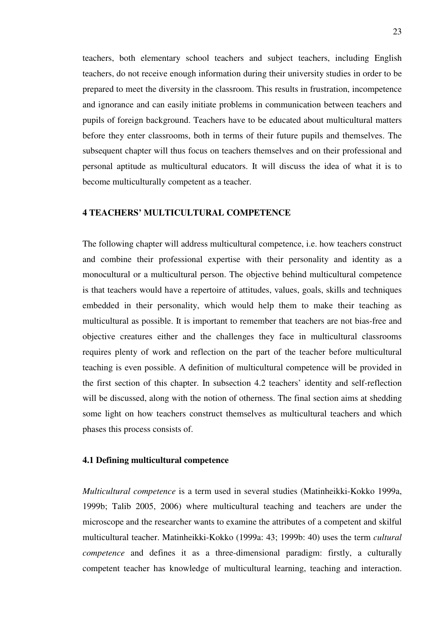teachers, both elementary school teachers and subject teachers, including English teachers, do not receive enough information during their university studies in order to be prepared to meet the diversity in the classroom. This results in frustration, incompetence and ignorance and can easily initiate problems in communication between teachers and pupils of foreign background. Teachers have to be educated about multicultural matters before they enter classrooms, both in terms of their future pupils and themselves. The subsequent chapter will thus focus on teachers themselves and on their professional and personal aptitude as multicultural educators. It will discuss the idea of what it is to become multiculturally competent as a teacher.

# **4 TEACHERS' MULTICULTURAL COMPETENCE**

The following chapter will address multicultural competence, i.e. how teachers construct and combine their professional expertise with their personality and identity as a monocultural or a multicultural person. The objective behind multicultural competence is that teachers would have a repertoire of attitudes, values, goals, skills and techniques embedded in their personality, which would help them to make their teaching as multicultural as possible. It is important to remember that teachers are not bias-free and objective creatures either and the challenges they face in multicultural classrooms requires plenty of work and reflection on the part of the teacher before multicultural teaching is even possible. A definition of multicultural competence will be provided in the first section of this chapter. In subsection 4.2 teachers' identity and self-reflection will be discussed, along with the notion of otherness. The final section aims at shedding some light on how teachers construct themselves as multicultural teachers and which phases this process consists of.

#### **4.1 Defining multicultural competence**

*Multicultural competence* is a term used in several studies (Matinheikki-Kokko 1999a, 1999b; Talib 2005, 2006) where multicultural teaching and teachers are under the microscope and the researcher wants to examine the attributes of a competent and skilful multicultural teacher. Matinheikki-Kokko (1999a: 43; 1999b: 40) uses the term *cultural competence* and defines it as a three-dimensional paradigm: firstly, a culturally competent teacher has knowledge of multicultural learning, teaching and interaction.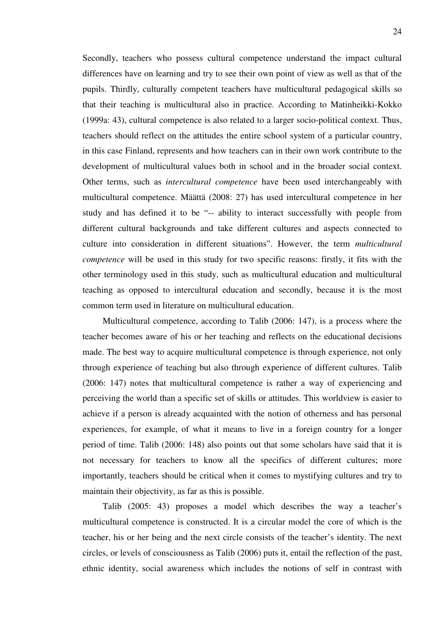Secondly, teachers who possess cultural competence understand the impact cultural differences have on learning and try to see their own point of view as well as that of the pupils. Thirdly, culturally competent teachers have multicultural pedagogical skills so that their teaching is multicultural also in practice. According to Matinheikki-Kokko (1999a: 43), cultural competence is also related to a larger socio-political context. Thus, teachers should reflect on the attitudes the entire school system of a particular country, in this case Finland, represents and how teachers can in their own work contribute to the development of multicultural values both in school and in the broader social context. Other terms, such as *intercultural competence* have been used interchangeably with multicultural competence. Määttä (2008: 27) has used intercultural competence in her study and has defined it to be "-- ability to interact successfully with people from different cultural backgrounds and take different cultures and aspects connected to culture into consideration in different situations". However, the term *multicultural competence* will be used in this study for two specific reasons: firstly, it fits with the other terminology used in this study, such as multicultural education and multicultural teaching as opposed to intercultural education and secondly, because it is the most common term used in literature on multicultural education.

Multicultural competence, according to Talib (2006: 147), is a process where the teacher becomes aware of his or her teaching and reflects on the educational decisions made. The best way to acquire multicultural competence is through experience, not only through experience of teaching but also through experience of different cultures. Talib (2006: 147) notes that multicultural competence is rather a way of experiencing and perceiving the world than a specific set of skills or attitudes. This worldview is easier to achieve if a person is already acquainted with the notion of otherness and has personal experiences, for example, of what it means to live in a foreign country for a longer period of time. Talib (2006: 148) also points out that some scholars have said that it is not necessary for teachers to know all the specifics of different cultures; more importantly, teachers should be critical when it comes to mystifying cultures and try to maintain their objectivity, as far as this is possible.

Talib (2005: 43) proposes a model which describes the way a teacher's multicultural competence is constructed. It is a circular model the core of which is the teacher, his or her being and the next circle consists of the teacher's identity. The next circles, or levels of consciousness as Talib (2006) puts it, entail the reflection of the past, ethnic identity, social awareness which includes the notions of self in contrast with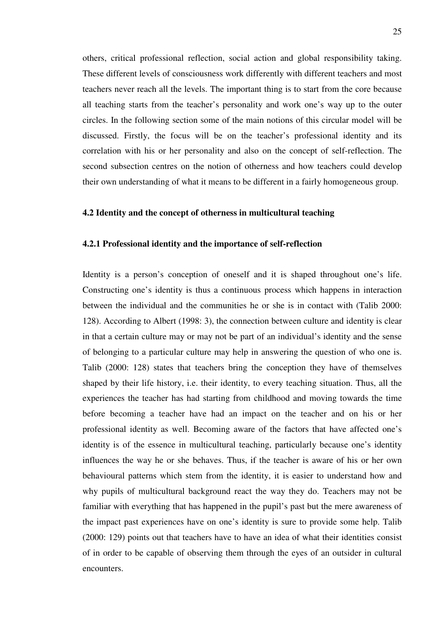others, critical professional reflection, social action and global responsibility taking. These different levels of consciousness work differently with different teachers and most teachers never reach all the levels. The important thing is to start from the core because all teaching starts from the teacher's personality and work one's way up to the outer circles. In the following section some of the main notions of this circular model will be discussed. Firstly, the focus will be on the teacher's professional identity and its correlation with his or her personality and also on the concept of self-reflection. The second subsection centres on the notion of otherness and how teachers could develop their own understanding of what it means to be different in a fairly homogeneous group.

## **4.2 Identity and the concept of otherness in multicultural teaching**

### **4.2.1 Professional identity and the importance of self-reflection**

Identity is a person's conception of oneself and it is shaped throughout one's life. Constructing one's identity is thus a continuous process which happens in interaction between the individual and the communities he or she is in contact with (Talib 2000: 128). According to Albert (1998: 3), the connection between culture and identity is clear in that a certain culture may or may not be part of an individual's identity and the sense of belonging to a particular culture may help in answering the question of who one is. Talib (2000: 128) states that teachers bring the conception they have of themselves shaped by their life history, i.e. their identity, to every teaching situation. Thus, all the experiences the teacher has had starting from childhood and moving towards the time before becoming a teacher have had an impact on the teacher and on his or her professional identity as well. Becoming aware of the factors that have affected one's identity is of the essence in multicultural teaching, particularly because one's identity influences the way he or she behaves. Thus, if the teacher is aware of his or her own behavioural patterns which stem from the identity, it is easier to understand how and why pupils of multicultural background react the way they do. Teachers may not be familiar with everything that has happened in the pupil's past but the mere awareness of the impact past experiences have on one's identity is sure to provide some help. Talib (2000: 129) points out that teachers have to have an idea of what their identities consist of in order to be capable of observing them through the eyes of an outsider in cultural encounters.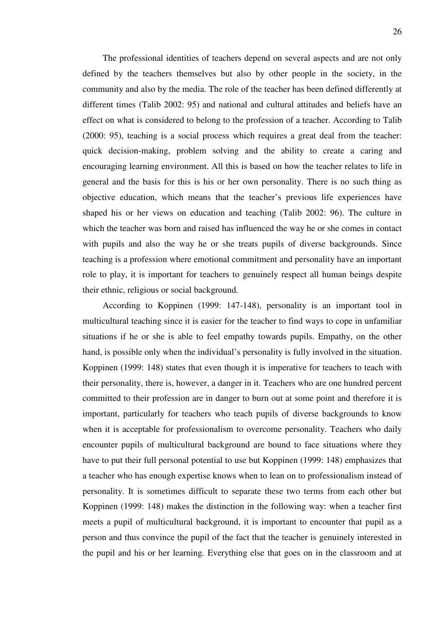The professional identities of teachers depend on several aspects and are not only defined by the teachers themselves but also by other people in the society, in the community and also by the media. The role of the teacher has been defined differently at different times (Talib 2002: 95) and national and cultural attitudes and beliefs have an effect on what is considered to belong to the profession of a teacher. According to Talib (2000: 95), teaching is a social process which requires a great deal from the teacher: quick decision-making, problem solving and the ability to create a caring and encouraging learning environment. All this is based on how the teacher relates to life in general and the basis for this is his or her own personality. There is no such thing as objective education, which means that the teacher's previous life experiences have shaped his or her views on education and teaching (Talib 2002: 96). The culture in which the teacher was born and raised has influenced the way he or she comes in contact with pupils and also the way he or she treats pupils of diverse backgrounds. Since teaching is a profession where emotional commitment and personality have an important role to play, it is important for teachers to genuinely respect all human beings despite their ethnic, religious or social background.

According to Koppinen (1999: 147-148), personality is an important tool in multicultural teaching since it is easier for the teacher to find ways to cope in unfamiliar situations if he or she is able to feel empathy towards pupils. Empathy, on the other hand, is possible only when the individual's personality is fully involved in the situation. Koppinen (1999: 148) states that even though it is imperative for teachers to teach with their personality, there is, however, a danger in it. Teachers who are one hundred percent committed to their profession are in danger to burn out at some point and therefore it is important, particularly for teachers who teach pupils of diverse backgrounds to know when it is acceptable for professionalism to overcome personality. Teachers who daily encounter pupils of multicultural background are bound to face situations where they have to put their full personal potential to use but Koppinen (1999: 148) emphasizes that a teacher who has enough expertise knows when to lean on to professionalism instead of personality. It is sometimes difficult to separate these two terms from each other but Koppinen (1999: 148) makes the distinction in the following way: when a teacher first meets a pupil of multicultural background, it is important to encounter that pupil as a person and thus convince the pupil of the fact that the teacher is genuinely interested in the pupil and his or her learning. Everything else that goes on in the classroom and at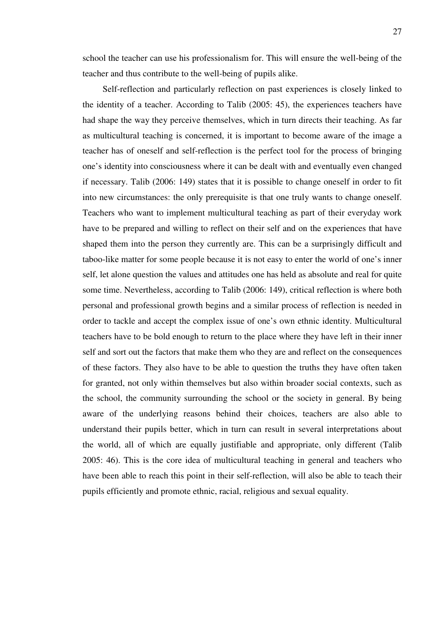school the teacher can use his professionalism for. This will ensure the well-being of the teacher and thus contribute to the well-being of pupils alike.

Self-reflection and particularly reflection on past experiences is closely linked to the identity of a teacher. According to Talib (2005: 45), the experiences teachers have had shape the way they perceive themselves, which in turn directs their teaching. As far as multicultural teaching is concerned, it is important to become aware of the image a teacher has of oneself and self-reflection is the perfect tool for the process of bringing one's identity into consciousness where it can be dealt with and eventually even changed if necessary. Talib (2006: 149) states that it is possible to change oneself in order to fit into new circumstances: the only prerequisite is that one truly wants to change oneself. Teachers who want to implement multicultural teaching as part of their everyday work have to be prepared and willing to reflect on their self and on the experiences that have shaped them into the person they currently are. This can be a surprisingly difficult and taboo-like matter for some people because it is not easy to enter the world of one's inner self, let alone question the values and attitudes one has held as absolute and real for quite some time. Nevertheless, according to Talib (2006: 149), critical reflection is where both personal and professional growth begins and a similar process of reflection is needed in order to tackle and accept the complex issue of one's own ethnic identity. Multicultural teachers have to be bold enough to return to the place where they have left in their inner self and sort out the factors that make them who they are and reflect on the consequences of these factors. They also have to be able to question the truths they have often taken for granted, not only within themselves but also within broader social contexts, such as the school, the community surrounding the school or the society in general. By being aware of the underlying reasons behind their choices, teachers are also able to understand their pupils better, which in turn can result in several interpretations about the world, all of which are equally justifiable and appropriate, only different (Talib 2005: 46). This is the core idea of multicultural teaching in general and teachers who have been able to reach this point in their self-reflection, will also be able to teach their pupils efficiently and promote ethnic, racial, religious and sexual equality.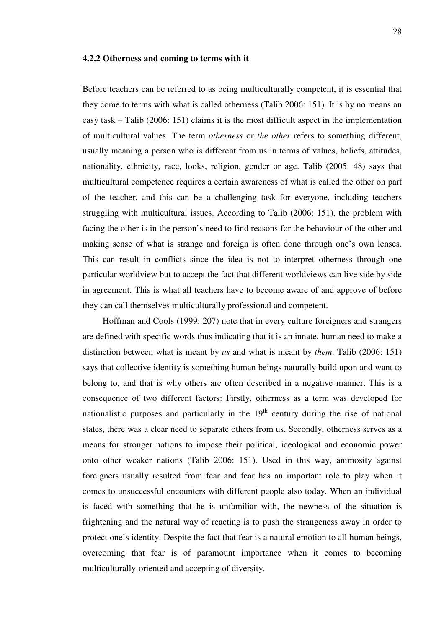#### **4.2.2 Otherness and coming to terms with it**

Before teachers can be referred to as being multiculturally competent, it is essential that they come to terms with what is called otherness (Talib 2006: 151). It is by no means an easy task – Talib (2006: 151) claims it is the most difficult aspect in the implementation of multicultural values. The term *otherness* or *the other* refers to something different, usually meaning a person who is different from us in terms of values, beliefs, attitudes, nationality, ethnicity, race, looks, religion, gender or age. Talib (2005: 48) says that multicultural competence requires a certain awareness of what is called the other on part of the teacher, and this can be a challenging task for everyone, including teachers struggling with multicultural issues. According to Talib (2006: 151), the problem with facing the other is in the person's need to find reasons for the behaviour of the other and making sense of what is strange and foreign is often done through one's own lenses. This can result in conflicts since the idea is not to interpret otherness through one particular worldview but to accept the fact that different worldviews can live side by side in agreement. This is what all teachers have to become aware of and approve of before they can call themselves multiculturally professional and competent.

Hoffman and Cools (1999: 207) note that in every culture foreigners and strangers are defined with specific words thus indicating that it is an innate, human need to make a distinction between what is meant by *us* and what is meant by *them*. Talib (2006: 151) says that collective identity is something human beings naturally build upon and want to belong to, and that is why others are often described in a negative manner. This is a consequence of two different factors: Firstly, otherness as a term was developed for nationalistic purposes and particularly in the  $19<sup>th</sup>$  century during the rise of national states, there was a clear need to separate others from us. Secondly, otherness serves as a means for stronger nations to impose their political, ideological and economic power onto other weaker nations (Talib 2006: 151). Used in this way, animosity against foreigners usually resulted from fear and fear has an important role to play when it comes to unsuccessful encounters with different people also today. When an individual is faced with something that he is unfamiliar with, the newness of the situation is frightening and the natural way of reacting is to push the strangeness away in order to protect one's identity. Despite the fact that fear is a natural emotion to all human beings, overcoming that fear is of paramount importance when it comes to becoming multiculturally-oriented and accepting of diversity.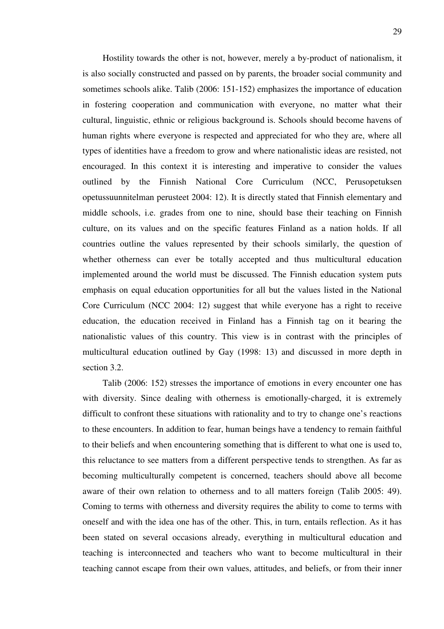Hostility towards the other is not, however, merely a by-product of nationalism, it is also socially constructed and passed on by parents, the broader social community and sometimes schools alike. Talib (2006: 151-152) emphasizes the importance of education in fostering cooperation and communication with everyone, no matter what their cultural, linguistic, ethnic or religious background is. Schools should become havens of human rights where everyone is respected and appreciated for who they are, where all types of identities have a freedom to grow and where nationalistic ideas are resisted, not encouraged. In this context it is interesting and imperative to consider the values outlined by the Finnish National Core Curriculum (NCC, Perusopetuksen opetussuunnitelman perusteet 2004: 12). It is directly stated that Finnish elementary and middle schools, i.e. grades from one to nine, should base their teaching on Finnish culture, on its values and on the specific features Finland as a nation holds. If all countries outline the values represented by their schools similarly, the question of whether otherness can ever be totally accepted and thus multicultural education implemented around the world must be discussed. The Finnish education system puts emphasis on equal education opportunities for all but the values listed in the National Core Curriculum (NCC 2004: 12) suggest that while everyone has a right to receive education, the education received in Finland has a Finnish tag on it bearing the nationalistic values of this country. This view is in contrast with the principles of multicultural education outlined by Gay (1998: 13) and discussed in more depth in section 3.2.

Talib (2006: 152) stresses the importance of emotions in every encounter one has with diversity. Since dealing with otherness is emotionally-charged, it is extremely difficult to confront these situations with rationality and to try to change one's reactions to these encounters. In addition to fear, human beings have a tendency to remain faithful to their beliefs and when encountering something that is different to what one is used to, this reluctance to see matters from a different perspective tends to strengthen. As far as becoming multiculturally competent is concerned, teachers should above all become aware of their own relation to otherness and to all matters foreign (Talib 2005: 49). Coming to terms with otherness and diversity requires the ability to come to terms with oneself and with the idea one has of the other. This, in turn, entails reflection. As it has been stated on several occasions already, everything in multicultural education and teaching is interconnected and teachers who want to become multicultural in their teaching cannot escape from their own values, attitudes, and beliefs, or from their inner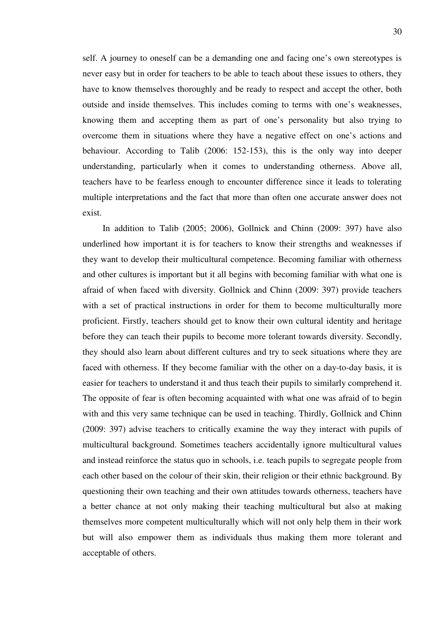self. A journey to oneself can be a demanding one and facing one's own stereotypes is never easy but in order for teachers to be able to teach about these issues to others, they have to know themselves thoroughly and be ready to respect and accept the other, both outside and inside themselves. This includes coming to terms with one's weaknesses, knowing them and accepting them as part of one's personality but also trying to overcome them in situations where they have a negative effect on one's actions and behaviour. According to Talib (2006: 152-153), this is the only way into deeper understanding, particularly when it comes to understanding otherness. Above all, teachers have to be fearless enough to encounter difference since it leads to tolerating multiple interpretations and the fact that more than often one accurate answer does not exist.

In addition to Talib (2005; 2006), Gollnick and Chinn (2009: 397) have also underlined how important it is for teachers to know their strengths and weaknesses if they want to develop their multicultural competence. Becoming familiar with otherness and other cultures is important but it all begins with becoming familiar with what one is afraid of when faced with diversity. Gollnick and Chinn (2009: 397) provide teachers with a set of practical instructions in order for them to become multiculturally more proficient. Firstly, teachers should get to know their own cultural identity and heritage before they can teach their pupils to become more tolerant towards diversity. Secondly, they should also learn about different cultures and try to seek situations where they are faced with otherness. If they become familiar with the other on a day-to-day basis, it is easier for teachers to understand it and thus teach their pupils to similarly comprehend it. The opposite of fear is often becoming acquainted with what one was afraid of to begin with and this very same technique can be used in teaching. Thirdly, Gollnick and Chinn (2009: 397) advise teachers to critically examine the way they interact with pupils of multicultural background. Sometimes teachers accidentally ignore multicultural values and instead reinforce the status quo in schools, i.e. teach pupils to segregate people from each other based on the colour of their skin, their religion or their ethnic background. By questioning their own teaching and their own attitudes towards otherness, teachers have a better chance at not only making their teaching multicultural but also at making themselves more competent multiculturally which will not only help them in their work but will also empower them as individuals thus making them more tolerant and acceptable of others.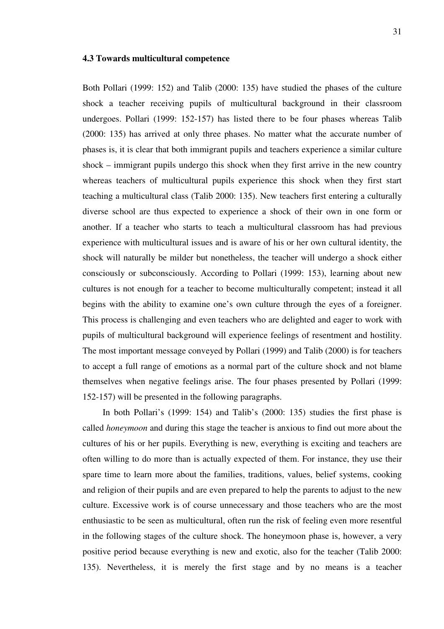#### **4.3 Towards multicultural competence**

Both Pollari (1999: 152) and Talib (2000: 135) have studied the phases of the culture shock a teacher receiving pupils of multicultural background in their classroom undergoes. Pollari (1999: 152-157) has listed there to be four phases whereas Talib (2000: 135) has arrived at only three phases. No matter what the accurate number of phases is, it is clear that both immigrant pupils and teachers experience a similar culture shock – immigrant pupils undergo this shock when they first arrive in the new country whereas teachers of multicultural pupils experience this shock when they first start teaching a multicultural class (Talib 2000: 135). New teachers first entering a culturally diverse school are thus expected to experience a shock of their own in one form or another. If a teacher who starts to teach a multicultural classroom has had previous experience with multicultural issues and is aware of his or her own cultural identity, the shock will naturally be milder but nonetheless, the teacher will undergo a shock either consciously or subconsciously. According to Pollari (1999: 153), learning about new cultures is not enough for a teacher to become multiculturally competent; instead it all begins with the ability to examine one's own culture through the eyes of a foreigner. This process is challenging and even teachers who are delighted and eager to work with pupils of multicultural background will experience feelings of resentment and hostility. The most important message conveyed by Pollari (1999) and Talib (2000) is for teachers to accept a full range of emotions as a normal part of the culture shock and not blame themselves when negative feelings arise. The four phases presented by Pollari (1999: 152-157) will be presented in the following paragraphs.

In both Pollari's (1999: 154) and Talib's (2000: 135) studies the first phase is called *honeymoon* and during this stage the teacher is anxious to find out more about the cultures of his or her pupils. Everything is new, everything is exciting and teachers are often willing to do more than is actually expected of them. For instance, they use their spare time to learn more about the families, traditions, values, belief systems, cooking and religion of their pupils and are even prepared to help the parents to adjust to the new culture. Excessive work is of course unnecessary and those teachers who are the most enthusiastic to be seen as multicultural, often run the risk of feeling even more resentful in the following stages of the culture shock. The honeymoon phase is, however, a very positive period because everything is new and exotic, also for the teacher (Talib 2000: 135). Nevertheless, it is merely the first stage and by no means is a teacher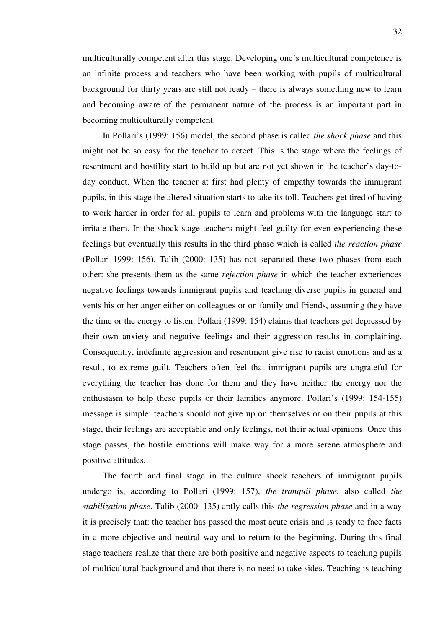multiculturally competent after this stage. Developing one's multicultural competence is an infinite process and teachers who have been working with pupils of multicultural background for thirty years are still not ready – there is always something new to learn and becoming aware of the permanent nature of the process is an important part in becoming multiculturally competent.

In Pollari's (1999: 156) model, the second phase is called *the shock phase* and this might not be so easy for the teacher to detect. This is the stage where the feelings of resentment and hostility start to build up but are not yet shown in the teacher's day-today conduct. When the teacher at first had plenty of empathy towards the immigrant pupils, in this stage the altered situation starts to take its toll. Teachers get tired of having to work harder in order for all pupils to learn and problems with the language start to irritate them. In the shock stage teachers might feel guilty for even experiencing these feelings but eventually this results in the third phase which is called *the reaction phase* (Pollari 1999: 156). Talib (2000: 135) has not separated these two phases from each other: she presents them as the same *rejection phase* in which the teacher experiences negative feelings towards immigrant pupils and teaching diverse pupils in general and vents his or her anger either on colleagues or on family and friends, assuming they have the time or the energy to listen. Pollari (1999: 154) claims that teachers get depressed by their own anxiety and negative feelings and their aggression results in complaining. Consequently, indefinite aggression and resentment give rise to racist emotions and as a result, to extreme guilt. Teachers often feel that immigrant pupils are ungrateful for everything the teacher has done for them and they have neither the energy nor the enthusiasm to help these pupils or their families anymore. Pollari's (1999: 154-155) message is simple: teachers should not give up on themselves or on their pupils at this stage, their feelings are acceptable and only feelings, not their actual opinions. Once this stage passes, the hostile emotions will make way for a more serene atmosphere and positive attitudes.

The fourth and final stage in the culture shock teachers of immigrant pupils undergo is, according to Pollari (1999: 157), *the tranquil phase*, also called *the stabilization phase*. Talib (2000: 135) aptly calls this *the regression phase* and in a way it is precisely that: the teacher has passed the most acute crisis and is ready to face facts in a more objective and neutral way and to return to the beginning. During this final stage teachers realize that there are both positive and negative aspects to teaching pupils of multicultural background and that there is no need to take sides. Teaching is teaching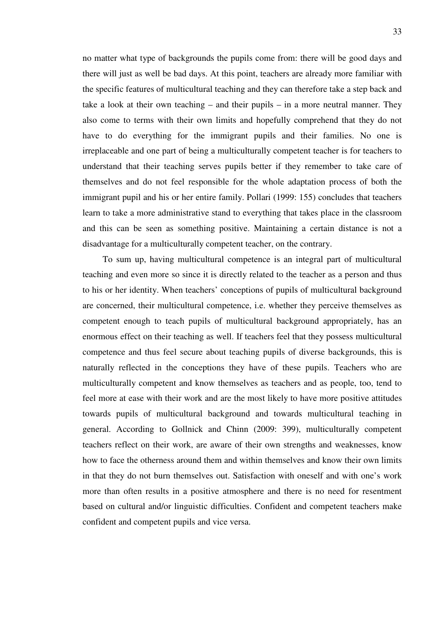no matter what type of backgrounds the pupils come from: there will be good days and there will just as well be bad days. At this point, teachers are already more familiar with the specific features of multicultural teaching and they can therefore take a step back and take a look at their own teaching – and their pupils – in a more neutral manner. They also come to terms with their own limits and hopefully comprehend that they do not have to do everything for the immigrant pupils and their families. No one is irreplaceable and one part of being a multiculturally competent teacher is for teachers to understand that their teaching serves pupils better if they remember to take care of themselves and do not feel responsible for the whole adaptation process of both the immigrant pupil and his or her entire family. Pollari (1999: 155) concludes that teachers learn to take a more administrative stand to everything that takes place in the classroom and this can be seen as something positive. Maintaining a certain distance is not a disadvantage for a multiculturally competent teacher, on the contrary.

To sum up, having multicultural competence is an integral part of multicultural teaching and even more so since it is directly related to the teacher as a person and thus to his or her identity. When teachers' conceptions of pupils of multicultural background are concerned, their multicultural competence, i.e. whether they perceive themselves as competent enough to teach pupils of multicultural background appropriately, has an enormous effect on their teaching as well. If teachers feel that they possess multicultural competence and thus feel secure about teaching pupils of diverse backgrounds, this is naturally reflected in the conceptions they have of these pupils. Teachers who are multiculturally competent and know themselves as teachers and as people, too, tend to feel more at ease with their work and are the most likely to have more positive attitudes towards pupils of multicultural background and towards multicultural teaching in general. According to Gollnick and Chinn (2009: 399), multiculturally competent teachers reflect on their work, are aware of their own strengths and weaknesses, know how to face the otherness around them and within themselves and know their own limits in that they do not burn themselves out. Satisfaction with oneself and with one's work more than often results in a positive atmosphere and there is no need for resentment based on cultural and/or linguistic difficulties. Confident and competent teachers make confident and competent pupils and vice versa.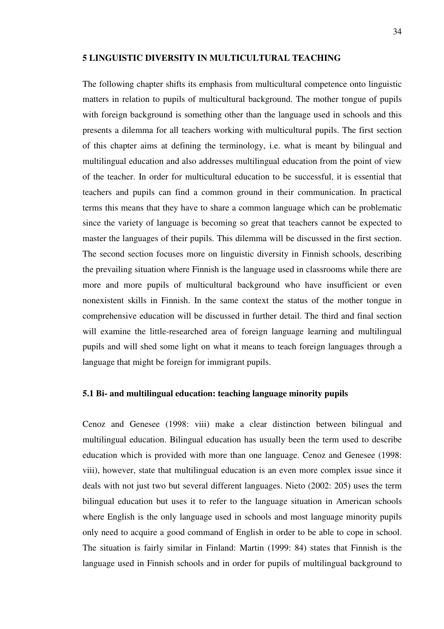### **5 LINGUISTIC DIVERSITY IN MULTICULTURAL TEACHING**

The following chapter shifts its emphasis from multicultural competence onto linguistic matters in relation to pupils of multicultural background. The mother tongue of pupils with foreign background is something other than the language used in schools and this presents a dilemma for all teachers working with multicultural pupils. The first section of this chapter aims at defining the terminology, i.e. what is meant by bilingual and multilingual education and also addresses multilingual education from the point of view of the teacher. In order for multicultural education to be successful, it is essential that teachers and pupils can find a common ground in their communication. In practical terms this means that they have to share a common language which can be problematic since the variety of language is becoming so great that teachers cannot be expected to master the languages of their pupils. This dilemma will be discussed in the first section. The second section focuses more on linguistic diversity in Finnish schools, describing the prevailing situation where Finnish is the language used in classrooms while there are more and more pupils of multicultural background who have insufficient or even nonexistent skills in Finnish. In the same context the status of the mother tongue in comprehensive education will be discussed in further detail. The third and final section will examine the little-researched area of foreign language learning and multilingual pupils and will shed some light on what it means to teach foreign languages through a language that might be foreign for immigrant pupils.

#### **5.1 Bi- and multilingual education: teaching language minority pupils**

Cenoz and Genesee (1998: viii) make a clear distinction between bilingual and multilingual education. Bilingual education has usually been the term used to describe education which is provided with more than one language. Cenoz and Genesee (1998: viii), however, state that multilingual education is an even more complex issue since it deals with not just two but several different languages. Nieto (2002: 205) uses the term bilingual education but uses it to refer to the language situation in American schools where English is the only language used in schools and most language minority pupils only need to acquire a good command of English in order to be able to cope in school. The situation is fairly similar in Finland: Martin (1999: 84) states that Finnish is the language used in Finnish schools and in order for pupils of multilingual background to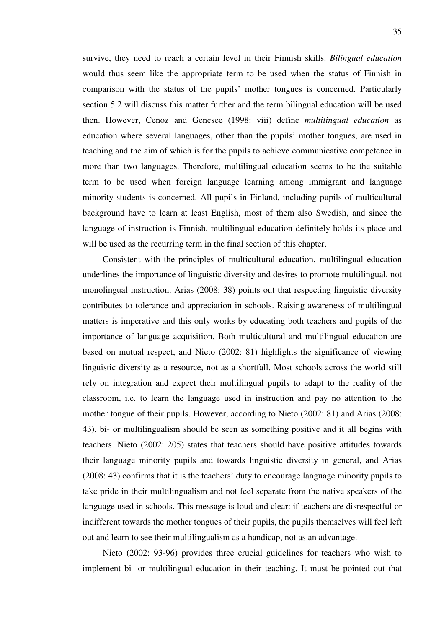survive, they need to reach a certain level in their Finnish skills. *Bilingual education*  would thus seem like the appropriate term to be used when the status of Finnish in comparison with the status of the pupils' mother tongues is concerned. Particularly section 5.2 will discuss this matter further and the term bilingual education will be used then. However, Cenoz and Genesee (1998: viii) define *multilingual education* as education where several languages, other than the pupils' mother tongues, are used in teaching and the aim of which is for the pupils to achieve communicative competence in more than two languages. Therefore, multilingual education seems to be the suitable term to be used when foreign language learning among immigrant and language minority students is concerned. All pupils in Finland, including pupils of multicultural background have to learn at least English, most of them also Swedish, and since the language of instruction is Finnish, multilingual education definitely holds its place and will be used as the recurring term in the final section of this chapter.

Consistent with the principles of multicultural education, multilingual education underlines the importance of linguistic diversity and desires to promote multilingual, not monolingual instruction. Arias (2008: 38) points out that respecting linguistic diversity contributes to tolerance and appreciation in schools. Raising awareness of multilingual matters is imperative and this only works by educating both teachers and pupils of the importance of language acquisition. Both multicultural and multilingual education are based on mutual respect, and Nieto (2002: 81) highlights the significance of viewing linguistic diversity as a resource, not as a shortfall. Most schools across the world still rely on integration and expect their multilingual pupils to adapt to the reality of the classroom, i.e. to learn the language used in instruction and pay no attention to the mother tongue of their pupils. However, according to Nieto (2002: 81) and Arias (2008: 43), bi- or multilingualism should be seen as something positive and it all begins with teachers. Nieto (2002: 205) states that teachers should have positive attitudes towards their language minority pupils and towards linguistic diversity in general, and Arias (2008: 43) confirms that it is the teachers' duty to encourage language minority pupils to take pride in their multilingualism and not feel separate from the native speakers of the language used in schools. This message is loud and clear: if teachers are disrespectful or indifferent towards the mother tongues of their pupils, the pupils themselves will feel left out and learn to see their multilingualism as a handicap, not as an advantage.

Nieto (2002: 93-96) provides three crucial guidelines for teachers who wish to implement bi- or multilingual education in their teaching. It must be pointed out that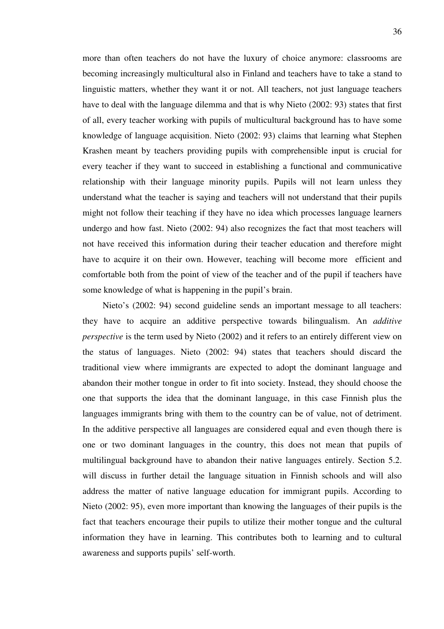more than often teachers do not have the luxury of choice anymore: classrooms are becoming increasingly multicultural also in Finland and teachers have to take a stand to linguistic matters, whether they want it or not. All teachers, not just language teachers have to deal with the language dilemma and that is why Nieto (2002: 93) states that first of all, every teacher working with pupils of multicultural background has to have some knowledge of language acquisition. Nieto (2002: 93) claims that learning what Stephen Krashen meant by teachers providing pupils with comprehensible input is crucial for every teacher if they want to succeed in establishing a functional and communicative relationship with their language minority pupils. Pupils will not learn unless they understand what the teacher is saying and teachers will not understand that their pupils might not follow their teaching if they have no idea which processes language learners undergo and how fast. Nieto (2002: 94) also recognizes the fact that most teachers will not have received this information during their teacher education and therefore might have to acquire it on their own. However, teaching will become more efficient and comfortable both from the point of view of the teacher and of the pupil if teachers have some knowledge of what is happening in the pupil's brain.

Nieto's (2002: 94) second guideline sends an important message to all teachers: they have to acquire an additive perspective towards bilingualism. An *additive perspective* is the term used by Nieto (2002) and it refers to an entirely different view on the status of languages. Nieto (2002: 94) states that teachers should discard the traditional view where immigrants are expected to adopt the dominant language and abandon their mother tongue in order to fit into society. Instead, they should choose the one that supports the idea that the dominant language, in this case Finnish plus the languages immigrants bring with them to the country can be of value, not of detriment. In the additive perspective all languages are considered equal and even though there is one or two dominant languages in the country, this does not mean that pupils of multilingual background have to abandon their native languages entirely. Section 5.2. will discuss in further detail the language situation in Finnish schools and will also address the matter of native language education for immigrant pupils. According to Nieto (2002: 95), even more important than knowing the languages of their pupils is the fact that teachers encourage their pupils to utilize their mother tongue and the cultural information they have in learning. This contributes both to learning and to cultural awareness and supports pupils' self-worth.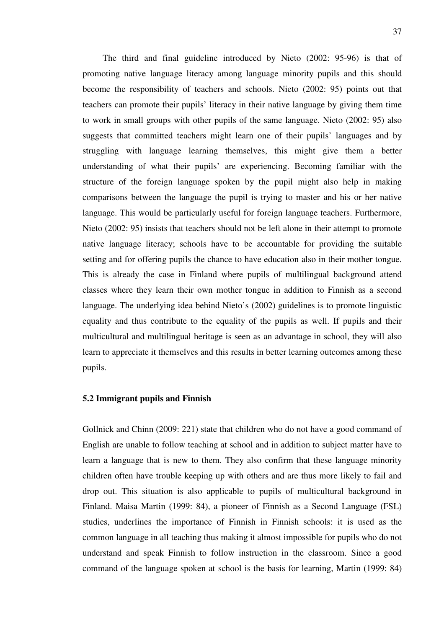The third and final guideline introduced by Nieto (2002: 95-96) is that of promoting native language literacy among language minority pupils and this should become the responsibility of teachers and schools. Nieto (2002: 95) points out that teachers can promote their pupils' literacy in their native language by giving them time to work in small groups with other pupils of the same language. Nieto (2002: 95) also suggests that committed teachers might learn one of their pupils' languages and by struggling with language learning themselves, this might give them a better understanding of what their pupils' are experiencing. Becoming familiar with the structure of the foreign language spoken by the pupil might also help in making comparisons between the language the pupil is trying to master and his or her native language. This would be particularly useful for foreign language teachers. Furthermore, Nieto (2002: 95) insists that teachers should not be left alone in their attempt to promote native language literacy; schools have to be accountable for providing the suitable setting and for offering pupils the chance to have education also in their mother tongue. This is already the case in Finland where pupils of multilingual background attend classes where they learn their own mother tongue in addition to Finnish as a second language. The underlying idea behind Nieto's (2002) guidelines is to promote linguistic equality and thus contribute to the equality of the pupils as well. If pupils and their multicultural and multilingual heritage is seen as an advantage in school, they will also learn to appreciate it themselves and this results in better learning outcomes among these pupils.

# **5.2 Immigrant pupils and Finnish**

Gollnick and Chinn (2009: 221) state that children who do not have a good command of English are unable to follow teaching at school and in addition to subject matter have to learn a language that is new to them. They also confirm that these language minority children often have trouble keeping up with others and are thus more likely to fail and drop out. This situation is also applicable to pupils of multicultural background in Finland. Maisa Martin (1999: 84), a pioneer of Finnish as a Second Language (FSL) studies, underlines the importance of Finnish in Finnish schools: it is used as the common language in all teaching thus making it almost impossible for pupils who do not understand and speak Finnish to follow instruction in the classroom. Since a good command of the language spoken at school is the basis for learning, Martin (1999: 84)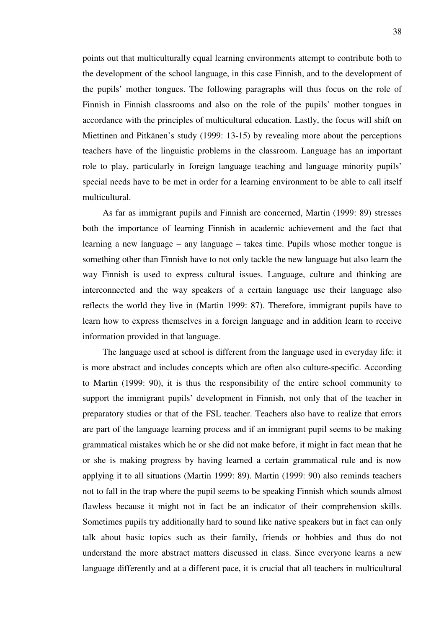points out that multiculturally equal learning environments attempt to contribute both to the development of the school language, in this case Finnish, and to the development of the pupils' mother tongues. The following paragraphs will thus focus on the role of Finnish in Finnish classrooms and also on the role of the pupils' mother tongues in accordance with the principles of multicultural education. Lastly, the focus will shift on Miettinen and Pitkänen's study (1999: 13-15) by revealing more about the perceptions teachers have of the linguistic problems in the classroom. Language has an important role to play, particularly in foreign language teaching and language minority pupils' special needs have to be met in order for a learning environment to be able to call itself multicultural.

As far as immigrant pupils and Finnish are concerned, Martin (1999: 89) stresses both the importance of learning Finnish in academic achievement and the fact that learning a new language – any language – takes time. Pupils whose mother tongue is something other than Finnish have to not only tackle the new language but also learn the way Finnish is used to express cultural issues. Language, culture and thinking are interconnected and the way speakers of a certain language use their language also reflects the world they live in (Martin 1999: 87). Therefore, immigrant pupils have to learn how to express themselves in a foreign language and in addition learn to receive information provided in that language.

The language used at school is different from the language used in everyday life: it is more abstract and includes concepts which are often also culture-specific. According to Martin (1999: 90), it is thus the responsibility of the entire school community to support the immigrant pupils' development in Finnish, not only that of the teacher in preparatory studies or that of the FSL teacher. Teachers also have to realize that errors are part of the language learning process and if an immigrant pupil seems to be making grammatical mistakes which he or she did not make before, it might in fact mean that he or she is making progress by having learned a certain grammatical rule and is now applying it to all situations (Martin 1999: 89). Martin (1999: 90) also reminds teachers not to fall in the trap where the pupil seems to be speaking Finnish which sounds almost flawless because it might not in fact be an indicator of their comprehension skills. Sometimes pupils try additionally hard to sound like native speakers but in fact can only talk about basic topics such as their family, friends or hobbies and thus do not understand the more abstract matters discussed in class. Since everyone learns a new language differently and at a different pace, it is crucial that all teachers in multicultural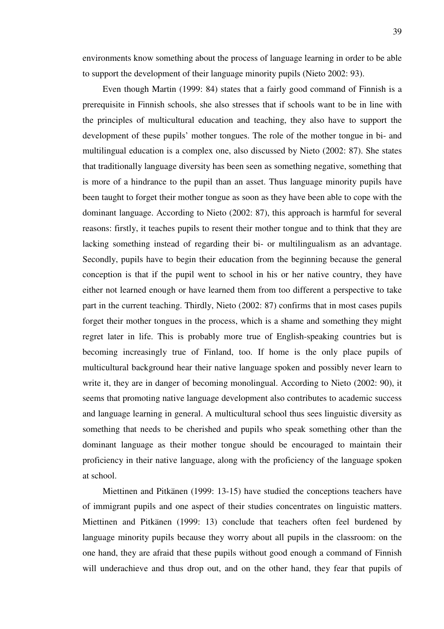environments know something about the process of language learning in order to be able to support the development of their language minority pupils (Nieto 2002: 93).

Even though Martin (1999: 84) states that a fairly good command of Finnish is a prerequisite in Finnish schools, she also stresses that if schools want to be in line with the principles of multicultural education and teaching, they also have to support the development of these pupils' mother tongues. The role of the mother tongue in bi- and multilingual education is a complex one, also discussed by Nieto (2002: 87). She states that traditionally language diversity has been seen as something negative, something that is more of a hindrance to the pupil than an asset. Thus language minority pupils have been taught to forget their mother tongue as soon as they have been able to cope with the dominant language. According to Nieto (2002: 87), this approach is harmful for several reasons: firstly, it teaches pupils to resent their mother tongue and to think that they are lacking something instead of regarding their bi- or multilingualism as an advantage. Secondly, pupils have to begin their education from the beginning because the general conception is that if the pupil went to school in his or her native country, they have either not learned enough or have learned them from too different a perspective to take part in the current teaching. Thirdly, Nieto (2002: 87) confirms that in most cases pupils forget their mother tongues in the process, which is a shame and something they might regret later in life. This is probably more true of English-speaking countries but is becoming increasingly true of Finland, too. If home is the only place pupils of multicultural background hear their native language spoken and possibly never learn to write it, they are in danger of becoming monolingual. According to Nieto (2002: 90), it seems that promoting native language development also contributes to academic success and language learning in general. A multicultural school thus sees linguistic diversity as something that needs to be cherished and pupils who speak something other than the dominant language as their mother tongue should be encouraged to maintain their proficiency in their native language, along with the proficiency of the language spoken at school.

Miettinen and Pitkänen (1999: 13-15) have studied the conceptions teachers have of immigrant pupils and one aspect of their studies concentrates on linguistic matters. Miettinen and Pitkänen (1999: 13) conclude that teachers often feel burdened by language minority pupils because they worry about all pupils in the classroom: on the one hand, they are afraid that these pupils without good enough a command of Finnish will underachieve and thus drop out, and on the other hand, they fear that pupils of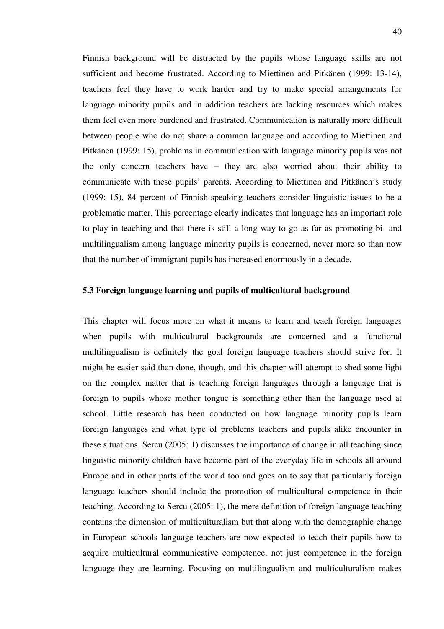Finnish background will be distracted by the pupils whose language skills are not sufficient and become frustrated. According to Miettinen and Pitkänen (1999: 13-14), teachers feel they have to work harder and try to make special arrangements for language minority pupils and in addition teachers are lacking resources which makes them feel even more burdened and frustrated. Communication is naturally more difficult between people who do not share a common language and according to Miettinen and Pitkänen (1999: 15), problems in communication with language minority pupils was not the only concern teachers have – they are also worried about their ability to communicate with these pupils' parents. According to Miettinen and Pitkänen's study (1999: 15), 84 percent of Finnish-speaking teachers consider linguistic issues to be a problematic matter. This percentage clearly indicates that language has an important role to play in teaching and that there is still a long way to go as far as promoting bi- and multilingualism among language minority pupils is concerned, never more so than now that the number of immigrant pupils has increased enormously in a decade.

# **5.3 Foreign language learning and pupils of multicultural background**

This chapter will focus more on what it means to learn and teach foreign languages when pupils with multicultural backgrounds are concerned and a functional multilingualism is definitely the goal foreign language teachers should strive for. It might be easier said than done, though, and this chapter will attempt to shed some light on the complex matter that is teaching foreign languages through a language that is foreign to pupils whose mother tongue is something other than the language used at school. Little research has been conducted on how language minority pupils learn foreign languages and what type of problems teachers and pupils alike encounter in these situations. Sercu (2005: 1) discusses the importance of change in all teaching since linguistic minority children have become part of the everyday life in schools all around Europe and in other parts of the world too and goes on to say that particularly foreign language teachers should include the promotion of multicultural competence in their teaching. According to Sercu (2005: 1), the mere definition of foreign language teaching contains the dimension of multiculturalism but that along with the demographic change in European schools language teachers are now expected to teach their pupils how to acquire multicultural communicative competence, not just competence in the foreign language they are learning. Focusing on multilingualism and multiculturalism makes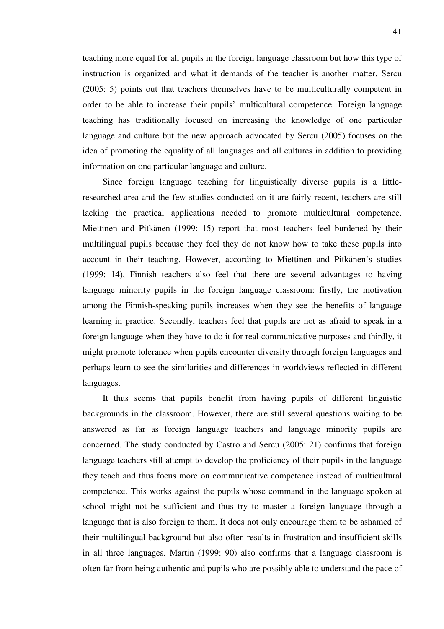teaching more equal for all pupils in the foreign language classroom but how this type of instruction is organized and what it demands of the teacher is another matter. Sercu (2005: 5) points out that teachers themselves have to be multiculturally competent in order to be able to increase their pupils' multicultural competence. Foreign language teaching has traditionally focused on increasing the knowledge of one particular language and culture but the new approach advocated by Sercu (2005) focuses on the idea of promoting the equality of all languages and all cultures in addition to providing information on one particular language and culture.

Since foreign language teaching for linguistically diverse pupils is a littleresearched area and the few studies conducted on it are fairly recent, teachers are still lacking the practical applications needed to promote multicultural competence. Miettinen and Pitkänen (1999: 15) report that most teachers feel burdened by their multilingual pupils because they feel they do not know how to take these pupils into account in their teaching. However, according to Miettinen and Pitkänen's studies (1999: 14), Finnish teachers also feel that there are several advantages to having language minority pupils in the foreign language classroom: firstly, the motivation among the Finnish-speaking pupils increases when they see the benefits of language learning in practice. Secondly, teachers feel that pupils are not as afraid to speak in a foreign language when they have to do it for real communicative purposes and thirdly, it might promote tolerance when pupils encounter diversity through foreign languages and perhaps learn to see the similarities and differences in worldviews reflected in different languages.

It thus seems that pupils benefit from having pupils of different linguistic backgrounds in the classroom. However, there are still several questions waiting to be answered as far as foreign language teachers and language minority pupils are concerned. The study conducted by Castro and Sercu (2005: 21) confirms that foreign language teachers still attempt to develop the proficiency of their pupils in the language they teach and thus focus more on communicative competence instead of multicultural competence. This works against the pupils whose command in the language spoken at school might not be sufficient and thus try to master a foreign language through a language that is also foreign to them. It does not only encourage them to be ashamed of their multilingual background but also often results in frustration and insufficient skills in all three languages. Martin (1999: 90) also confirms that a language classroom is often far from being authentic and pupils who are possibly able to understand the pace of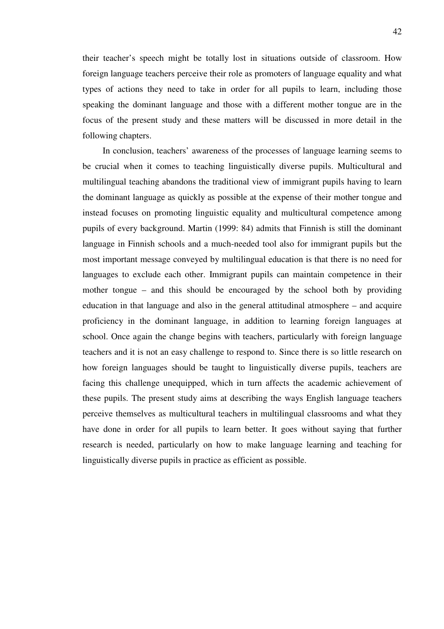their teacher's speech might be totally lost in situations outside of classroom. How foreign language teachers perceive their role as promoters of language equality and what types of actions they need to take in order for all pupils to learn, including those speaking the dominant language and those with a different mother tongue are in the focus of the present study and these matters will be discussed in more detail in the following chapters.

In conclusion, teachers' awareness of the processes of language learning seems to be crucial when it comes to teaching linguistically diverse pupils. Multicultural and multilingual teaching abandons the traditional view of immigrant pupils having to learn the dominant language as quickly as possible at the expense of their mother tongue and instead focuses on promoting linguistic equality and multicultural competence among pupils of every background. Martin (1999: 84) admits that Finnish is still the dominant language in Finnish schools and a much-needed tool also for immigrant pupils but the most important message conveyed by multilingual education is that there is no need for languages to exclude each other. Immigrant pupils can maintain competence in their mother tongue – and this should be encouraged by the school both by providing education in that language and also in the general attitudinal atmosphere – and acquire proficiency in the dominant language, in addition to learning foreign languages at school. Once again the change begins with teachers, particularly with foreign language teachers and it is not an easy challenge to respond to. Since there is so little research on how foreign languages should be taught to linguistically diverse pupils, teachers are facing this challenge unequipped, which in turn affects the academic achievement of these pupils. The present study aims at describing the ways English language teachers perceive themselves as multicultural teachers in multilingual classrooms and what they have done in order for all pupils to learn better. It goes without saying that further research is needed, particularly on how to make language learning and teaching for linguistically diverse pupils in practice as efficient as possible.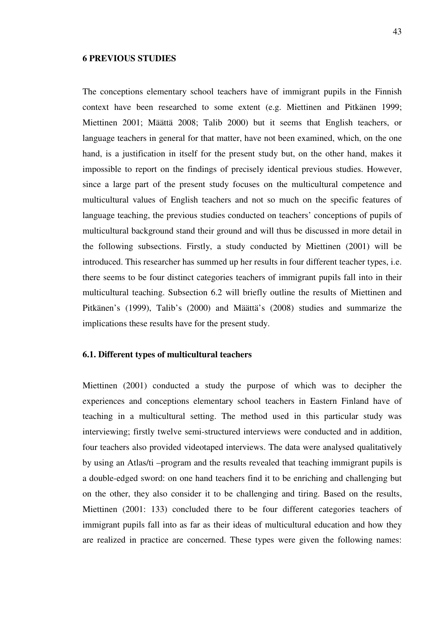## **6 PREVIOUS STUDIES**

The conceptions elementary school teachers have of immigrant pupils in the Finnish context have been researched to some extent (e.g. Miettinen and Pitkänen 1999; Miettinen 2001; Määttä 2008; Talib 2000) but it seems that English teachers, or language teachers in general for that matter, have not been examined, which, on the one hand, is a justification in itself for the present study but, on the other hand, makes it impossible to report on the findings of precisely identical previous studies. However, since a large part of the present study focuses on the multicultural competence and multicultural values of English teachers and not so much on the specific features of language teaching, the previous studies conducted on teachers' conceptions of pupils of multicultural background stand their ground and will thus be discussed in more detail in the following subsections. Firstly, a study conducted by Miettinen (2001) will be introduced. This researcher has summed up her results in four different teacher types, i.e. there seems to be four distinct categories teachers of immigrant pupils fall into in their multicultural teaching. Subsection 6.2 will briefly outline the results of Miettinen and Pitkänen's (1999), Talib's (2000) and Määttä's (2008) studies and summarize the implications these results have for the present study.

# **6.1. Different types of multicultural teachers**

Miettinen (2001) conducted a study the purpose of which was to decipher the experiences and conceptions elementary school teachers in Eastern Finland have of teaching in a multicultural setting. The method used in this particular study was interviewing; firstly twelve semi-structured interviews were conducted and in addition, four teachers also provided videotaped interviews. The data were analysed qualitatively by using an Atlas/ti –program and the results revealed that teaching immigrant pupils is a double-edged sword: on one hand teachers find it to be enriching and challenging but on the other, they also consider it to be challenging and tiring. Based on the results, Miettinen (2001: 133) concluded there to be four different categories teachers of immigrant pupils fall into as far as their ideas of multicultural education and how they are realized in practice are concerned. These types were given the following names: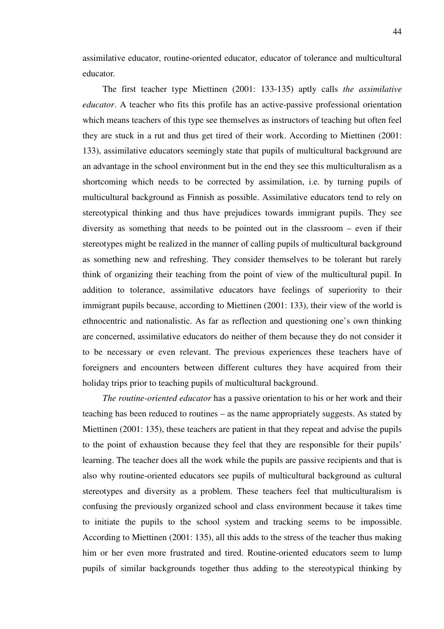assimilative educator, routine-oriented educator, educator of tolerance and multicultural educator*.*

The first teacher type Miettinen (2001: 133-135) aptly calls *the assimilative educator*. A teacher who fits this profile has an active-passive professional orientation which means teachers of this type see themselves as instructors of teaching but often feel they are stuck in a rut and thus get tired of their work. According to Miettinen (2001: 133), assimilative educators seemingly state that pupils of multicultural background are an advantage in the school environment but in the end they see this multiculturalism as a shortcoming which needs to be corrected by assimilation, i.e. by turning pupils of multicultural background as Finnish as possible. Assimilative educators tend to rely on stereotypical thinking and thus have prejudices towards immigrant pupils. They see diversity as something that needs to be pointed out in the classroom – even if their stereotypes might be realized in the manner of calling pupils of multicultural background as something new and refreshing. They consider themselves to be tolerant but rarely think of organizing their teaching from the point of view of the multicultural pupil. In addition to tolerance, assimilative educators have feelings of superiority to their immigrant pupils because, according to Miettinen (2001: 133), their view of the world is ethnocentric and nationalistic. As far as reflection and questioning one's own thinking are concerned, assimilative educators do neither of them because they do not consider it to be necessary or even relevant. The previous experiences these teachers have of foreigners and encounters between different cultures they have acquired from their holiday trips prior to teaching pupils of multicultural background.

*The routine-oriented educator* has a passive orientation to his or her work and their teaching has been reduced to routines – as the name appropriately suggests. As stated by Miettinen (2001: 135), these teachers are patient in that they repeat and advise the pupils to the point of exhaustion because they feel that they are responsible for their pupils' learning. The teacher does all the work while the pupils are passive recipients and that is also why routine-oriented educators see pupils of multicultural background as cultural stereotypes and diversity as a problem. These teachers feel that multiculturalism is confusing the previously organized school and class environment because it takes time to initiate the pupils to the school system and tracking seems to be impossible. According to Miettinen (2001: 135), all this adds to the stress of the teacher thus making him or her even more frustrated and tired. Routine-oriented educators seem to lump pupils of similar backgrounds together thus adding to the stereotypical thinking by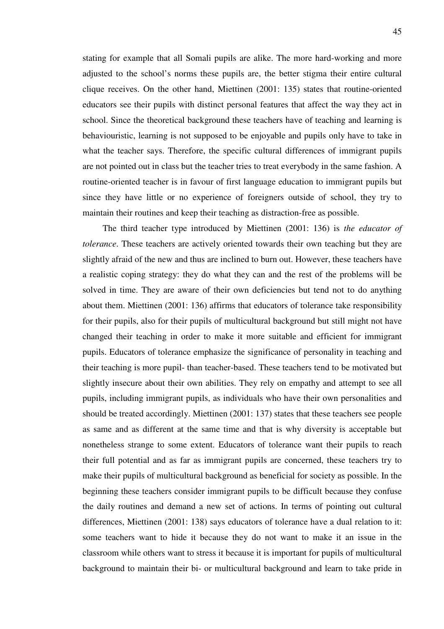stating for example that all Somali pupils are alike. The more hard-working and more adjusted to the school's norms these pupils are, the better stigma their entire cultural clique receives. On the other hand, Miettinen (2001: 135) states that routine-oriented educators see their pupils with distinct personal features that affect the way they act in school. Since the theoretical background these teachers have of teaching and learning is behaviouristic, learning is not supposed to be enjoyable and pupils only have to take in what the teacher says. Therefore, the specific cultural differences of immigrant pupils are not pointed out in class but the teacher tries to treat everybody in the same fashion. A routine-oriented teacher is in favour of first language education to immigrant pupils but since they have little or no experience of foreigners outside of school, they try to maintain their routines and keep their teaching as distraction-free as possible.

The third teacher type introduced by Miettinen (2001: 136) is *the educator of tolerance*. These teachers are actively oriented towards their own teaching but they are slightly afraid of the new and thus are inclined to burn out. However, these teachers have a realistic coping strategy: they do what they can and the rest of the problems will be solved in time. They are aware of their own deficiencies but tend not to do anything about them. Miettinen (2001: 136) affirms that educators of tolerance take responsibility for their pupils, also for their pupils of multicultural background but still might not have changed their teaching in order to make it more suitable and efficient for immigrant pupils. Educators of tolerance emphasize the significance of personality in teaching and their teaching is more pupil- than teacher-based. These teachers tend to be motivated but slightly insecure about their own abilities. They rely on empathy and attempt to see all pupils, including immigrant pupils, as individuals who have their own personalities and should be treated accordingly. Miettinen (2001: 137) states that these teachers see people as same and as different at the same time and that is why diversity is acceptable but nonetheless strange to some extent. Educators of tolerance want their pupils to reach their full potential and as far as immigrant pupils are concerned, these teachers try to make their pupils of multicultural background as beneficial for society as possible. In the beginning these teachers consider immigrant pupils to be difficult because they confuse the daily routines and demand a new set of actions. In terms of pointing out cultural differences, Miettinen (2001: 138) says educators of tolerance have a dual relation to it: some teachers want to hide it because they do not want to make it an issue in the classroom while others want to stress it because it is important for pupils of multicultural background to maintain their bi- or multicultural background and learn to take pride in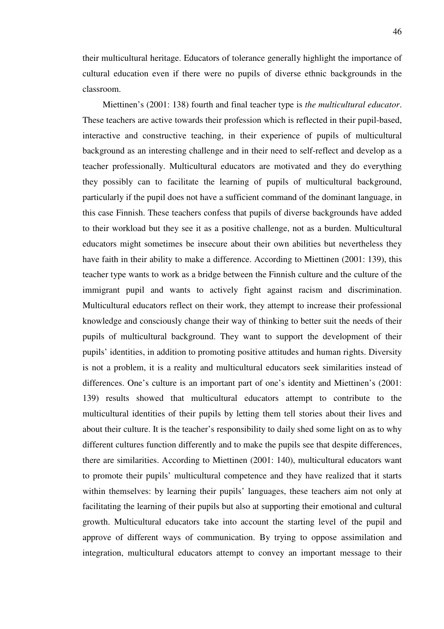their multicultural heritage. Educators of tolerance generally highlight the importance of cultural education even if there were no pupils of diverse ethnic backgrounds in the classroom.

Miettinen's (2001: 138) fourth and final teacher type is *the multicultural educator*. These teachers are active towards their profession which is reflected in their pupil-based, interactive and constructive teaching, in their experience of pupils of multicultural background as an interesting challenge and in their need to self-reflect and develop as a teacher professionally. Multicultural educators are motivated and they do everything they possibly can to facilitate the learning of pupils of multicultural background, particularly if the pupil does not have a sufficient command of the dominant language, in this case Finnish. These teachers confess that pupils of diverse backgrounds have added to their workload but they see it as a positive challenge, not as a burden. Multicultural educators might sometimes be insecure about their own abilities but nevertheless they have faith in their ability to make a difference. According to Miettinen (2001: 139), this teacher type wants to work as a bridge between the Finnish culture and the culture of the immigrant pupil and wants to actively fight against racism and discrimination. Multicultural educators reflect on their work, they attempt to increase their professional knowledge and consciously change their way of thinking to better suit the needs of their pupils of multicultural background. They want to support the development of their pupils' identities, in addition to promoting positive attitudes and human rights. Diversity is not a problem, it is a reality and multicultural educators seek similarities instead of differences. One's culture is an important part of one's identity and Miettinen's (2001: 139) results showed that multicultural educators attempt to contribute to the multicultural identities of their pupils by letting them tell stories about their lives and about their culture. It is the teacher's responsibility to daily shed some light on as to why different cultures function differently and to make the pupils see that despite differences, there are similarities. According to Miettinen (2001: 140), multicultural educators want to promote their pupils' multicultural competence and they have realized that it starts within themselves: by learning their pupils' languages, these teachers aim not only at facilitating the learning of their pupils but also at supporting their emotional and cultural growth. Multicultural educators take into account the starting level of the pupil and approve of different ways of communication. By trying to oppose assimilation and integration, multicultural educators attempt to convey an important message to their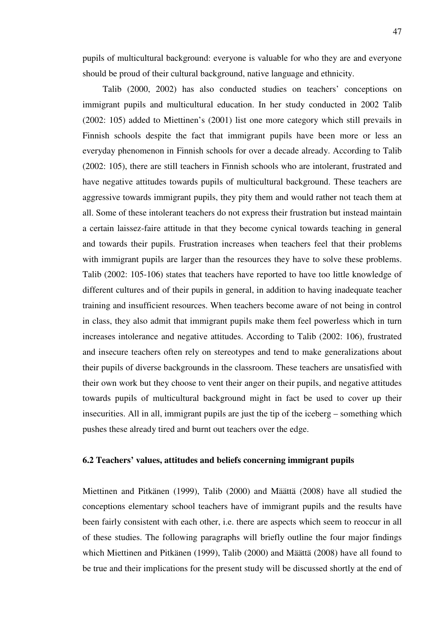pupils of multicultural background: everyone is valuable for who they are and everyone should be proud of their cultural background, native language and ethnicity.

Talib (2000, 2002) has also conducted studies on teachers' conceptions on immigrant pupils and multicultural education. In her study conducted in 2002 Talib (2002: 105) added to Miettinen's (2001) list one more category which still prevails in Finnish schools despite the fact that immigrant pupils have been more or less an everyday phenomenon in Finnish schools for over a decade already. According to Talib (2002: 105), there are still teachers in Finnish schools who are intolerant, frustrated and have negative attitudes towards pupils of multicultural background. These teachers are aggressive towards immigrant pupils, they pity them and would rather not teach them at all. Some of these intolerant teachers do not express their frustration but instead maintain a certain laissez-faire attitude in that they become cynical towards teaching in general and towards their pupils. Frustration increases when teachers feel that their problems with immigrant pupils are larger than the resources they have to solve these problems. Talib (2002: 105-106) states that teachers have reported to have too little knowledge of different cultures and of their pupils in general, in addition to having inadequate teacher training and insufficient resources. When teachers become aware of not being in control in class, they also admit that immigrant pupils make them feel powerless which in turn increases intolerance and negative attitudes. According to Talib (2002: 106), frustrated and insecure teachers often rely on stereotypes and tend to make generalizations about their pupils of diverse backgrounds in the classroom. These teachers are unsatisfied with their own work but they choose to vent their anger on their pupils, and negative attitudes towards pupils of multicultural background might in fact be used to cover up their insecurities. All in all, immigrant pupils are just the tip of the iceberg – something which pushes these already tired and burnt out teachers over the edge.

# **6.2 Teachers' values, attitudes and beliefs concerning immigrant pupils**

Miettinen and Pitkänen (1999), Talib (2000) and Määttä (2008) have all studied the conceptions elementary school teachers have of immigrant pupils and the results have been fairly consistent with each other, i.e. there are aspects which seem to reoccur in all of these studies. The following paragraphs will briefly outline the four major findings which Miettinen and Pitkänen (1999), Talib (2000) and Määttä (2008) have all found to be true and their implications for the present study will be discussed shortly at the end of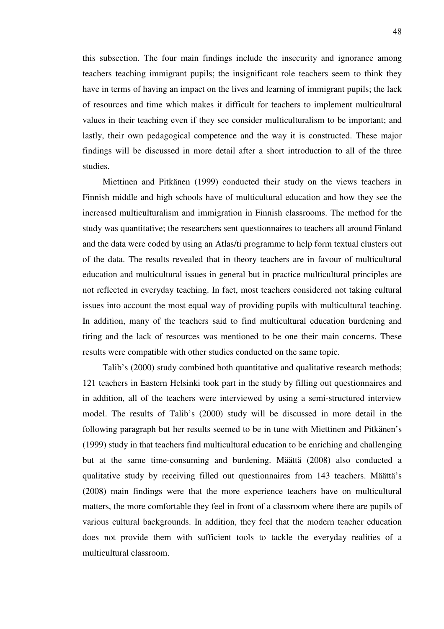this subsection. The four main findings include the insecurity and ignorance among teachers teaching immigrant pupils; the insignificant role teachers seem to think they have in terms of having an impact on the lives and learning of immigrant pupils; the lack of resources and time which makes it difficult for teachers to implement multicultural values in their teaching even if they see consider multiculturalism to be important; and lastly, their own pedagogical competence and the way it is constructed. These major findings will be discussed in more detail after a short introduction to all of the three studies.

Miettinen and Pitkänen (1999) conducted their study on the views teachers in Finnish middle and high schools have of multicultural education and how they see the increased multiculturalism and immigration in Finnish classrooms. The method for the study was quantitative; the researchers sent questionnaires to teachers all around Finland and the data were coded by using an Atlas/ti programme to help form textual clusters out of the data. The results revealed that in theory teachers are in favour of multicultural education and multicultural issues in general but in practice multicultural principles are not reflected in everyday teaching. In fact, most teachers considered not taking cultural issues into account the most equal way of providing pupils with multicultural teaching. In addition, many of the teachers said to find multicultural education burdening and tiring and the lack of resources was mentioned to be one their main concerns. These results were compatible with other studies conducted on the same topic.

Talib's (2000) study combined both quantitative and qualitative research methods; 121 teachers in Eastern Helsinki took part in the study by filling out questionnaires and in addition, all of the teachers were interviewed by using a semi-structured interview model. The results of Talib's (2000) study will be discussed in more detail in the following paragraph but her results seemed to be in tune with Miettinen and Pitkänen's (1999) study in that teachers find multicultural education to be enriching and challenging but at the same time-consuming and burdening. Määttä (2008) also conducted a qualitative study by receiving filled out questionnaires from 143 teachers. Määttä's (2008) main findings were that the more experience teachers have on multicultural matters, the more comfortable they feel in front of a classroom where there are pupils of various cultural backgrounds. In addition, they feel that the modern teacher education does not provide them with sufficient tools to tackle the everyday realities of a multicultural classroom.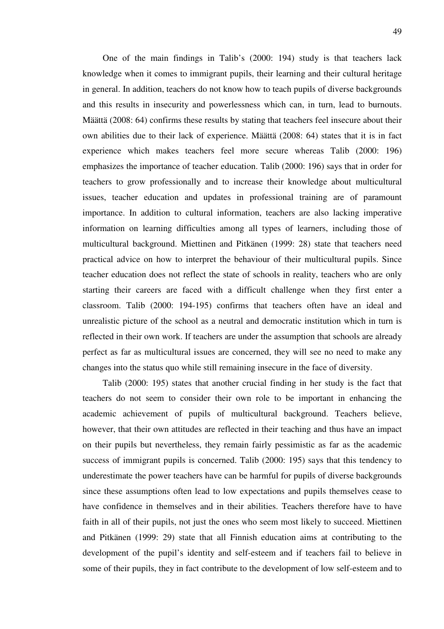One of the main findings in Talib's (2000: 194) study is that teachers lack knowledge when it comes to immigrant pupils, their learning and their cultural heritage in general. In addition, teachers do not know how to teach pupils of diverse backgrounds and this results in insecurity and powerlessness which can, in turn, lead to burnouts. Määttä (2008: 64) confirms these results by stating that teachers feel insecure about their own abilities due to their lack of experience. Määttä (2008: 64) states that it is in fact experience which makes teachers feel more secure whereas Talib (2000: 196) emphasizes the importance of teacher education. Talib (2000: 196) says that in order for teachers to grow professionally and to increase their knowledge about multicultural issues, teacher education and updates in professional training are of paramount importance. In addition to cultural information, teachers are also lacking imperative information on learning difficulties among all types of learners, including those of multicultural background. Miettinen and Pitkänen (1999: 28) state that teachers need practical advice on how to interpret the behaviour of their multicultural pupils. Since teacher education does not reflect the state of schools in reality, teachers who are only starting their careers are faced with a difficult challenge when they first enter a classroom. Talib (2000: 194-195) confirms that teachers often have an ideal and unrealistic picture of the school as a neutral and democratic institution which in turn is reflected in their own work. If teachers are under the assumption that schools are already perfect as far as multicultural issues are concerned, they will see no need to make any changes into the status quo while still remaining insecure in the face of diversity.

Talib (2000: 195) states that another crucial finding in her study is the fact that teachers do not seem to consider their own role to be important in enhancing the academic achievement of pupils of multicultural background. Teachers believe, however, that their own attitudes are reflected in their teaching and thus have an impact on their pupils but nevertheless, they remain fairly pessimistic as far as the academic success of immigrant pupils is concerned. Talib (2000: 195) says that this tendency to underestimate the power teachers have can be harmful for pupils of diverse backgrounds since these assumptions often lead to low expectations and pupils themselves cease to have confidence in themselves and in their abilities. Teachers therefore have to have faith in all of their pupils, not just the ones who seem most likely to succeed. Miettinen and Pitkänen (1999: 29) state that all Finnish education aims at contributing to the development of the pupil's identity and self-esteem and if teachers fail to believe in some of their pupils, they in fact contribute to the development of low self-esteem and to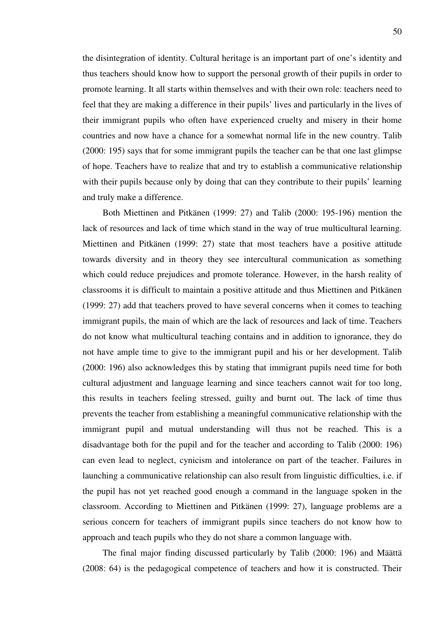the disintegration of identity. Cultural heritage is an important part of one's identity and thus teachers should know how to support the personal growth of their pupils in order to promote learning. It all starts within themselves and with their own role: teachers need to feel that they are making a difference in their pupils' lives and particularly in the lives of their immigrant pupils who often have experienced cruelty and misery in their home countries and now have a chance for a somewhat normal life in the new country. Talib (2000: 195) says that for some immigrant pupils the teacher can be that one last glimpse of hope. Teachers have to realize that and try to establish a communicative relationship with their pupils because only by doing that can they contribute to their pupils' learning and truly make a difference.

Both Miettinen and Pitkänen (1999: 27) and Talib (2000: 195-196) mention the lack of resources and lack of time which stand in the way of true multicultural learning. Miettinen and Pitkänen (1999: 27) state that most teachers have a positive attitude towards diversity and in theory they see intercultural communication as something which could reduce prejudices and promote tolerance. However, in the harsh reality of classrooms it is difficult to maintain a positive attitude and thus Miettinen and Pitkänen (1999: 27) add that teachers proved to have several concerns when it comes to teaching immigrant pupils, the main of which are the lack of resources and lack of time. Teachers do not know what multicultural teaching contains and in addition to ignorance, they do not have ample time to give to the immigrant pupil and his or her development. Talib (2000: 196) also acknowledges this by stating that immigrant pupils need time for both cultural adjustment and language learning and since teachers cannot wait for too long, this results in teachers feeling stressed, guilty and burnt out. The lack of time thus prevents the teacher from establishing a meaningful communicative relationship with the immigrant pupil and mutual understanding will thus not be reached. This is a disadvantage both for the pupil and for the teacher and according to Talib (2000: 196) can even lead to neglect, cynicism and intolerance on part of the teacher. Failures in launching a communicative relationship can also result from linguistic difficulties, i.e. if the pupil has not yet reached good enough a command in the language spoken in the classroom. According to Miettinen and Pitkänen (1999: 27), language problems are a serious concern for teachers of immigrant pupils since teachers do not know how to approach and teach pupils who they do not share a common language with.

The final major finding discussed particularly by Talib (2000: 196) and Määttä (2008: 64) is the pedagogical competence of teachers and how it is constructed. Their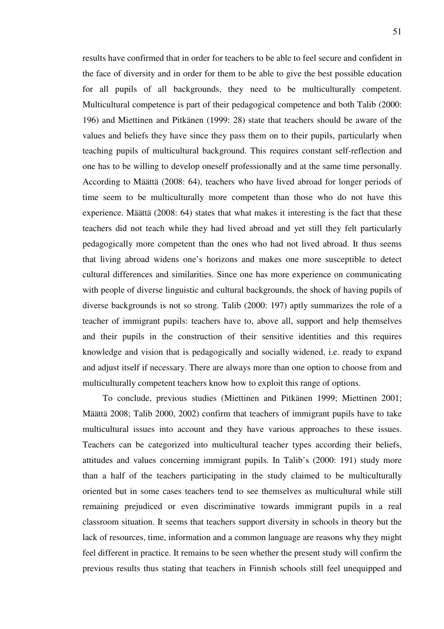results have confirmed that in order for teachers to be able to feel secure and confident in the face of diversity and in order for them to be able to give the best possible education for all pupils of all backgrounds, they need to be multiculturally competent. Multicultural competence is part of their pedagogical competence and both Talib (2000: 196) and Miettinen and Pitkänen (1999: 28) state that teachers should be aware of the values and beliefs they have since they pass them on to their pupils, particularly when teaching pupils of multicultural background. This requires constant self-reflection and one has to be willing to develop oneself professionally and at the same time personally. According to Määttä (2008: 64), teachers who have lived abroad for longer periods of time seem to be multiculturally more competent than those who do not have this experience. Määttä (2008: 64) states that what makes it interesting is the fact that these teachers did not teach while they had lived abroad and yet still they felt particularly pedagogically more competent than the ones who had not lived abroad. It thus seems that living abroad widens one's horizons and makes one more susceptible to detect cultural differences and similarities. Since one has more experience on communicating with people of diverse linguistic and cultural backgrounds, the shock of having pupils of diverse backgrounds is not so strong. Talib (2000: 197) aptly summarizes the role of a teacher of immigrant pupils: teachers have to, above all, support and help themselves and their pupils in the construction of their sensitive identities and this requires knowledge and vision that is pedagogically and socially widened, i.e. ready to expand and adjust itself if necessary. There are always more than one option to choose from and multiculturally competent teachers know how to exploit this range of options.

To conclude, previous studies (Miettinen and Pitkänen 1999; Miettinen 2001; Määttä 2008; Talib 2000, 2002) confirm that teachers of immigrant pupils have to take multicultural issues into account and they have various approaches to these issues. Teachers can be categorized into multicultural teacher types according their beliefs, attitudes and values concerning immigrant pupils. In Talib's (2000: 191) study more than a half of the teachers participating in the study claimed to be multiculturally oriented but in some cases teachers tend to see themselves as multicultural while still remaining prejudiced or even discriminative towards immigrant pupils in a real classroom situation. It seems that teachers support diversity in schools in theory but the lack of resources, time, information and a common language are reasons why they might feel different in practice. It remains to be seen whether the present study will confirm the previous results thus stating that teachers in Finnish schools still feel unequipped and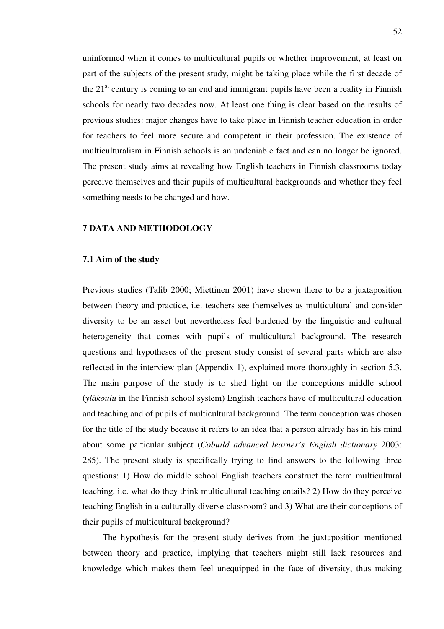uninformed when it comes to multicultural pupils or whether improvement, at least on part of the subjects of the present study, might be taking place while the first decade of the  $21<sup>st</sup>$  century is coming to an end and immigrant pupils have been a reality in Finnish schools for nearly two decades now. At least one thing is clear based on the results of previous studies: major changes have to take place in Finnish teacher education in order for teachers to feel more secure and competent in their profession. The existence of multiculturalism in Finnish schools is an undeniable fact and can no longer be ignored. The present study aims at revealing how English teachers in Finnish classrooms today perceive themselves and their pupils of multicultural backgrounds and whether they feel something needs to be changed and how.

# **7 DATA AND METHODOLOGY**

#### **7.1 Aim of the study**

Previous studies (Talib 2000; Miettinen 2001) have shown there to be a juxtaposition between theory and practice, i.e. teachers see themselves as multicultural and consider diversity to be an asset but nevertheless feel burdened by the linguistic and cultural heterogeneity that comes with pupils of multicultural background. The research questions and hypotheses of the present study consist of several parts which are also reflected in the interview plan (Appendix 1), explained more thoroughly in section 5.3. The main purpose of the study is to shed light on the conceptions middle school (*yläkoulu* in the Finnish school system) English teachers have of multicultural education and teaching and of pupils of multicultural background. The term conception was chosen for the title of the study because it refers to an idea that a person already has in his mind about some particular subject (*Cobuild advanced learner's English dictionary* 2003: 285). The present study is specifically trying to find answers to the following three questions: 1) How do middle school English teachers construct the term multicultural teaching, i.e. what do they think multicultural teaching entails? 2) How do they perceive teaching English in a culturally diverse classroom? and 3) What are their conceptions of their pupils of multicultural background?

The hypothesis for the present study derives from the juxtaposition mentioned between theory and practice, implying that teachers might still lack resources and knowledge which makes them feel unequipped in the face of diversity, thus making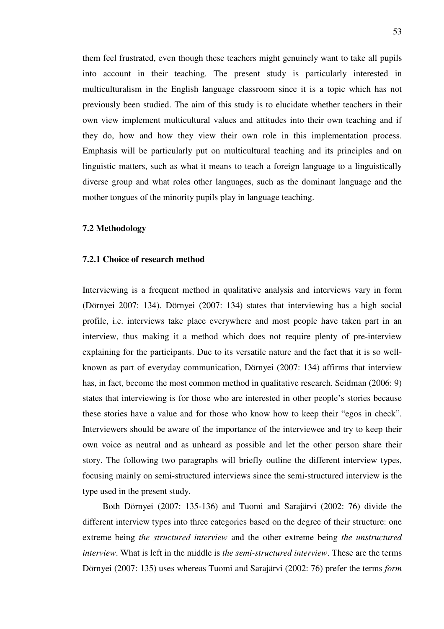them feel frustrated, even though these teachers might genuinely want to take all pupils into account in their teaching. The present study is particularly interested in multiculturalism in the English language classroom since it is a topic which has not previously been studied. The aim of this study is to elucidate whether teachers in their own view implement multicultural values and attitudes into their own teaching and if they do, how and how they view their own role in this implementation process. Emphasis will be particularly put on multicultural teaching and its principles and on linguistic matters, such as what it means to teach a foreign language to a linguistically diverse group and what roles other languages, such as the dominant language and the mother tongues of the minority pupils play in language teaching.

## **7.2 Methodology**

# **7.2.1 Choice of research method**

Interviewing is a frequent method in qualitative analysis and interviews vary in form (Dörnyei 2007: 134). Dörnyei (2007: 134) states that interviewing has a high social profile, i.e. interviews take place everywhere and most people have taken part in an interview, thus making it a method which does not require plenty of pre-interview explaining for the participants. Due to its versatile nature and the fact that it is so wellknown as part of everyday communication, Dörnyei (2007: 134) affirms that interview has, in fact, become the most common method in qualitative research. Seidman (2006: 9) states that interviewing is for those who are interested in other people's stories because these stories have a value and for those who know how to keep their "egos in check". Interviewers should be aware of the importance of the interviewee and try to keep their own voice as neutral and as unheard as possible and let the other person share their story. The following two paragraphs will briefly outline the different interview types, focusing mainly on semi-structured interviews since the semi-structured interview is the type used in the present study.

Both Dörnyei (2007: 135-136) and Tuomi and Sarajärvi (2002: 76) divide the different interview types into three categories based on the degree of their structure: one extreme being *the structured interview* and the other extreme being *the unstructured interview*. What is left in the middle is *the semi-structured interview*. These are the terms Dörnyei (2007: 135) uses whereas Tuomi and Sarajärvi (2002: 76) prefer the terms *form*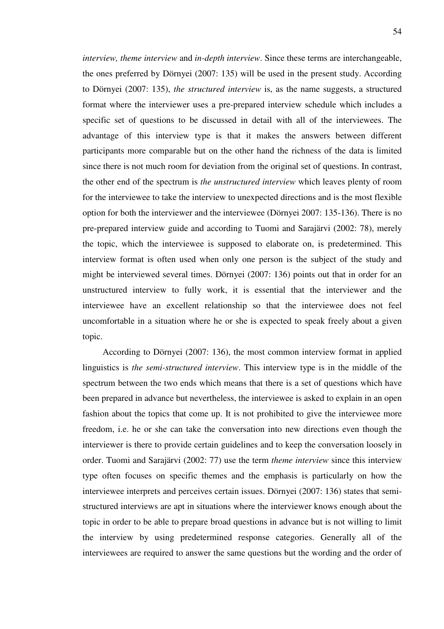*interview, theme interview* and *in-depth interview*. Since these terms are interchangeable, the ones preferred by Dörnyei (2007: 135) will be used in the present study. According to Dörnyei (2007: 135), *the structured interview* is, as the name suggests, a structured format where the interviewer uses a pre-prepared interview schedule which includes a specific set of questions to be discussed in detail with all of the interviewees. The advantage of this interview type is that it makes the answers between different participants more comparable but on the other hand the richness of the data is limited since there is not much room for deviation from the original set of questions. In contrast, the other end of the spectrum is *the unstructured interview* which leaves plenty of room for the interviewee to take the interview to unexpected directions and is the most flexible option for both the interviewer and the interviewee (Dörnyei 2007: 135-136). There is no pre-prepared interview guide and according to Tuomi and Sarajärvi (2002: 78), merely the topic, which the interviewee is supposed to elaborate on, is predetermined. This interview format is often used when only one person is the subject of the study and might be interviewed several times. Dörnyei (2007: 136) points out that in order for an unstructured interview to fully work, it is essential that the interviewer and the interviewee have an excellent relationship so that the interviewee does not feel uncomfortable in a situation where he or she is expected to speak freely about a given topic.

According to Dörnyei (2007: 136), the most common interview format in applied linguistics is *the semi-structured interview*. This interview type is in the middle of the spectrum between the two ends which means that there is a set of questions which have been prepared in advance but nevertheless, the interviewee is asked to explain in an open fashion about the topics that come up. It is not prohibited to give the interviewee more freedom, i.e. he or she can take the conversation into new directions even though the interviewer is there to provide certain guidelines and to keep the conversation loosely in order. Tuomi and Sarajärvi (2002: 77) use the term *theme interview* since this interview type often focuses on specific themes and the emphasis is particularly on how the interviewee interprets and perceives certain issues. Dörnyei (2007: 136) states that semistructured interviews are apt in situations where the interviewer knows enough about the topic in order to be able to prepare broad questions in advance but is not willing to limit the interview by using predetermined response categories. Generally all of the interviewees are required to answer the same questions but the wording and the order of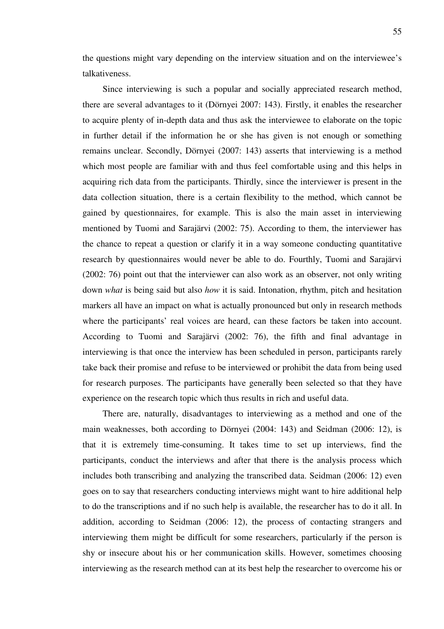the questions might vary depending on the interview situation and on the interviewee's talkativeness.

Since interviewing is such a popular and socially appreciated research method, there are several advantages to it (Dörnyei 2007: 143). Firstly, it enables the researcher to acquire plenty of in-depth data and thus ask the interviewee to elaborate on the topic in further detail if the information he or she has given is not enough or something remains unclear. Secondly, Dörnyei (2007: 143) asserts that interviewing is a method which most people are familiar with and thus feel comfortable using and this helps in acquiring rich data from the participants. Thirdly, since the interviewer is present in the data collection situation, there is a certain flexibility to the method, which cannot be gained by questionnaires, for example. This is also the main asset in interviewing mentioned by Tuomi and Sarajärvi (2002: 75). According to them, the interviewer has the chance to repeat a question or clarify it in a way someone conducting quantitative research by questionnaires would never be able to do. Fourthly, Tuomi and Sarajärvi (2002: 76) point out that the interviewer can also work as an observer, not only writing down *what* is being said but also *how* it is said. Intonation, rhythm, pitch and hesitation markers all have an impact on what is actually pronounced but only in research methods where the participants' real voices are heard, can these factors be taken into account. According to Tuomi and Sarajärvi (2002: 76), the fifth and final advantage in interviewing is that once the interview has been scheduled in person, participants rarely take back their promise and refuse to be interviewed or prohibit the data from being used for research purposes. The participants have generally been selected so that they have experience on the research topic which thus results in rich and useful data.

There are, naturally, disadvantages to interviewing as a method and one of the main weaknesses, both according to Dörnyei (2004: 143) and Seidman (2006: 12), is that it is extremely time-consuming. It takes time to set up interviews, find the participants, conduct the interviews and after that there is the analysis process which includes both transcribing and analyzing the transcribed data. Seidman (2006: 12) even goes on to say that researchers conducting interviews might want to hire additional help to do the transcriptions and if no such help is available, the researcher has to do it all. In addition, according to Seidman (2006: 12), the process of contacting strangers and interviewing them might be difficult for some researchers, particularly if the person is shy or insecure about his or her communication skills. However, sometimes choosing interviewing as the research method can at its best help the researcher to overcome his or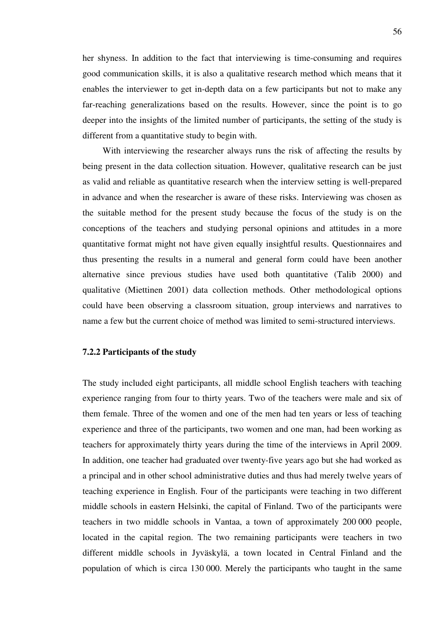her shyness. In addition to the fact that interviewing is time-consuming and requires good communication skills, it is also a qualitative research method which means that it enables the interviewer to get in-depth data on a few participants but not to make any far-reaching generalizations based on the results. However, since the point is to go deeper into the insights of the limited number of participants, the setting of the study is different from a quantitative study to begin with.

With interviewing the researcher always runs the risk of affecting the results by being present in the data collection situation. However, qualitative research can be just as valid and reliable as quantitative research when the interview setting is well-prepared in advance and when the researcher is aware of these risks. Interviewing was chosen as the suitable method for the present study because the focus of the study is on the conceptions of the teachers and studying personal opinions and attitudes in a more quantitative format might not have given equally insightful results. Questionnaires and thus presenting the results in a numeral and general form could have been another alternative since previous studies have used both quantitative (Talib 2000) and qualitative (Miettinen 2001) data collection methods. Other methodological options could have been observing a classroom situation, group interviews and narratives to name a few but the current choice of method was limited to semi-structured interviews.

### **7.2.2 Participants of the study**

The study included eight participants, all middle school English teachers with teaching experience ranging from four to thirty years. Two of the teachers were male and six of them female. Three of the women and one of the men had ten years or less of teaching experience and three of the participants, two women and one man, had been working as teachers for approximately thirty years during the time of the interviews in April 2009. In addition, one teacher had graduated over twenty-five years ago but she had worked as a principal and in other school administrative duties and thus had merely twelve years of teaching experience in English. Four of the participants were teaching in two different middle schools in eastern Helsinki, the capital of Finland. Two of the participants were teachers in two middle schools in Vantaa, a town of approximately 200 000 people, located in the capital region. The two remaining participants were teachers in two different middle schools in Jyväskylä, a town located in Central Finland and the population of which is circa 130 000. Merely the participants who taught in the same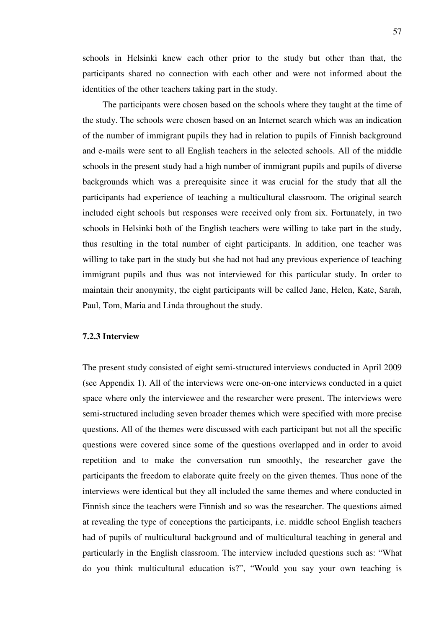schools in Helsinki knew each other prior to the study but other than that, the participants shared no connection with each other and were not informed about the identities of the other teachers taking part in the study.

The participants were chosen based on the schools where they taught at the time of the study. The schools were chosen based on an Internet search which was an indication of the number of immigrant pupils they had in relation to pupils of Finnish background and e-mails were sent to all English teachers in the selected schools. All of the middle schools in the present study had a high number of immigrant pupils and pupils of diverse backgrounds which was a prerequisite since it was crucial for the study that all the participants had experience of teaching a multicultural classroom. The original search included eight schools but responses were received only from six. Fortunately, in two schools in Helsinki both of the English teachers were willing to take part in the study, thus resulting in the total number of eight participants. In addition, one teacher was willing to take part in the study but she had not had any previous experience of teaching immigrant pupils and thus was not interviewed for this particular study. In order to maintain their anonymity, the eight participants will be called Jane, Helen, Kate, Sarah, Paul, Tom, Maria and Linda throughout the study.

# **7.2.3 Interview**

The present study consisted of eight semi-structured interviews conducted in April 2009 (see Appendix 1). All of the interviews were one-on-one interviews conducted in a quiet space where only the interviewee and the researcher were present. The interviews were semi-structured including seven broader themes which were specified with more precise questions. All of the themes were discussed with each participant but not all the specific questions were covered since some of the questions overlapped and in order to avoid repetition and to make the conversation run smoothly, the researcher gave the participants the freedom to elaborate quite freely on the given themes. Thus none of the interviews were identical but they all included the same themes and where conducted in Finnish since the teachers were Finnish and so was the researcher. The questions aimed at revealing the type of conceptions the participants, i.e. middle school English teachers had of pupils of multicultural background and of multicultural teaching in general and particularly in the English classroom. The interview included questions such as: "What do you think multicultural education is?", "Would you say your own teaching is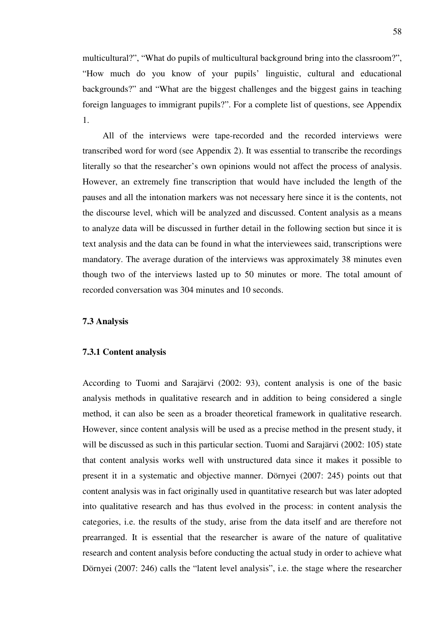multicultural?", "What do pupils of multicultural background bring into the classroom?", "How much do you know of your pupils' linguistic, cultural and educational backgrounds?" and "What are the biggest challenges and the biggest gains in teaching foreign languages to immigrant pupils?". For a complete list of questions, see Appendix 1.

All of the interviews were tape-recorded and the recorded interviews were transcribed word for word (see Appendix 2). It was essential to transcribe the recordings literally so that the researcher's own opinions would not affect the process of analysis. However, an extremely fine transcription that would have included the length of the pauses and all the intonation markers was not necessary here since it is the contents, not the discourse level, which will be analyzed and discussed. Content analysis as a means to analyze data will be discussed in further detail in the following section but since it is text analysis and the data can be found in what the interviewees said, transcriptions were mandatory. The average duration of the interviews was approximately 38 minutes even though two of the interviews lasted up to 50 minutes or more. The total amount of recorded conversation was 304 minutes and 10 seconds.

#### **7.3 Analysis**

### **7.3.1 Content analysis**

According to Tuomi and Sarajärvi (2002: 93), content analysis is one of the basic analysis methods in qualitative research and in addition to being considered a single method, it can also be seen as a broader theoretical framework in qualitative research. However, since content analysis will be used as a precise method in the present study, it will be discussed as such in this particular section. Tuomi and Sarajärvi (2002: 105) state that content analysis works well with unstructured data since it makes it possible to present it in a systematic and objective manner. Dörnyei (2007: 245) points out that content analysis was in fact originally used in quantitative research but was later adopted into qualitative research and has thus evolved in the process: in content analysis the categories, i.e. the results of the study, arise from the data itself and are therefore not prearranged. It is essential that the researcher is aware of the nature of qualitative research and content analysis before conducting the actual study in order to achieve what Dörnyei (2007: 246) calls the "latent level analysis", i.e. the stage where the researcher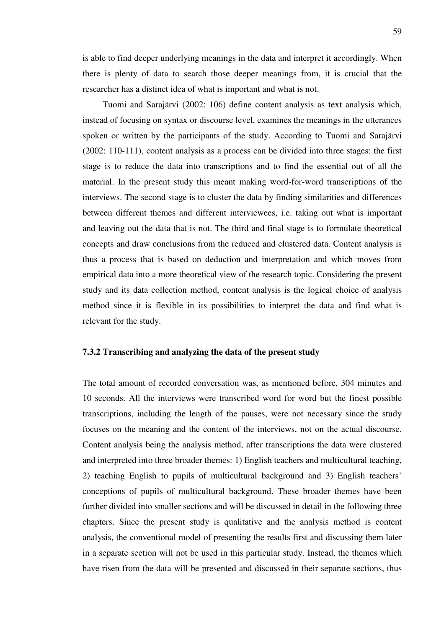is able to find deeper underlying meanings in the data and interpret it accordingly. When there is plenty of data to search those deeper meanings from, it is crucial that the researcher has a distinct idea of what is important and what is not.

Tuomi and Sarajärvi (2002: 106) define content analysis as text analysis which, instead of focusing on syntax or discourse level, examines the meanings in the utterances spoken or written by the participants of the study. According to Tuomi and Sarajärvi (2002: 110-111), content analysis as a process can be divided into three stages: the first stage is to reduce the data into transcriptions and to find the essential out of all the material. In the present study this meant making word-for-word transcriptions of the interviews. The second stage is to cluster the data by finding similarities and differences between different themes and different interviewees, i.e. taking out what is important and leaving out the data that is not. The third and final stage is to formulate theoretical concepts and draw conclusions from the reduced and clustered data. Content analysis is thus a process that is based on deduction and interpretation and which moves from empirical data into a more theoretical view of the research topic. Considering the present study and its data collection method, content analysis is the logical choice of analysis method since it is flexible in its possibilities to interpret the data and find what is relevant for the study.

# **7.3.2 Transcribing and analyzing the data of the present study**

The total amount of recorded conversation was, as mentioned before, 304 minutes and 10 seconds. All the interviews were transcribed word for word but the finest possible transcriptions, including the length of the pauses, were not necessary since the study focuses on the meaning and the content of the interviews, not on the actual discourse. Content analysis being the analysis method, after transcriptions the data were clustered and interpreted into three broader themes: 1) English teachers and multicultural teaching, 2) teaching English to pupils of multicultural background and 3) English teachers' conceptions of pupils of multicultural background. These broader themes have been further divided into smaller sections and will be discussed in detail in the following three chapters. Since the present study is qualitative and the analysis method is content analysis, the conventional model of presenting the results first and discussing them later in a separate section will not be used in this particular study. Instead, the themes which have risen from the data will be presented and discussed in their separate sections, thus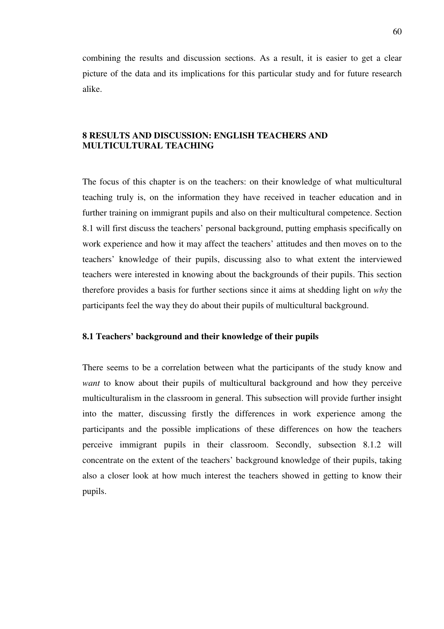combining the results and discussion sections. As a result, it is easier to get a clear picture of the data and its implications for this particular study and for future research alike.

# **8 RESULTS AND DISCUSSION: ENGLISH TEACHERS AND MULTICULTURAL TEACHING**

The focus of this chapter is on the teachers: on their knowledge of what multicultural teaching truly is, on the information they have received in teacher education and in further training on immigrant pupils and also on their multicultural competence. Section 8.1 will first discuss the teachers' personal background, putting emphasis specifically on work experience and how it may affect the teachers' attitudes and then moves on to the teachers' knowledge of their pupils, discussing also to what extent the interviewed teachers were interested in knowing about the backgrounds of their pupils. This section therefore provides a basis for further sections since it aims at shedding light on *why* the participants feel the way they do about their pupils of multicultural background.

# **8.1 Teachers' background and their knowledge of their pupils**

There seems to be a correlation between what the participants of the study know and *want* to know about their pupils of multicultural background and how they perceive multiculturalism in the classroom in general. This subsection will provide further insight into the matter, discussing firstly the differences in work experience among the participants and the possible implications of these differences on how the teachers perceive immigrant pupils in their classroom. Secondly, subsection 8.1.2 will concentrate on the extent of the teachers' background knowledge of their pupils, taking also a closer look at how much interest the teachers showed in getting to know their pupils.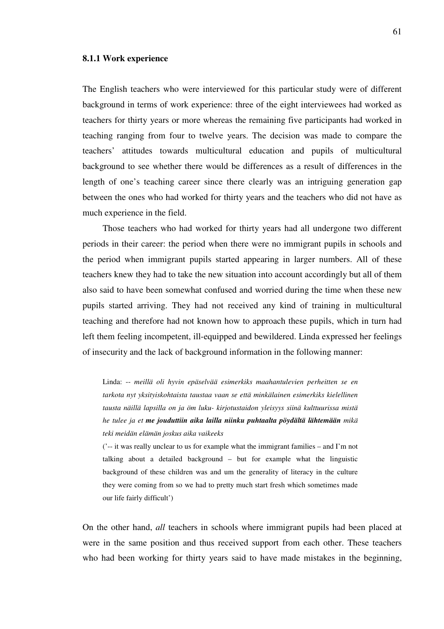#### **8.1.1 Work experience**

The English teachers who were interviewed for this particular study were of different background in terms of work experience: three of the eight interviewees had worked as teachers for thirty years or more whereas the remaining five participants had worked in teaching ranging from four to twelve years. The decision was made to compare the teachers' attitudes towards multicultural education and pupils of multicultural background to see whether there would be differences as a result of differences in the length of one's teaching career since there clearly was an intriguing generation gap between the ones who had worked for thirty years and the teachers who did not have as much experience in the field.

Those teachers who had worked for thirty years had all undergone two different periods in their career: the period when there were no immigrant pupils in schools and the period when immigrant pupils started appearing in larger numbers. All of these teachers knew they had to take the new situation into account accordingly but all of them also said to have been somewhat confused and worried during the time when these new pupils started arriving. They had not received any kind of training in multicultural teaching and therefore had not known how to approach these pupils, which in turn had left them feeling incompetent, ill-equipped and bewildered. Linda expressed her feelings of insecurity and the lack of background information in the following manner:

Linda: -- *meillä oli hyvin epäselvää esimerkiks maahantulevien perheitten se en tarkota nyt yksityiskohtaista taustaa vaan se että minkälainen esimerkiks kielellinen tausta näillä lapsilla on ja öm luku- kirjotustaidon yleisyys siinä kulttuurissa mistä he tulee ja et me jouduttiin aika lailla niinku puhtaalta pöydältä lähtemään mikä teki meidän elämän joskus aika vaikeeks* 

('-- it was really unclear to us for example what the immigrant families – and I'm not talking about a detailed background – but for example what the linguistic background of these children was and um the generality of literacy in the culture they were coming from so we had to pretty much start fresh which sometimes made our life fairly difficult')

On the other hand, *all* teachers in schools where immigrant pupils had been placed at were in the same position and thus received support from each other. These teachers who had been working for thirty years said to have made mistakes in the beginning,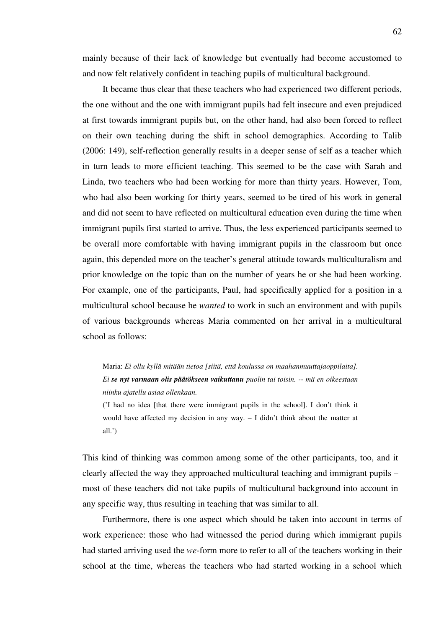mainly because of their lack of knowledge but eventually had become accustomed to and now felt relatively confident in teaching pupils of multicultural background.

It became thus clear that these teachers who had experienced two different periods, the one without and the one with immigrant pupils had felt insecure and even prejudiced at first towards immigrant pupils but, on the other hand, had also been forced to reflect on their own teaching during the shift in school demographics. According to Talib (2006: 149), self-reflection generally results in a deeper sense of self as a teacher which in turn leads to more efficient teaching. This seemed to be the case with Sarah and Linda, two teachers who had been working for more than thirty years. However, Tom, who had also been working for thirty years, seemed to be tired of his work in general and did not seem to have reflected on multicultural education even during the time when immigrant pupils first started to arrive. Thus, the less experienced participants seemed to be overall more comfortable with having immigrant pupils in the classroom but once again, this depended more on the teacher's general attitude towards multiculturalism and prior knowledge on the topic than on the number of years he or she had been working. For example, one of the participants, Paul, had specifically applied for a position in a multicultural school because he *wanted* to work in such an environment and with pupils of various backgrounds whereas Maria commented on her arrival in a multicultural school as follows:

Maria: *Ei ollu kyllä mitään tietoa [siitä, että koulussa on maahanmuuttajaoppilaita]. Ei se nyt varmaan olis päätökseen vaikuttanu puolin tai toisin. -- mä en oikeestaan niinku ajatellu asiaa ollenkaan.* 

('I had no idea [that there were immigrant pupils in the school]. I don't think it would have affected my decision in any way. – I didn't think about the matter at all.')

 This kind of thinking was common among some of the other participants, too, and it clearly affected the way they approached multicultural teaching and immigrant pupils – most of these teachers did not take pupils of multicultural background into account in any specific way, thus resulting in teaching that was similar to all.

Furthermore, there is one aspect which should be taken into account in terms of work experience: those who had witnessed the period during which immigrant pupils had started arriving used the *we*-form more to refer to all of the teachers working in their school at the time, whereas the teachers who had started working in a school which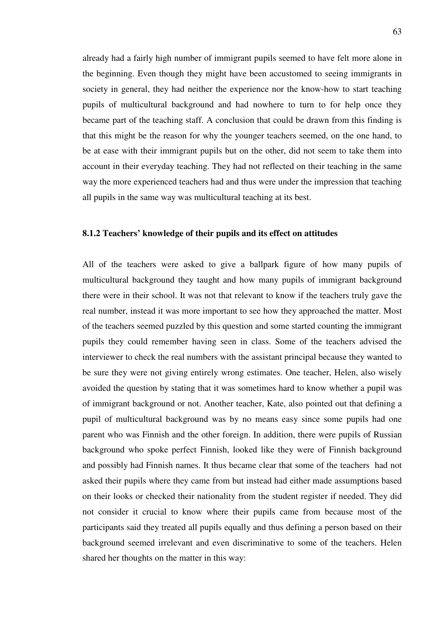already had a fairly high number of immigrant pupils seemed to have felt more alone in the beginning. Even though they might have been accustomed to seeing immigrants in society in general, they had neither the experience nor the know-how to start teaching pupils of multicultural background and had nowhere to turn to for help once they became part of the teaching staff. A conclusion that could be drawn from this finding is that this might be the reason for why the younger teachers seemed, on the one hand, to be at ease with their immigrant pupils but on the other, did not seem to take them into account in their everyday teaching. They had not reflected on their teaching in the same way the more experienced teachers had and thus were under the impression that teaching all pupils in the same way was multicultural teaching at its best.

# **8.1.2 Teachers' knowledge of their pupils and its effect on attitudes**

All of the teachers were asked to give a ballpark figure of how many pupils of multicultural background they taught and how many pupils of immigrant background there were in their school. It was not that relevant to know if the teachers truly gave the real number, instead it was more important to see how they approached the matter. Most of the teachers seemed puzzled by this question and some started counting the immigrant pupils they could remember having seen in class. Some of the teachers advised the interviewer to check the real numbers with the assistant principal because they wanted to be sure they were not giving entirely wrong estimates. One teacher, Helen, also wisely avoided the question by stating that it was sometimes hard to know whether a pupil was of immigrant background or not. Another teacher, Kate, also pointed out that defining a pupil of multicultural background was by no means easy since some pupils had one parent who was Finnish and the other foreign. In addition, there were pupils of Russian background who spoke perfect Finnish, looked like they were of Finnish background and possibly had Finnish names. It thus became clear that some of the teachers had not asked their pupils where they came from but instead had either made assumptions based on their looks or checked their nationality from the student register if needed. They did not consider it crucial to know where their pupils came from because most of the participants said they treated all pupils equally and thus defining a person based on their background seemed irrelevant and even discriminative to some of the teachers. Helen shared her thoughts on the matter in this way: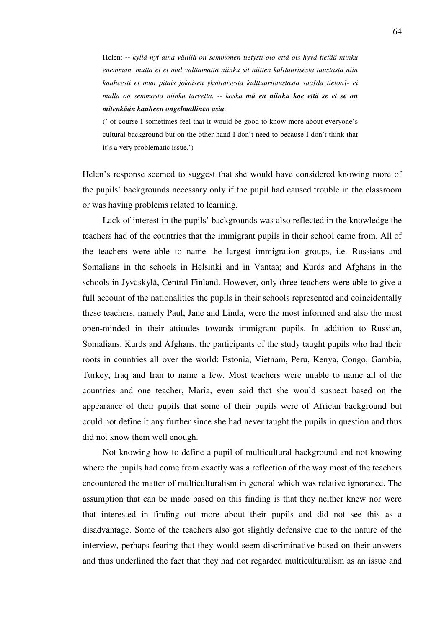Helen: -- *kyllä nyt aina välillä on semmonen tietysti olo että ois hyvä tietää niinku enemmän, mutta ei ei mul välttämättä niinku sit niitten kulttuurisesta taustasta niin kauheesti et mun pitäis jokaisen yksittäisestä kulttuuritaustasta saa[da tietoa]- ei mulla oo semmosta niinku tarvetta. -- koska mä en niinku koe että se et se on mitenkään kauheen ongelmallinen asia.* 

(' of course I sometimes feel that it would be good to know more about everyone's cultural background but on the other hand I don't need to because I don't think that it's a very problematic issue.')

Helen's response seemed to suggest that she would have considered knowing more of the pupils' backgrounds necessary only if the pupil had caused trouble in the classroom or was having problems related to learning.

Lack of interest in the pupils' backgrounds was also reflected in the knowledge the teachers had of the countries that the immigrant pupils in their school came from. All of the teachers were able to name the largest immigration groups, i.e. Russians and Somalians in the schools in Helsinki and in Vantaa; and Kurds and Afghans in the schools in Jyväskylä, Central Finland. However, only three teachers were able to give a full account of the nationalities the pupils in their schools represented and coincidentally these teachers, namely Paul, Jane and Linda, were the most informed and also the most open-minded in their attitudes towards immigrant pupils. In addition to Russian, Somalians, Kurds and Afghans, the participants of the study taught pupils who had their roots in countries all over the world: Estonia, Vietnam, Peru, Kenya, Congo, Gambia, Turkey, Iraq and Iran to name a few. Most teachers were unable to name all of the countries and one teacher, Maria, even said that she would suspect based on the appearance of their pupils that some of their pupils were of African background but could not define it any further since she had never taught the pupils in question and thus did not know them well enough.

Not knowing how to define a pupil of multicultural background and not knowing where the pupils had come from exactly was a reflection of the way most of the teachers encountered the matter of multiculturalism in general which was relative ignorance. The assumption that can be made based on this finding is that they neither knew nor were that interested in finding out more about their pupils and did not see this as a disadvantage. Some of the teachers also got slightly defensive due to the nature of the interview, perhaps fearing that they would seem discriminative based on their answers and thus underlined the fact that they had not regarded multiculturalism as an issue and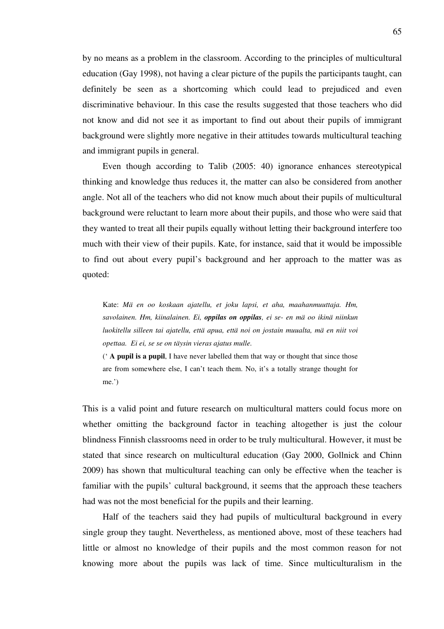by no means as a problem in the classroom. According to the principles of multicultural education (Gay 1998), not having a clear picture of the pupils the participants taught, can definitely be seen as a shortcoming which could lead to prejudiced and even discriminative behaviour. In this case the results suggested that those teachers who did not know and did not see it as important to find out about their pupils of immigrant background were slightly more negative in their attitudes towards multicultural teaching and immigrant pupils in general.

Even though according to Talib (2005: 40) ignorance enhances stereotypical thinking and knowledge thus reduces it, the matter can also be considered from another angle. Not all of the teachers who did not know much about their pupils of multicultural background were reluctant to learn more about their pupils, and those who were said that they wanted to treat all their pupils equally without letting their background interfere too much with their view of their pupils. Kate, for instance, said that it would be impossible to find out about every pupil's background and her approach to the matter was as quoted:

Kate: *Mä en oo koskaan ajatellu, et joku lapsi, et aha, maahanmuuttaja. Hm, savolainen. Hm, kiinalainen. Ei, oppilas on oppilas, ei se- en mä oo ikinä niinkun luokitellu silleen tai ajatellu, että apua, että noi on jostain muualta, mä en niit voi opettaa. Ei ei, se se on täysin vieras ajatus mulle.* 

(' **A pupil is a pupil**, I have never labelled them that way or thought that since those are from somewhere else, I can't teach them. No, it's a totally strange thought for me.')

This is a valid point and future research on multicultural matters could focus more on whether omitting the background factor in teaching altogether is just the colour blindness Finnish classrooms need in order to be truly multicultural. However, it must be stated that since research on multicultural education (Gay 2000, Gollnick and Chinn 2009) has shown that multicultural teaching can only be effective when the teacher is familiar with the pupils' cultural background, it seems that the approach these teachers had was not the most beneficial for the pupils and their learning.

Half of the teachers said they had pupils of multicultural background in every single group they taught. Nevertheless, as mentioned above, most of these teachers had little or almost no knowledge of their pupils and the most common reason for not knowing more about the pupils was lack of time. Since multiculturalism in the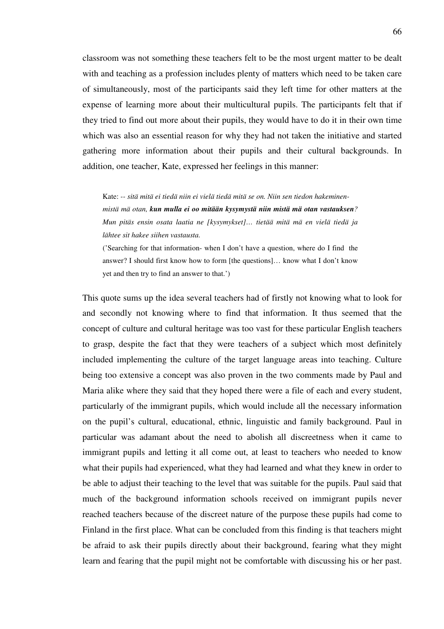classroom was not something these teachers felt to be the most urgent matter to be dealt with and teaching as a profession includes plenty of matters which need to be taken care of simultaneously, most of the participants said they left time for other matters at the expense of learning more about their multicultural pupils. The participants felt that if they tried to find out more about their pupils, they would have to do it in their own time which was also an essential reason for why they had not taken the initiative and started gathering more information about their pupils and their cultural backgrounds. In addition, one teacher, Kate, expressed her feelings in this manner:

Kate: *-- sitä mitä ei tiedä niin ei vielä tiedä mitä se on. Niin sen tiedon hakeminenmistä mä otan, kun mulla ei oo mitään kysymystä niin mistä mä otan vastauksen? Mun pitäs ensin osata laatia ne [kysymykset]… tietää mitä mä en vielä tiedä ja lähtee sit hakee siihen vastausta.* 

('Searching for that information- when I don't have a question, where do I find the answer? I should first know how to form [the questions]… know what I don't know yet and then try to find an answer to that.')

This quote sums up the idea several teachers had of firstly not knowing what to look for and secondly not knowing where to find that information. It thus seemed that the concept of culture and cultural heritage was too vast for these particular English teachers to grasp, despite the fact that they were teachers of a subject which most definitely included implementing the culture of the target language areas into teaching. Culture being too extensive a concept was also proven in the two comments made by Paul and Maria alike where they said that they hoped there were a file of each and every student, particularly of the immigrant pupils, which would include all the necessary information on the pupil's cultural, educational, ethnic, linguistic and family background. Paul in particular was adamant about the need to abolish all discreetness when it came to immigrant pupils and letting it all come out, at least to teachers who needed to know what their pupils had experienced, what they had learned and what they knew in order to be able to adjust their teaching to the level that was suitable for the pupils. Paul said that much of the background information schools received on immigrant pupils never reached teachers because of the discreet nature of the purpose these pupils had come to Finland in the first place. What can be concluded from this finding is that teachers might be afraid to ask their pupils directly about their background, fearing what they might learn and fearing that the pupil might not be comfortable with discussing his or her past.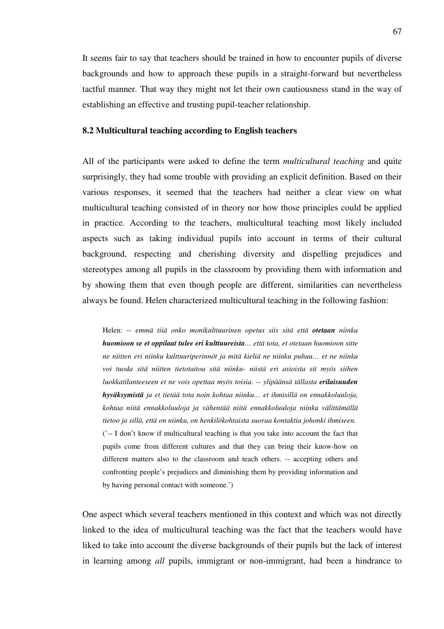It seems fair to say that teachers should be trained in how to encounter pupils of diverse backgrounds and how to approach these pupils in a straight-forward but nevertheless tactful manner. That way they might not let their own cautiousness stand in the way of establishing an effective and trusting pupil-teacher relationship.

## **8.2 Multicultural teaching according to English teachers**

All of the participants were asked to define the term *multicultural teaching* and quite surprisingly, they had some trouble with providing an explicit definition. Based on their various responses, it seemed that the teachers had neither a clear view on what multicultural teaching consisted of in theory nor how those principles could be applied in practice. According to the teachers, multicultural teaching most likely included aspects such as taking individual pupils into account in terms of their cultural background, respecting and cherishing diversity and dispelling prejudices and stereotypes among all pupils in the classroom by providing them with information and by showing them that even though people are different, similarities can nevertheless always be found. Helen characterized multicultural teaching in the following fashion:

Helen: -- *emmä tiiä onko monikulttuurinen opetus siis sitä että otetaan niinku huomioon se et oppilaat tulee eri kulttuureista… että tota, et otetaan huomioon sitte ne niitten eri niinku kulttuuriperinnöt ja mitä kieliä ne niinku puhuu… et ne niinku voi tuoda sitä niitten tietotaitoa sitä niinku- niistä eri asioista sit myös siihen luokkatilanteeseen et ne vois opettaa myös toisia. -- ylipäänsä tällasta erilaisuuden hyväksymistä ja et tietää tota noin kohtaa niinku… et ihmisillä on ennakkoluuloja, kohtaa niitä ennakkoluuloja ja vähentää niitä ennakkoluuloja niinku välittämällä tietoo ja sillä, että on niinku, on henkilökohtaista suoraa kontaktia johonki ihmiseen.*  ('-- I don't know if multicultural teaching is that you take into account the fact that pupils come from different cultures and that they can bring their know-how on different matters also to the classroom and teach others. -- accepting others and confronting people's prejudices and diminishing them by providing information and by having personal contact with someone.')

One aspect which several teachers mentioned in this context and which was not directly linked to the idea of multicultural teaching was the fact that the teachers would have liked to take into account the diverse backgrounds of their pupils but the lack of interest in learning among *all* pupils, immigrant or non-immigrant, had been a hindrance to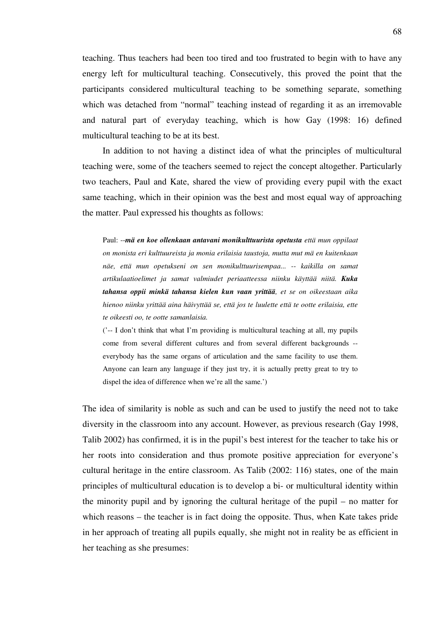teaching. Thus teachers had been too tired and too frustrated to begin with to have any energy left for multicultural teaching. Consecutively, this proved the point that the participants considered multicultural teaching to be something separate, something which was detached from "normal" teaching instead of regarding it as an irremovable and natural part of everyday teaching, which is how Gay (1998: 16) defined multicultural teaching to be at its best.

In addition to not having a distinct idea of what the principles of multicultural teaching were, some of the teachers seemed to reject the concept altogether. Particularly two teachers, Paul and Kate, shared the view of providing every pupil with the exact same teaching, which in their opinion was the best and most equal way of approaching the matter. Paul expressed his thoughts as follows:

Paul: --*mä en koe ollenkaan antavani monikulttuurista opetusta että mun oppilaat on monista eri kulttuureista ja monia erilaisia taustoja, mutta mut mä en kuitenkaan näe, että mun opetukseni on sen monikulttuurisempaa... -- kaikilla on samat artikulaatioelimet ja samat valmiudet periaatteessa niinku käyttää niitä. Kuka tahansa oppii minkä tahansa kielen kun vaan yrittää, et se on oikeestaan aika hienoo niinku yrittää aina häivyttää se, että jos te luulette että te ootte erilaisia, ette te oikeesti oo, te ootte samanlaisia.* 

('-- I don't think that what I'm providing is multicultural teaching at all, my pupils come from several different cultures and from several different backgrounds - everybody has the same organs of articulation and the same facility to use them. Anyone can learn any language if they just try, it is actually pretty great to try to dispel the idea of difference when we're all the same.')

The idea of similarity is noble as such and can be used to justify the need not to take diversity in the classroom into any account. However, as previous research (Gay 1998, Talib 2002) has confirmed, it is in the pupil's best interest for the teacher to take his or her roots into consideration and thus promote positive appreciation for everyone's cultural heritage in the entire classroom. As Talib (2002: 116) states, one of the main principles of multicultural education is to develop a bi- or multicultural identity within the minority pupil and by ignoring the cultural heritage of the pupil – no matter for which reasons – the teacher is in fact doing the opposite. Thus, when Kate takes pride in her approach of treating all pupils equally, she might not in reality be as efficient in her teaching as she presumes: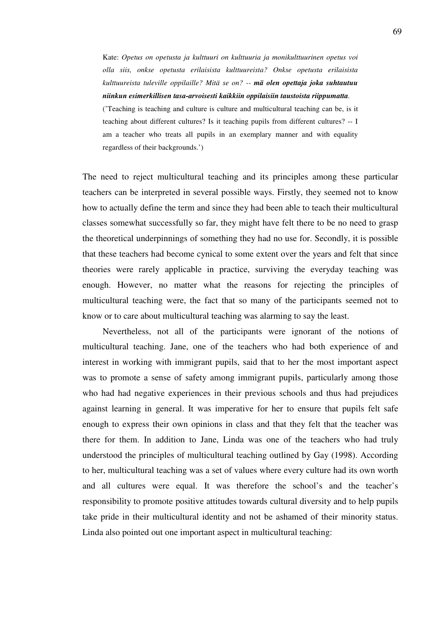Kate: *Opetus on opetusta ja kulttuuri on kulttuuria ja monikulttuurinen opetus voi olla siis, onkse opetusta erilaisista kulttuureista? Onkse opetusta erilaisista kulttuureista tuleville oppilaille? Mitä se on? -- mä olen opettaja joka suhtautuu niinkun esimerkillisen tasa-arvoisesti kaikkiin oppilaisiin taustoista riippumatta.* 

('Teaching is teaching and culture is culture and multicultural teaching can be, is it teaching about different cultures? Is it teaching pupils from different cultures? -- I am a teacher who treats all pupils in an exemplary manner and with equality regardless of their backgrounds.')

The need to reject multicultural teaching and its principles among these particular teachers can be interpreted in several possible ways. Firstly, they seemed not to know how to actually define the term and since they had been able to teach their multicultural classes somewhat successfully so far, they might have felt there to be no need to grasp the theoretical underpinnings of something they had no use for. Secondly, it is possible that these teachers had become cynical to some extent over the years and felt that since theories were rarely applicable in practice, surviving the everyday teaching was enough. However, no matter what the reasons for rejecting the principles of multicultural teaching were, the fact that so many of the participants seemed not to know or to care about multicultural teaching was alarming to say the least.

Nevertheless, not all of the participants were ignorant of the notions of multicultural teaching. Jane, one of the teachers who had both experience of and interest in working with immigrant pupils, said that to her the most important aspect was to promote a sense of safety among immigrant pupils, particularly among those who had had negative experiences in their previous schools and thus had prejudices against learning in general. It was imperative for her to ensure that pupils felt safe enough to express their own opinions in class and that they felt that the teacher was there for them. In addition to Jane, Linda was one of the teachers who had truly understood the principles of multicultural teaching outlined by Gay (1998). According to her, multicultural teaching was a set of values where every culture had its own worth and all cultures were equal. It was therefore the school's and the teacher's responsibility to promote positive attitudes towards cultural diversity and to help pupils take pride in their multicultural identity and not be ashamed of their minority status. Linda also pointed out one important aspect in multicultural teaching: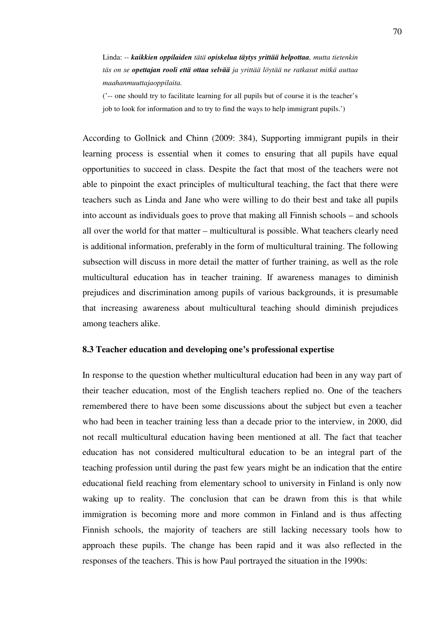Linda: *-- kaikkien oppilaiden tätä opiskelua täytys yrittää helpottaa, mutta tietenkin täs on se opettajan rooli että ottaa selvää ja yrittää löytää ne ratkasut mitkä auttaa maahanmuuttajaoppilaita.* 

('-- one should try to facilitate learning for all pupils but of course it is the teacher's job to look for information and to try to find the ways to help immigrant pupils.')

According to Gollnick and Chinn (2009: 384), Supporting immigrant pupils in their learning process is essential when it comes to ensuring that all pupils have equal opportunities to succeed in class. Despite the fact that most of the teachers were not able to pinpoint the exact principles of multicultural teaching, the fact that there were teachers such as Linda and Jane who were willing to do their best and take all pupils into account as individuals goes to prove that making all Finnish schools – and schools all over the world for that matter – multicultural is possible. What teachers clearly need is additional information, preferably in the form of multicultural training. The following subsection will discuss in more detail the matter of further training, as well as the role multicultural education has in teacher training. If awareness manages to diminish prejudices and discrimination among pupils of various backgrounds, it is presumable that increasing awareness about multicultural teaching should diminish prejudices among teachers alike.

# **8.3 Teacher education and developing one's professional expertise**

In response to the question whether multicultural education had been in any way part of their teacher education, most of the English teachers replied no. One of the teachers remembered there to have been some discussions about the subject but even a teacher who had been in teacher training less than a decade prior to the interview, in 2000, did not recall multicultural education having been mentioned at all. The fact that teacher education has not considered multicultural education to be an integral part of the teaching profession until during the past few years might be an indication that the entire educational field reaching from elementary school to university in Finland is only now waking up to reality. The conclusion that can be drawn from this is that while immigration is becoming more and more common in Finland and is thus affecting Finnish schools, the majority of teachers are still lacking necessary tools how to approach these pupils. The change has been rapid and it was also reflected in the responses of the teachers. This is how Paul portrayed the situation in the 1990s: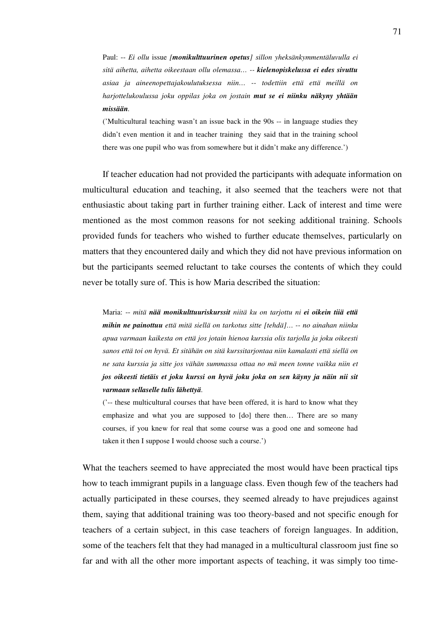Paul: -- *Ei ollu* issue *[monikulttuurinen opetus] sillon yheksänkymmentäluvulla ei sitä aihetta, aihetta oikeestaan ollu olemassa… -- kielenopiskelussa ei edes sivuttu asiaa ja aineenopettajakoulutuksessa niin… -- todettiin että että meillä on harjottelukoulussa joku oppilas joka on jostain mut se ei niinku näkyny yhtään missään.* 

('Multicultural teaching wasn't an issue back in the 90s -- in language studies they didn't even mention it and in teacher training they said that in the training school there was one pupil who was from somewhere but it didn't make any difference.')

If teacher education had not provided the participants with adequate information on multicultural education and teaching, it also seemed that the teachers were not that enthusiastic about taking part in further training either. Lack of interest and time were mentioned as the most common reasons for not seeking additional training. Schools provided funds for teachers who wished to further educate themselves, particularly on matters that they encountered daily and which they did not have previous information on but the participants seemed reluctant to take courses the contents of which they could never be totally sure of. This is how Maria described the situation:

Maria: -- *mitä nää monikulttuuriskurssit niitä ku on tarjottu ni ei oikein tiiä että mihin ne painottuu että mitä siellä on tarkotus sitte [tehdä]… -- no ainahan niinku apua varmaan kaikesta on että jos jotain hienoa kurssia olis tarjolla ja joku oikeesti sanos että toi on hyvä. Et sitähän on sitä kurssitarjontaa niin kamalasti että siellä on ne sata kurssia ja sitte jos vähän summassa ottaa no mä meen tonne vaikka niin et jos oikeesti tietäis et joku kurssi on hyvä joku joka on sen käyny ja näin nii sit varmaan sellaselle tulis lähettyä.*

('-- these multicultural courses that have been offered, it is hard to know what they emphasize and what you are supposed to [do] there then… There are so many courses, if you knew for real that some course was a good one and someone had taken it then I suppose I would choose such a course.')

What the teachers seemed to have appreciated the most would have been practical tips how to teach immigrant pupils in a language class. Even though few of the teachers had actually participated in these courses, they seemed already to have prejudices against them, saying that additional training was too theory-based and not specific enough for teachers of a certain subject, in this case teachers of foreign languages. In addition, some of the teachers felt that they had managed in a multicultural classroom just fine so far and with all the other more important aspects of teaching, it was simply too time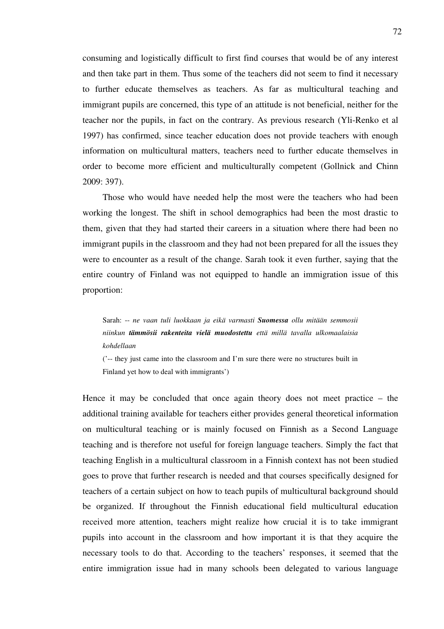consuming and logistically difficult to first find courses that would be of any interest and then take part in them. Thus some of the teachers did not seem to find it necessary to further educate themselves as teachers. As far as multicultural teaching and immigrant pupils are concerned, this type of an attitude is not beneficial, neither for the teacher nor the pupils, in fact on the contrary. As previous research (Yli-Renko et al 1997) has confirmed, since teacher education does not provide teachers with enough information on multicultural matters, teachers need to further educate themselves in order to become more efficient and multiculturally competent (Gollnick and Chinn 2009: 397).

Those who would have needed help the most were the teachers who had been working the longest. The shift in school demographics had been the most drastic to them, given that they had started their careers in a situation where there had been no immigrant pupils in the classroom and they had not been prepared for all the issues they were to encounter as a result of the change. Sarah took it even further, saying that the entire country of Finland was not equipped to handle an immigration issue of this proportion:

Sarah: -- *ne vaan tuli luokkaan ja eikä varmasti Suomessa ollu mitään semmosii niinkun tämmösii rakenteita vielä muodostettu että millä tavalla ulkomaalaisia kohdellaan* 

('-- they just came into the classroom and I'm sure there were no structures built in Finland yet how to deal with immigrants')

Hence it may be concluded that once again theory does not meet practice – the additional training available for teachers either provides general theoretical information on multicultural teaching or is mainly focused on Finnish as a Second Language teaching and is therefore not useful for foreign language teachers. Simply the fact that teaching English in a multicultural classroom in a Finnish context has not been studied goes to prove that further research is needed and that courses specifically designed for teachers of a certain subject on how to teach pupils of multicultural background should be organized. If throughout the Finnish educational field multicultural education received more attention, teachers might realize how crucial it is to take immigrant pupils into account in the classroom and how important it is that they acquire the necessary tools to do that. According to the teachers' responses, it seemed that the entire immigration issue had in many schools been delegated to various language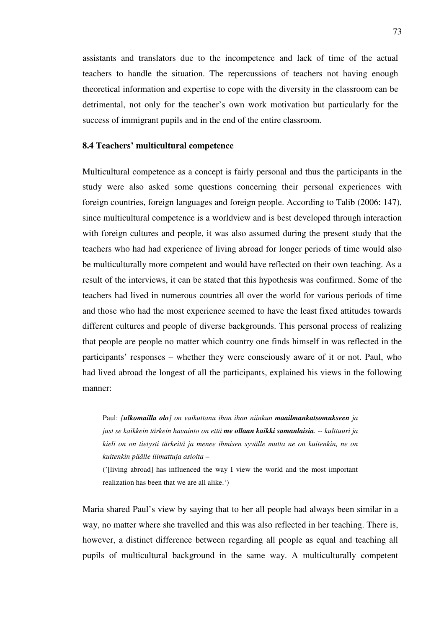assistants and translators due to the incompetence and lack of time of the actual teachers to handle the situation. The repercussions of teachers not having enough theoretical information and expertise to cope with the diversity in the classroom can be detrimental, not only for the teacher's own work motivation but particularly for the success of immigrant pupils and in the end of the entire classroom.

### **8.4 Teachers' multicultural competence**

Multicultural competence as a concept is fairly personal and thus the participants in the study were also asked some questions concerning their personal experiences with foreign countries, foreign languages and foreign people. According to Talib (2006: 147), since multicultural competence is a worldview and is best developed through interaction with foreign cultures and people, it was also assumed during the present study that the teachers who had had experience of living abroad for longer periods of time would also be multiculturally more competent and would have reflected on their own teaching. As a result of the interviews, it can be stated that this hypothesis was confirmed. Some of the teachers had lived in numerous countries all over the world for various periods of time and those who had the most experience seemed to have the least fixed attitudes towards different cultures and people of diverse backgrounds. This personal process of realizing that people are people no matter which country one finds himself in was reflected in the participants' responses – whether they were consciously aware of it or not. Paul, who had lived abroad the longest of all the participants, explained his views in the following manner:

Paul: *[ulkomailla olo] on vaikuttanu ihan ihan niinkun maailmankatsomukseen ja just se kaikkein tärkein havainto on että me ollaan kaikki samanlaisia. -- kulttuuri ja kieli on on tietysti tärkeitä ja menee ihmisen syvälle mutta ne on kuitenkin, ne on kuitenkin päälle liimattuja asioita –* 

('[living abroad] has influenced the way I view the world and the most important realization has been that we are all alike.')

Maria shared Paul's view by saying that to her all people had always been similar in a way, no matter where she travelled and this was also reflected in her teaching. There is, however, a distinct difference between regarding all people as equal and teaching all pupils of multicultural background in the same way. A multiculturally competent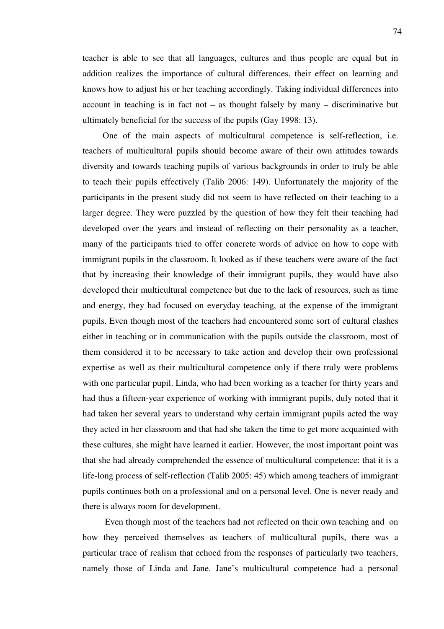teacher is able to see that all languages, cultures and thus people are equal but in addition realizes the importance of cultural differences, their effect on learning and knows how to adjust his or her teaching accordingly. Taking individual differences into account in teaching is in fact not – as thought falsely by many – discriminative but ultimately beneficial for the success of the pupils (Gay 1998: 13).

One of the main aspects of multicultural competence is self-reflection, i.e. teachers of multicultural pupils should become aware of their own attitudes towards diversity and towards teaching pupils of various backgrounds in order to truly be able to teach their pupils effectively (Talib 2006: 149). Unfortunately the majority of the participants in the present study did not seem to have reflected on their teaching to a larger degree. They were puzzled by the question of how they felt their teaching had developed over the years and instead of reflecting on their personality as a teacher, many of the participants tried to offer concrete words of advice on how to cope with immigrant pupils in the classroom. It looked as if these teachers were aware of the fact that by increasing their knowledge of their immigrant pupils, they would have also developed their multicultural competence but due to the lack of resources, such as time and energy, they had focused on everyday teaching, at the expense of the immigrant pupils. Even though most of the teachers had encountered some sort of cultural clashes either in teaching or in communication with the pupils outside the classroom, most of them considered it to be necessary to take action and develop their own professional expertise as well as their multicultural competence only if there truly were problems with one particular pupil. Linda, who had been working as a teacher for thirty years and had thus a fifteen-year experience of working with immigrant pupils, duly noted that it had taken her several years to understand why certain immigrant pupils acted the way they acted in her classroom and that had she taken the time to get more acquainted with these cultures, she might have learned it earlier. However, the most important point was that she had already comprehended the essence of multicultural competence: that it is a life-long process of self-reflection (Talib 2005: 45) which among teachers of immigrant pupils continues both on a professional and on a personal level. One is never ready and there is always room for development.

 Even though most of the teachers had not reflected on their own teaching and on how they perceived themselves as teachers of multicultural pupils, there was a particular trace of realism that echoed from the responses of particularly two teachers, namely those of Linda and Jane. Jane's multicultural competence had a personal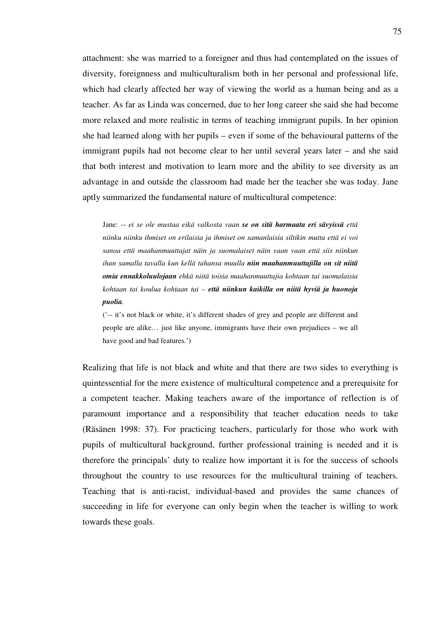attachment: she was married to a foreigner and thus had contemplated on the issues of diversity, foreignness and multiculturalism both in her personal and professional life, which had clearly affected her way of viewing the world as a human being and as a teacher. As far as Linda was concerned, due to her long career she said she had become more relaxed and more realistic in terms of teaching immigrant pupils. In her opinion she had learned along with her pupils – even if some of the behavioural patterns of the immigrant pupils had not become clear to her until several years later – and she said that both interest and motivation to learn more and the ability to see diversity as an advantage in and outside the classroom had made her the teacher she was today. Jane aptly summarized the fundamental nature of multicultural competence:

Jane: -- *ei se ole mustaa eikä valkosta vaan se on sitä harmaata eri sävyissä että niinku niinku ihmiset on erilaisia ja ihmiset on samanlaisia siltikin mutta että ei voi sanoa että maahanmuuttajat näin ja suomalaiset näin vaan vaan että siis niinkun ihan samalla tavalla kun kellä tahansa muulla niin maahanmuuttajilla on sit niitä omia ennakkoluulojaan ehkä niitä toisia maahanmuuttajia kohtaan tai suomalaisia kohtaan tai koulua kohtaan tai – että niinkun kaikilla on niitä hyviä ja huonoja puolia.* 

('-- it's not black or white, it's different shades of grey and people are different and people are alike… just like anyone, immigrants have their own prejudices – we all have good and bad features.')

Realizing that life is not black and white and that there are two sides to everything is quintessential for the mere existence of multicultural competence and a prerequisite for a competent teacher. Making teachers aware of the importance of reflection is of paramount importance and a responsibility that teacher education needs to take (Räsänen 1998: 37). For practicing teachers, particularly for those who work with pupils of multicultural background, further professional training is needed and it is therefore the principals' duty to realize how important it is for the success of schools throughout the country to use resources for the multicultural training of teachers. Teaching that is anti-racist, individual-based and provides the same chances of succeeding in life for everyone can only begin when the teacher is willing to work towards these goals.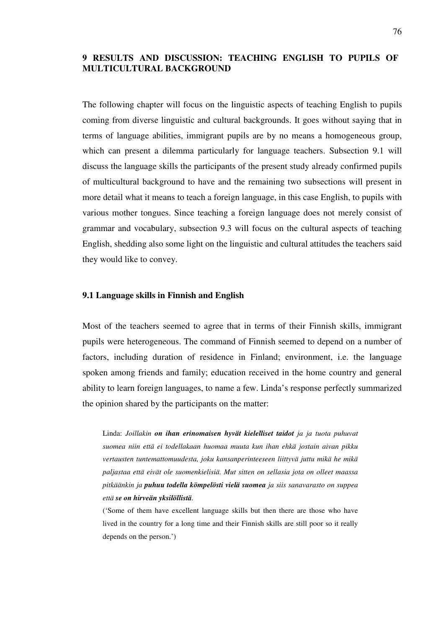# **9 RESULTS AND DISCUSSION: TEACHING ENGLISH TO PUPILS OF MULTICULTURAL BACKGROUND**

The following chapter will focus on the linguistic aspects of teaching English to pupils coming from diverse linguistic and cultural backgrounds. It goes without saying that in terms of language abilities, immigrant pupils are by no means a homogeneous group, which can present a dilemma particularly for language teachers. Subsection 9.1 will discuss the language skills the participants of the present study already confirmed pupils of multicultural background to have and the remaining two subsections will present in more detail what it means to teach a foreign language, in this case English, to pupils with various mother tongues. Since teaching a foreign language does not merely consist of grammar and vocabulary, subsection 9.3 will focus on the cultural aspects of teaching English, shedding also some light on the linguistic and cultural attitudes the teachers said they would like to convey.

#### **9.1 Language skills in Finnish and English**

Most of the teachers seemed to agree that in terms of their Finnish skills, immigrant pupils were heterogeneous. The command of Finnish seemed to depend on a number of factors, including duration of residence in Finland; environment, i.e. the language spoken among friends and family; education received in the home country and general ability to learn foreign languages, to name a few. Linda's response perfectly summarized the opinion shared by the participants on the matter:

Linda: *Joillakin on ihan erinomaisen hyvät kielelliset taidot ja ja tuota puhuvat suomea niin että ei todellakaan huomaa muuta kun ihan ehkä jostain aivan pikku vertausten tuntemattomuudesta, joku kansanperinteeseen liittyvä juttu mikä he mikä paljastaa että eivät ole suomenkielisiä. Mut sitten on sellasia jota on olleet maassa pitkäänkin ja puhuu todella kömpelösti vielä suomea ja siis sanavarasto on suppea että se on hirveän yksilöllistä.* 

('Some of them have excellent language skills but then there are those who have lived in the country for a long time and their Finnish skills are still poor so it really depends on the person.')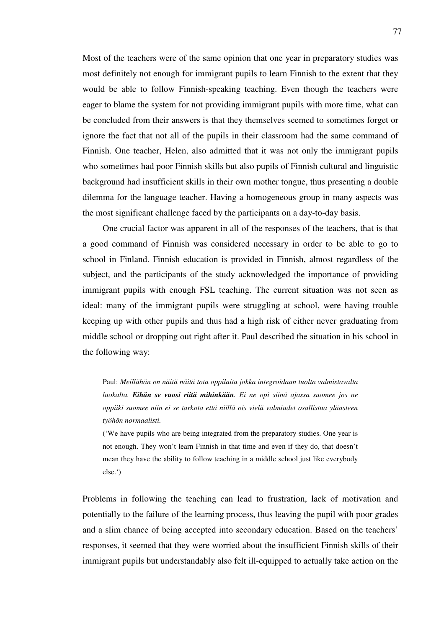Most of the teachers were of the same opinion that one year in preparatory studies was most definitely not enough for immigrant pupils to learn Finnish to the extent that they would be able to follow Finnish-speaking teaching. Even though the teachers were eager to blame the system for not providing immigrant pupils with more time, what can be concluded from their answers is that they themselves seemed to sometimes forget or ignore the fact that not all of the pupils in their classroom had the same command of Finnish. One teacher, Helen, also admitted that it was not only the immigrant pupils who sometimes had poor Finnish skills but also pupils of Finnish cultural and linguistic background had insufficient skills in their own mother tongue, thus presenting a double dilemma for the language teacher. Having a homogeneous group in many aspects was the most significant challenge faced by the participants on a day-to-day basis.

One crucial factor was apparent in all of the responses of the teachers, that is that a good command of Finnish was considered necessary in order to be able to go to school in Finland. Finnish education is provided in Finnish, almost regardless of the subject, and the participants of the study acknowledged the importance of providing immigrant pupils with enough FSL teaching. The current situation was not seen as ideal: many of the immigrant pupils were struggling at school, were having trouble keeping up with other pupils and thus had a high risk of either never graduating from middle school or dropping out right after it. Paul described the situation in his school in the following way:

Paul: *Meillähän on näitä näitä tota oppilaita jokka integroidaan tuolta valmistavalta luokalta. Eihän se vuosi riitä mihinkään. Ei ne opi siinä ajassa suomee jos ne oppiiki suomee niin ei se tarkota että niillä ois vielä valmiudet osallistua yläasteen työhön normaalisti.* 

('We have pupils who are being integrated from the preparatory studies. One year is not enough. They won't learn Finnish in that time and even if they do, that doesn't mean they have the ability to follow teaching in a middle school just like everybody else.')

Problems in following the teaching can lead to frustration, lack of motivation and potentially to the failure of the learning process, thus leaving the pupil with poor grades and a slim chance of being accepted into secondary education. Based on the teachers' responses, it seemed that they were worried about the insufficient Finnish skills of their immigrant pupils but understandably also felt ill-equipped to actually take action on the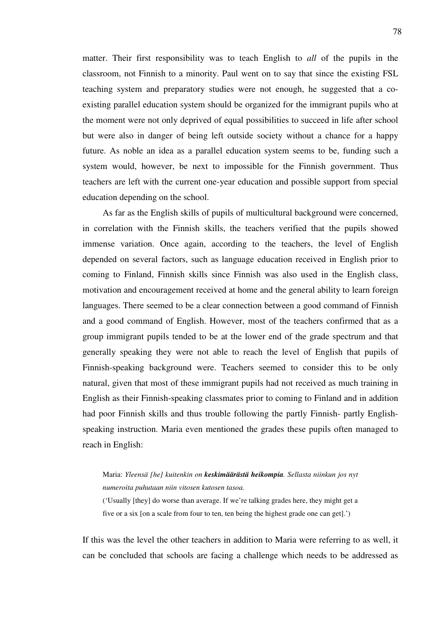matter. Their first responsibility was to teach English to *all* of the pupils in the classroom, not Finnish to a minority. Paul went on to say that since the existing FSL teaching system and preparatory studies were not enough, he suggested that a coexisting parallel education system should be organized for the immigrant pupils who at the moment were not only deprived of equal possibilities to succeed in life after school but were also in danger of being left outside society without a chance for a happy future. As noble an idea as a parallel education system seems to be, funding such a system would, however, be next to impossible for the Finnish government. Thus teachers are left with the current one-year education and possible support from special education depending on the school.

As far as the English skills of pupils of multicultural background were concerned, in correlation with the Finnish skills, the teachers verified that the pupils showed immense variation. Once again, according to the teachers, the level of English depended on several factors, such as language education received in English prior to coming to Finland, Finnish skills since Finnish was also used in the English class, motivation and encouragement received at home and the general ability to learn foreign languages. There seemed to be a clear connection between a good command of Finnish and a good command of English. However, most of the teachers confirmed that as a group immigrant pupils tended to be at the lower end of the grade spectrum and that generally speaking they were not able to reach the level of English that pupils of Finnish-speaking background were. Teachers seemed to consider this to be only natural, given that most of these immigrant pupils had not received as much training in English as their Finnish-speaking classmates prior to coming to Finland and in addition had poor Finnish skills and thus trouble following the partly Finnish- partly Englishspeaking instruction. Maria even mentioned the grades these pupils often managed to reach in English:

Maria: *Yleensä [he] kuitenkin on keskimäärästä heikompia. Sellasta niinkun jos nyt numeroita puhutaan niin vitosen kutosen tasoa.*  ('Usually [they] do worse than average. If we're talking grades here, they might get a five or a six [on a scale from four to ten, ten being the highest grade one can get].')

If this was the level the other teachers in addition to Maria were referring to as well, it can be concluded that schools are facing a challenge which needs to be addressed as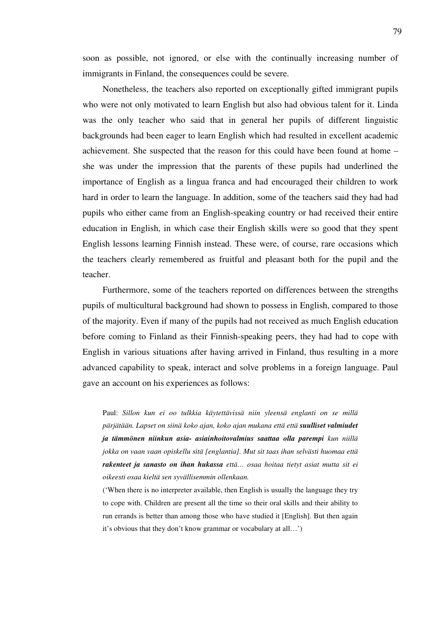soon as possible, not ignored, or else with the continually increasing number of immigrants in Finland, the consequences could be severe.

Nonetheless, the teachers also reported on exceptionally gifted immigrant pupils who were not only motivated to learn English but also had obvious talent for it. Linda was the only teacher who said that in general her pupils of different linguistic backgrounds had been eager to learn English which had resulted in excellent academic achievement. She suspected that the reason for this could have been found at home – she was under the impression that the parents of these pupils had underlined the importance of English as a lingua franca and had encouraged their children to work hard in order to learn the language. In addition, some of the teachers said they had had pupils who either came from an English-speaking country or had received their entire education in English, in which case their English skills were so good that they spent English lessons learning Finnish instead. These were, of course, rare occasions which the teachers clearly remembered as fruitful and pleasant both for the pupil and the teacher.

Furthermore, some of the teachers reported on differences between the strengths pupils of multicultural background had shown to possess in English, compared to those of the majority. Even if many of the pupils had not received as much English education before coming to Finland as their Finnish-speaking peers, they had had to cope with English in various situations after having arrived in Finland, thus resulting in a more advanced capability to speak, interact and solve problems in a foreign language. Paul gave an account on his experiences as follows:

Paul: *Sillon kun ei oo tulkkia käytettävissä niin yleensä englanti on se millä pärjätään. Lapset on siinä koko ajan, koko ajan mukana että että suulliset valmiudet ja tämmönen niinkun asia- asiainhoitovalmius saattaa olla parempi kun niillä jokka on vaan vaan opiskellu sitä [englantia]. Mut sit taas ihan selvästi huomaa että rakenteet ja sanasto on ihan hukassa että… osaa hoitaa tietyt asiat mutta sit ei oikeesti osaa kieltä sen syvällisemmin ollenkaan.* 

('When there is no interpreter available, then English is usually the language they try to cope with. Children are present all the time so their oral skills and their ability to run errands is better than among those who have studied it [English]. But then again it's obvious that they don't know grammar or vocabulary at all…')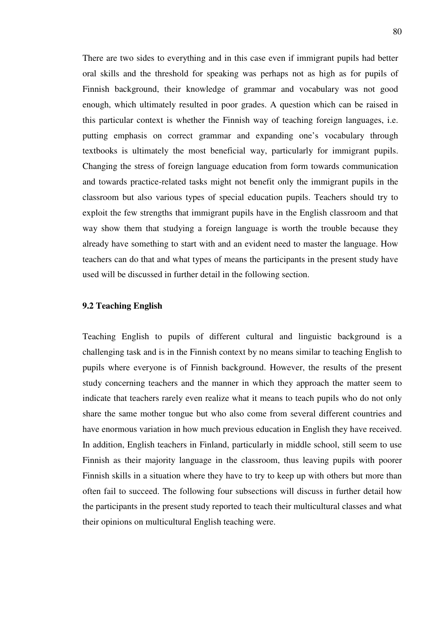There are two sides to everything and in this case even if immigrant pupils had better oral skills and the threshold for speaking was perhaps not as high as for pupils of Finnish background, their knowledge of grammar and vocabulary was not good enough, which ultimately resulted in poor grades. A question which can be raised in this particular context is whether the Finnish way of teaching foreign languages, i.e. putting emphasis on correct grammar and expanding one's vocabulary through textbooks is ultimately the most beneficial way, particularly for immigrant pupils. Changing the stress of foreign language education from form towards communication and towards practice-related tasks might not benefit only the immigrant pupils in the classroom but also various types of special education pupils. Teachers should try to exploit the few strengths that immigrant pupils have in the English classroom and that way show them that studying a foreign language is worth the trouble because they already have something to start with and an evident need to master the language. How teachers can do that and what types of means the participants in the present study have used will be discussed in further detail in the following section.

### **9.2 Teaching English**

Teaching English to pupils of different cultural and linguistic background is a challenging task and is in the Finnish context by no means similar to teaching English to pupils where everyone is of Finnish background. However, the results of the present study concerning teachers and the manner in which they approach the matter seem to indicate that teachers rarely even realize what it means to teach pupils who do not only share the same mother tongue but who also come from several different countries and have enormous variation in how much previous education in English they have received. In addition, English teachers in Finland, particularly in middle school, still seem to use Finnish as their majority language in the classroom, thus leaving pupils with poorer Finnish skills in a situation where they have to try to keep up with others but more than often fail to succeed. The following four subsections will discuss in further detail how the participants in the present study reported to teach their multicultural classes and what their opinions on multicultural English teaching were.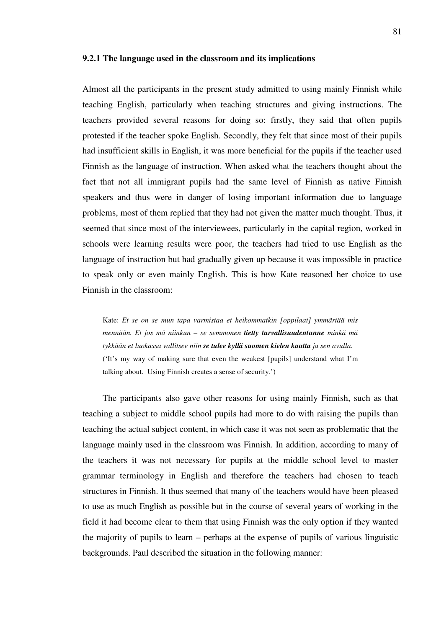#### **9.2.1 The language used in the classroom and its implications**

Almost all the participants in the present study admitted to using mainly Finnish while teaching English, particularly when teaching structures and giving instructions. The teachers provided several reasons for doing so: firstly, they said that often pupils protested if the teacher spoke English. Secondly, they felt that since most of their pupils had insufficient skills in English, it was more beneficial for the pupils if the teacher used Finnish as the language of instruction. When asked what the teachers thought about the fact that not all immigrant pupils had the same level of Finnish as native Finnish speakers and thus were in danger of losing important information due to language problems, most of them replied that they had not given the matter much thought. Thus, it seemed that since most of the interviewees, particularly in the capital region, worked in schools were learning results were poor, the teachers had tried to use English as the language of instruction but had gradually given up because it was impossible in practice to speak only or even mainly English. This is how Kate reasoned her choice to use Finnish in the classroom:

Kate: *Et se on se mun tapa varmistaa et heikommatkin [oppilaat] ymmärtää mis mennään. Et jos mä niinkun – se semmonen tietty turvallisuudentunne minkä mä tykkään et luokassa vallitsee niin se tulee kyllä suomen kielen kautta ja sen avulla.*  ('It's my way of making sure that even the weakest [pupils] understand what I'm talking about. Using Finnish creates a sense of security.')

The participants also gave other reasons for using mainly Finnish, such as that teaching a subject to middle school pupils had more to do with raising the pupils than teaching the actual subject content, in which case it was not seen as problematic that the language mainly used in the classroom was Finnish. In addition, according to many of the teachers it was not necessary for pupils at the middle school level to master grammar terminology in English and therefore the teachers had chosen to teach structures in Finnish. It thus seemed that many of the teachers would have been pleased to use as much English as possible but in the course of several years of working in the field it had become clear to them that using Finnish was the only option if they wanted the majority of pupils to learn – perhaps at the expense of pupils of various linguistic backgrounds. Paul described the situation in the following manner: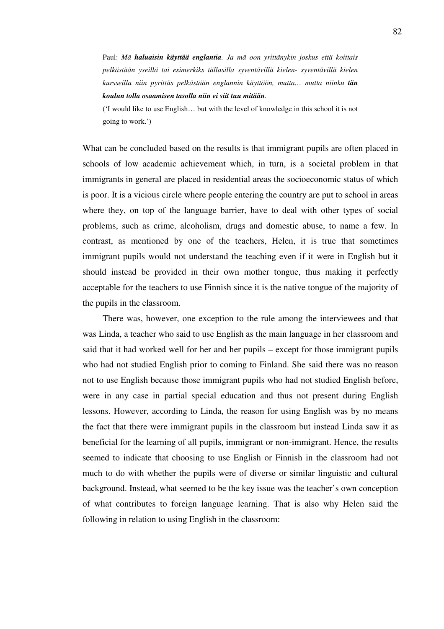Paul: *Mä haluaisin käyttää englantia. Ja mä oon yrittänykin joskus että koittais pelkästään yseillä tai esimerkiks tällasilla syventävillä kielen- syventävillä kielen kursseilla niin pyrittäs pelkästään englannin käyttöön, mutta… mutta niinku tän koulun tolla osaamisen tasolla niin ei siit tuu mitään.* 

('I would like to use English… but with the level of knowledge in this school it is not going to work.')

What can be concluded based on the results is that immigrant pupils are often placed in schools of low academic achievement which, in turn, is a societal problem in that immigrants in general are placed in residential areas the socioeconomic status of which is poor. It is a vicious circle where people entering the country are put to school in areas where they, on top of the language barrier, have to deal with other types of social problems, such as crime, alcoholism, drugs and domestic abuse, to name a few. In contrast, as mentioned by one of the teachers, Helen, it is true that sometimes immigrant pupils would not understand the teaching even if it were in English but it should instead be provided in their own mother tongue, thus making it perfectly acceptable for the teachers to use Finnish since it is the native tongue of the majority of the pupils in the classroom.

There was, however, one exception to the rule among the interviewees and that was Linda, a teacher who said to use English as the main language in her classroom and said that it had worked well for her and her pupils – except for those immigrant pupils who had not studied English prior to coming to Finland. She said there was no reason not to use English because those immigrant pupils who had not studied English before, were in any case in partial special education and thus not present during English lessons. However, according to Linda, the reason for using English was by no means the fact that there were immigrant pupils in the classroom but instead Linda saw it as beneficial for the learning of all pupils, immigrant or non-immigrant. Hence, the results seemed to indicate that choosing to use English or Finnish in the classroom had not much to do with whether the pupils were of diverse or similar linguistic and cultural background. Instead, what seemed to be the key issue was the teacher's own conception of what contributes to foreign language learning. That is also why Helen said the following in relation to using English in the classroom: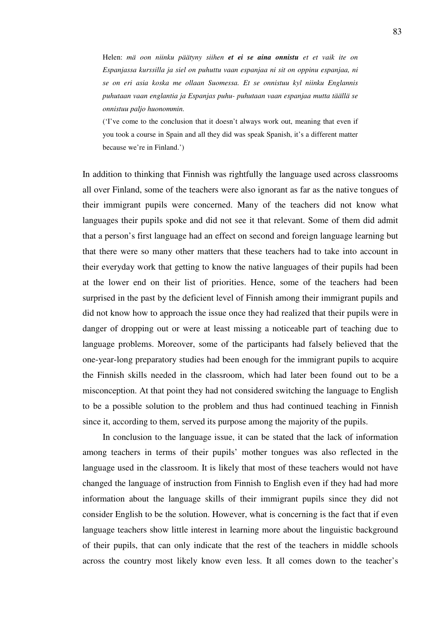Helen: *mä oon niinku päätyny siihen et ei se aina onnistu et et vaik ite on Espanjassa kurssilla ja siel on puhuttu vaan espanjaa ni sit on oppinu espanjaa, ni se on eri asia koska me ollaan Suomessa. Et se onnistuu kyl niinku Englannis puhutaan vaan englantia ja Espanjas puhu- puhutaan vaan espanjaa mutta täällä se onnistuu paljo huonommin.* 

('I've come to the conclusion that it doesn't always work out, meaning that even if you took a course in Spain and all they did was speak Spanish, it's a different matter because we're in Finland.')

In addition to thinking that Finnish was rightfully the language used across classrooms all over Finland, some of the teachers were also ignorant as far as the native tongues of their immigrant pupils were concerned. Many of the teachers did not know what languages their pupils spoke and did not see it that relevant. Some of them did admit that a person's first language had an effect on second and foreign language learning but that there were so many other matters that these teachers had to take into account in their everyday work that getting to know the native languages of their pupils had been at the lower end on their list of priorities. Hence, some of the teachers had been surprised in the past by the deficient level of Finnish among their immigrant pupils and did not know how to approach the issue once they had realized that their pupils were in danger of dropping out or were at least missing a noticeable part of teaching due to language problems. Moreover, some of the participants had falsely believed that the one-year-long preparatory studies had been enough for the immigrant pupils to acquire the Finnish skills needed in the classroom, which had later been found out to be a misconception. At that point they had not considered switching the language to English to be a possible solution to the problem and thus had continued teaching in Finnish since it, according to them, served its purpose among the majority of the pupils.

In conclusion to the language issue, it can be stated that the lack of information among teachers in terms of their pupils' mother tongues was also reflected in the language used in the classroom. It is likely that most of these teachers would not have changed the language of instruction from Finnish to English even if they had had more information about the language skills of their immigrant pupils since they did not consider English to be the solution. However, what is concerning is the fact that if even language teachers show little interest in learning more about the linguistic background of their pupils, that can only indicate that the rest of the teachers in middle schools across the country most likely know even less. It all comes down to the teacher's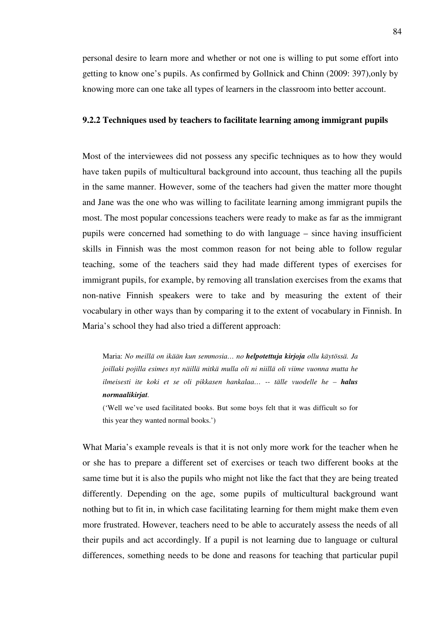personal desire to learn more and whether or not one is willing to put some effort into getting to know one's pupils. As confirmed by Gollnick and Chinn (2009: 397),only by knowing more can one take all types of learners in the classroom into better account.

### **9.2.2 Techniques used by teachers to facilitate learning among immigrant pupils**

Most of the interviewees did not possess any specific techniques as to how they would have taken pupils of multicultural background into account, thus teaching all the pupils in the same manner. However, some of the teachers had given the matter more thought and Jane was the one who was willing to facilitate learning among immigrant pupils the most. The most popular concessions teachers were ready to make as far as the immigrant pupils were concerned had something to do with language – since having insufficient skills in Finnish was the most common reason for not being able to follow regular teaching, some of the teachers said they had made different types of exercises for immigrant pupils, for example, by removing all translation exercises from the exams that non-native Finnish speakers were to take and by measuring the extent of their vocabulary in other ways than by comparing it to the extent of vocabulary in Finnish. In Maria's school they had also tried a different approach:

Maria: *No meillä on ikään kun semmosia… no helpotettuja kirjoja ollu käytössä. Ja joillaki pojilla esimes nyt näillä mitkä mulla oli ni niillä oli viime vuonna mutta he ilmeisesti ite koki et se oli pikkasen hankalaa… -- tälle vuodelle he – halus normaalikirjat.* 

('Well we've used facilitated books. But some boys felt that it was difficult so for this year they wanted normal books.')

What Maria's example reveals is that it is not only more work for the teacher when he or she has to prepare a different set of exercises or teach two different books at the same time but it is also the pupils who might not like the fact that they are being treated differently. Depending on the age, some pupils of multicultural background want nothing but to fit in, in which case facilitating learning for them might make them even more frustrated. However, teachers need to be able to accurately assess the needs of all their pupils and act accordingly. If a pupil is not learning due to language or cultural differences, something needs to be done and reasons for teaching that particular pupil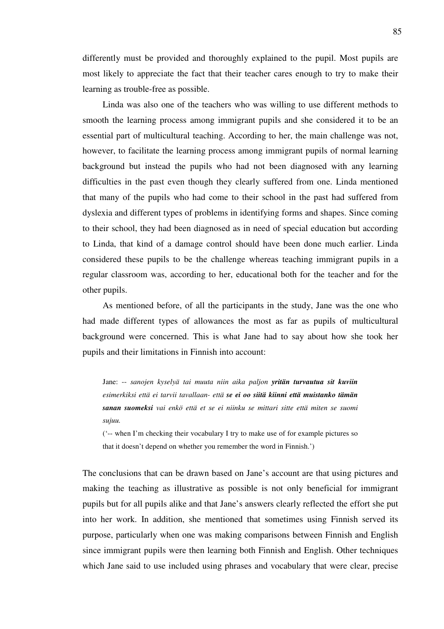differently must be provided and thoroughly explained to the pupil. Most pupils are most likely to appreciate the fact that their teacher cares enough to try to make their learning as trouble-free as possible.

Linda was also one of the teachers who was willing to use different methods to smooth the learning process among immigrant pupils and she considered it to be an essential part of multicultural teaching. According to her, the main challenge was not, however, to facilitate the learning process among immigrant pupils of normal learning background but instead the pupils who had not been diagnosed with any learning difficulties in the past even though they clearly suffered from one. Linda mentioned that many of the pupils who had come to their school in the past had suffered from dyslexia and different types of problems in identifying forms and shapes. Since coming to their school, they had been diagnosed as in need of special education but according to Linda, that kind of a damage control should have been done much earlier. Linda considered these pupils to be the challenge whereas teaching immigrant pupils in a regular classroom was, according to her, educational both for the teacher and for the other pupils.

As mentioned before, of all the participants in the study, Jane was the one who had made different types of allowances the most as far as pupils of multicultural background were concerned. This is what Jane had to say about how she took her pupils and their limitations in Finnish into account:

Jane: -- *sanojen kyselyä tai muuta niin aika paljon yritän turvautua sit kuviin esimerkiksi että ei tarvii tavallaan- että se ei oo siitä kiinni että muistanko tämän sanan suomeksi vai enkö että et se ei niinku se mittari sitte että miten se suomi sujuu.* 

('-- when I'm checking their vocabulary I try to make use of for example pictures so that it doesn't depend on whether you remember the word in Finnish.')

The conclusions that can be drawn based on Jane's account are that using pictures and making the teaching as illustrative as possible is not only beneficial for immigrant pupils but for all pupils alike and that Jane's answers clearly reflected the effort she put into her work. In addition, she mentioned that sometimes using Finnish served its purpose, particularly when one was making comparisons between Finnish and English since immigrant pupils were then learning both Finnish and English. Other techniques which Jane said to use included using phrases and vocabulary that were clear, precise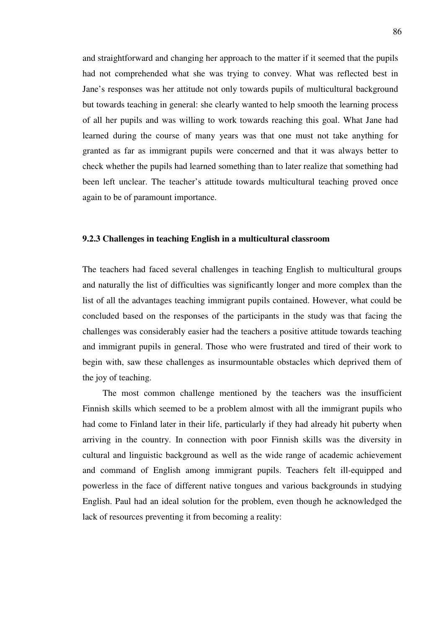and straightforward and changing her approach to the matter if it seemed that the pupils had not comprehended what she was trying to convey. What was reflected best in Jane's responses was her attitude not only towards pupils of multicultural background but towards teaching in general: she clearly wanted to help smooth the learning process of all her pupils and was willing to work towards reaching this goal. What Jane had learned during the course of many years was that one must not take anything for granted as far as immigrant pupils were concerned and that it was always better to check whether the pupils had learned something than to later realize that something had been left unclear. The teacher's attitude towards multicultural teaching proved once again to be of paramount importance.

#### **9.2.3 Challenges in teaching English in a multicultural classroom**

The teachers had faced several challenges in teaching English to multicultural groups and naturally the list of difficulties was significantly longer and more complex than the list of all the advantages teaching immigrant pupils contained. However, what could be concluded based on the responses of the participants in the study was that facing the challenges was considerably easier had the teachers a positive attitude towards teaching and immigrant pupils in general. Those who were frustrated and tired of their work to begin with, saw these challenges as insurmountable obstacles which deprived them of the joy of teaching.

The most common challenge mentioned by the teachers was the insufficient Finnish skills which seemed to be a problem almost with all the immigrant pupils who had come to Finland later in their life, particularly if they had already hit puberty when arriving in the country. In connection with poor Finnish skills was the diversity in cultural and linguistic background as well as the wide range of academic achievement and command of English among immigrant pupils. Teachers felt ill-equipped and powerless in the face of different native tongues and various backgrounds in studying English. Paul had an ideal solution for the problem, even though he acknowledged the lack of resources preventing it from becoming a reality: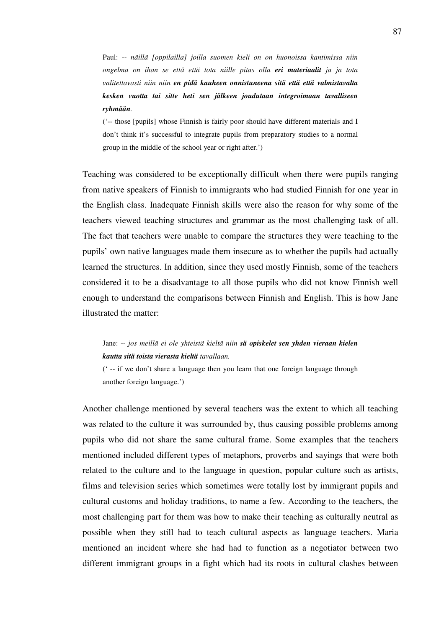Paul: -- *näillä [oppilailla] joilla suomen kieli on on huonoissa kantimissa niin ongelma on ihan se että että tota niille pitas olla eri materiaalit ja ja tota valitettavasti niin niin en pidä kauheen onnistuneena sitä että että valmistavalta kesken vuotta tai sitte heti sen jälkeen joudutaan integroimaan tavalliseen ryhmään.*

('-- those [pupils] whose Finnish is fairly poor should have different materials and I don't think it's successful to integrate pupils from preparatory studies to a normal group in the middle of the school year or right after.')

Teaching was considered to be exceptionally difficult when there were pupils ranging from native speakers of Finnish to immigrants who had studied Finnish for one year in the English class. Inadequate Finnish skills were also the reason for why some of the teachers viewed teaching structures and grammar as the most challenging task of all. The fact that teachers were unable to compare the structures they were teaching to the pupils' own native languages made them insecure as to whether the pupils had actually learned the structures. In addition, since they used mostly Finnish, some of the teachers considered it to be a disadvantage to all those pupils who did not know Finnish well enough to understand the comparisons between Finnish and English. This is how Jane illustrated the matter:

Jane: -- *jos meillä ei ole yhteistä kieltä niin sä opiskelet sen yhden vieraan kielen kautta sitä toista vierasta kieltä tavallaan.* 

(' -- if we don't share a language then you learn that one foreign language through another foreign language.')

Another challenge mentioned by several teachers was the extent to which all teaching was related to the culture it was surrounded by, thus causing possible problems among pupils who did not share the same cultural frame. Some examples that the teachers mentioned included different types of metaphors, proverbs and sayings that were both related to the culture and to the language in question, popular culture such as artists, films and television series which sometimes were totally lost by immigrant pupils and cultural customs and holiday traditions, to name a few. According to the teachers, the most challenging part for them was how to make their teaching as culturally neutral as possible when they still had to teach cultural aspects as language teachers. Maria mentioned an incident where she had had to function as a negotiator between two different immigrant groups in a fight which had its roots in cultural clashes between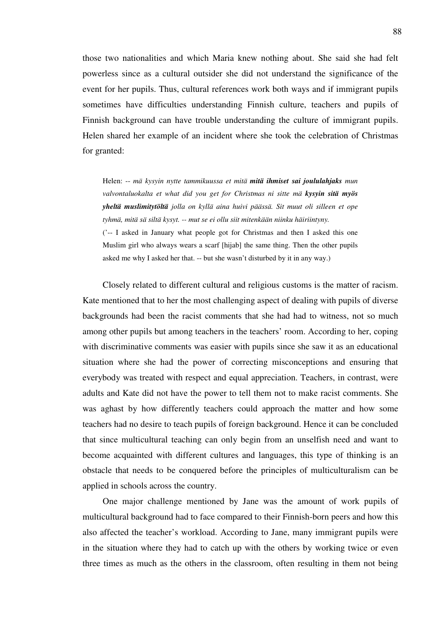those two nationalities and which Maria knew nothing about. She said she had felt powerless since as a cultural outsider she did not understand the significance of the event for her pupils. Thus, cultural references work both ways and if immigrant pupils sometimes have difficulties understanding Finnish culture, teachers and pupils of Finnish background can have trouble understanding the culture of immigrant pupils. Helen shared her example of an incident where she took the celebration of Christmas for granted:

Helen: -- *mä kysyin nytte tammikuussa et mitä mitä ihmiset sai joululahjaks mun valvontaluokalta et what did you get for Christmas ni sitte mä kysyin sitä myös yheltä muslimitytöltä jolla on kyllä aina huivi päässä. Sit muut oli silleen et ope tyhmä, mitä sä siltä kysyt. -- mut se ei ollu siit mitenkään niinku häiriintyny.*  ('-- I asked in January what people got for Christmas and then I asked this one Muslim girl who always wears a scarf [hijab] the same thing. Then the other pupils asked me why I asked her that. -- but she wasn't disturbed by it in any way.)

Closely related to different cultural and religious customs is the matter of racism. Kate mentioned that to her the most challenging aspect of dealing with pupils of diverse backgrounds had been the racist comments that she had had to witness, not so much among other pupils but among teachers in the teachers' room. According to her, coping with discriminative comments was easier with pupils since she saw it as an educational situation where she had the power of correcting misconceptions and ensuring that everybody was treated with respect and equal appreciation. Teachers, in contrast, were adults and Kate did not have the power to tell them not to make racist comments. She was aghast by how differently teachers could approach the matter and how some teachers had no desire to teach pupils of foreign background. Hence it can be concluded that since multicultural teaching can only begin from an unselfish need and want to become acquainted with different cultures and languages, this type of thinking is an obstacle that needs to be conquered before the principles of multiculturalism can be applied in schools across the country.

One major challenge mentioned by Jane was the amount of work pupils of multicultural background had to face compared to their Finnish-born peers and how this also affected the teacher's workload. According to Jane, many immigrant pupils were in the situation where they had to catch up with the others by working twice or even three times as much as the others in the classroom, often resulting in them not being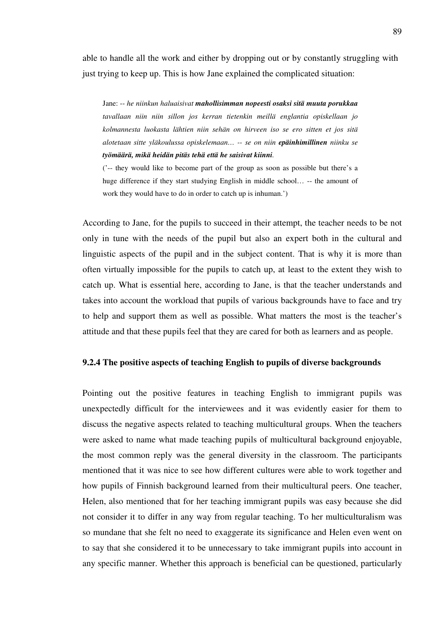able to handle all the work and either by dropping out or by constantly struggling with just trying to keep up. This is how Jane explained the complicated situation:

Jane: -- *he niinkun haluaisivat mahollisimman nopeesti osaksi sitä muuta porukkaa tavallaan niin niin sillon jos kerran tietenkin meillä englantia opiskellaan jo kolmannesta luokasta lähtien niin sehän on hirveen iso se ero sitten et jos sitä alotetaan sitte yläkoulussa opiskelemaan… -- se on niin epäinhimillinen niinku se työmäärä, mikä heidän pitäs tehä että he saisivat kiinni.* 

('-- they would like to become part of the group as soon as possible but there's a huge difference if they start studying English in middle school... -- the amount of work they would have to do in order to catch up is inhuman.')

According to Jane, for the pupils to succeed in their attempt, the teacher needs to be not only in tune with the needs of the pupil but also an expert both in the cultural and linguistic aspects of the pupil and in the subject content. That is why it is more than often virtually impossible for the pupils to catch up, at least to the extent they wish to catch up. What is essential here, according to Jane, is that the teacher understands and takes into account the workload that pupils of various backgrounds have to face and try to help and support them as well as possible. What matters the most is the teacher's attitude and that these pupils feel that they are cared for both as learners and as people.

#### **9.2.4 The positive aspects of teaching English to pupils of diverse backgrounds**

Pointing out the positive features in teaching English to immigrant pupils was unexpectedly difficult for the interviewees and it was evidently easier for them to discuss the negative aspects related to teaching multicultural groups. When the teachers were asked to name what made teaching pupils of multicultural background enjoyable, the most common reply was the general diversity in the classroom. The participants mentioned that it was nice to see how different cultures were able to work together and how pupils of Finnish background learned from their multicultural peers. One teacher, Helen, also mentioned that for her teaching immigrant pupils was easy because she did not consider it to differ in any way from regular teaching. To her multiculturalism was so mundane that she felt no need to exaggerate its significance and Helen even went on to say that she considered it to be unnecessary to take immigrant pupils into account in any specific manner. Whether this approach is beneficial can be questioned, particularly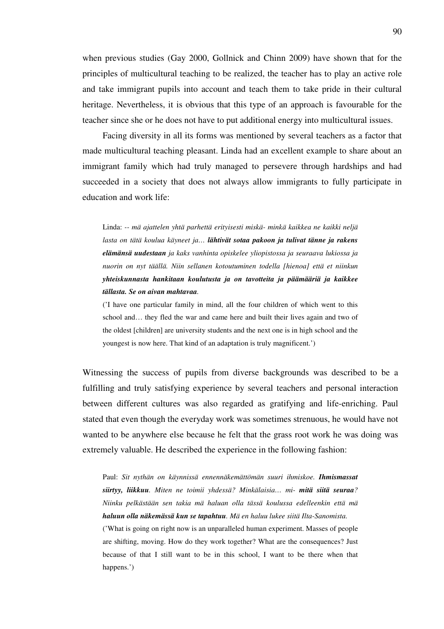when previous studies (Gay 2000, Gollnick and Chinn 2009) have shown that for the principles of multicultural teaching to be realized, the teacher has to play an active role and take immigrant pupils into account and teach them to take pride in their cultural heritage. Nevertheless, it is obvious that this type of an approach is favourable for the teacher since she or he does not have to put additional energy into multicultural issues.

Facing diversity in all its forms was mentioned by several teachers as a factor that made multicultural teaching pleasant. Linda had an excellent example to share about an immigrant family which had truly managed to persevere through hardships and had succeeded in a society that does not always allow immigrants to fully participate in education and work life:

Linda: *-- mä ajattelen yhtä parhettä erityisesti miskä- minkä kaikkea ne kaikki neljä lasta on tätä koulua käyneet ja… lähtivät sotaa pakoon ja tulivat tänne ja rakens elämänsä uudestaan ja kaks vanhinta opiskelee yliopistossa ja seuraava lukiossa ja nuorin on nyt täällä. Niin sellanen kotoutuminen todella [hienoa] että et niinkun yhteiskunnasta hankitaan koulutusta ja on tavotteita ja päämääriä ja kaikkee tällasta. Se on aivan mahtavaa.* 

('I have one particular family in mind, all the four children of which went to this school and… they fled the war and came here and built their lives again and two of the oldest [children] are university students and the next one is in high school and the youngest is now here. That kind of an adaptation is truly magnificent.')

Witnessing the success of pupils from diverse backgrounds was described to be a fulfilling and truly satisfying experience by several teachers and personal interaction between different cultures was also regarded as gratifying and life-enriching. Paul stated that even though the everyday work was sometimes strenuous, he would have not wanted to be anywhere else because he felt that the grass root work he was doing was extremely valuable. He described the experience in the following fashion:

Paul: *Sit nythän on käynnissä ennennäkemättömän suuri ihmiskoe. Ihmismassat siirtyy, liikkuu. Miten ne toimii yhdessä? Minkälaisia… mi- mitä siitä seuraa? Niinku pelkästään sen takia mä haluan olla tässä koulussa edelleenkin että mä haluun olla näkemässä kun se tapahtuu. Mä en haluu lukee siitä Ilta-Sanomista.*  ('What is going on right now is an unparalleled human experiment. Masses of people are shifting, moving. How do they work together? What are the consequences? Just because of that I still want to be in this school, I want to be there when that happens.')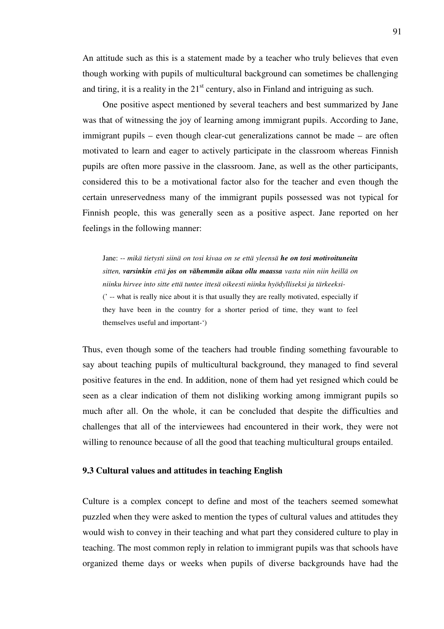An attitude such as this is a statement made by a teacher who truly believes that even though working with pupils of multicultural background can sometimes be challenging and tiring, it is a reality in the  $21<sup>st</sup>$  century, also in Finland and intriguing as such.

One positive aspect mentioned by several teachers and best summarized by Jane was that of witnessing the joy of learning among immigrant pupils. According to Jane, immigrant pupils – even though clear-cut generalizations cannot be made – are often motivated to learn and eager to actively participate in the classroom whereas Finnish pupils are often more passive in the classroom. Jane, as well as the other participants, considered this to be a motivational factor also for the teacher and even though the certain unreservedness many of the immigrant pupils possessed was not typical for Finnish people, this was generally seen as a positive aspect. Jane reported on her feelings in the following manner:

Jane: -- *mikä tietysti siinä on tosi kivaa on se että yleensä he on tosi motivoituneita sitten, varsinkin että jos on vähemmän aikaa ollu maassa vasta niin niin heillä on niinku hirvee into sitte että tuntee ittesä oikeesti niinku hyödylliseksi ja tärkeeksi-*  (' -- what is really nice about it is that usually they are really motivated, especially if they have been in the country for a shorter period of time, they want to feel themselves useful and important-')

Thus, even though some of the teachers had trouble finding something favourable to say about teaching pupils of multicultural background, they managed to find several positive features in the end. In addition, none of them had yet resigned which could be seen as a clear indication of them not disliking working among immigrant pupils so much after all. On the whole, it can be concluded that despite the difficulties and challenges that all of the interviewees had encountered in their work, they were not willing to renounce because of all the good that teaching multicultural groups entailed.

## **9.3 Cultural values and attitudes in teaching English**

Culture is a complex concept to define and most of the teachers seemed somewhat puzzled when they were asked to mention the types of cultural values and attitudes they would wish to convey in their teaching and what part they considered culture to play in teaching. The most common reply in relation to immigrant pupils was that schools have organized theme days or weeks when pupils of diverse backgrounds have had the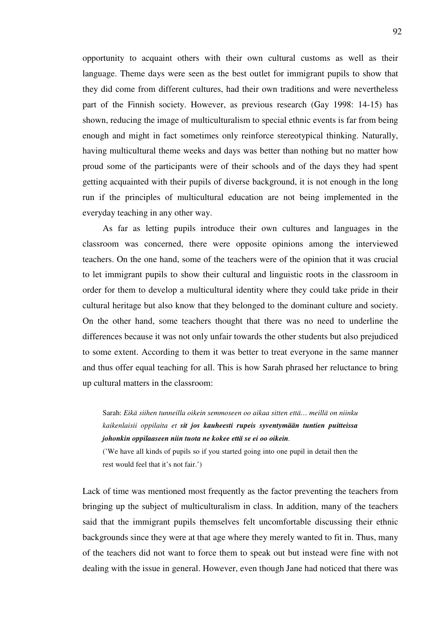opportunity to acquaint others with their own cultural customs as well as their language. Theme days were seen as the best outlet for immigrant pupils to show that they did come from different cultures, had their own traditions and were nevertheless part of the Finnish society. However, as previous research (Gay 1998: 14-15) has shown, reducing the image of multiculturalism to special ethnic events is far from being enough and might in fact sometimes only reinforce stereotypical thinking. Naturally, having multicultural theme weeks and days was better than nothing but no matter how proud some of the participants were of their schools and of the days they had spent getting acquainted with their pupils of diverse background, it is not enough in the long run if the principles of multicultural education are not being implemented in the everyday teaching in any other way.

As far as letting pupils introduce their own cultures and languages in the classroom was concerned, there were opposite opinions among the interviewed teachers. On the one hand, some of the teachers were of the opinion that it was crucial to let immigrant pupils to show their cultural and linguistic roots in the classroom in order for them to develop a multicultural identity where they could take pride in their cultural heritage but also know that they belonged to the dominant culture and society. On the other hand, some teachers thought that there was no need to underline the differences because it was not only unfair towards the other students but also prejudiced to some extent. According to them it was better to treat everyone in the same manner and thus offer equal teaching for all. This is how Sarah phrased her reluctance to bring up cultural matters in the classroom:

Sarah: *Eikä siihen tunneilla oikein semmoseen oo aikaa sitten että… meillä on niinku kaikenlaisii oppilaita et sit jos kauheesti rupeis syventymään tuntien puitteissa johonkin oppilaaseen niin tuota ne kokee että se ei oo oikein.* 

('We have all kinds of pupils so if you started going into one pupil in detail then the rest would feel that it's not fair.')

Lack of time was mentioned most frequently as the factor preventing the teachers from bringing up the subject of multiculturalism in class. In addition, many of the teachers said that the immigrant pupils themselves felt uncomfortable discussing their ethnic backgrounds since they were at that age where they merely wanted to fit in. Thus, many of the teachers did not want to force them to speak out but instead were fine with not dealing with the issue in general. However, even though Jane had noticed that there was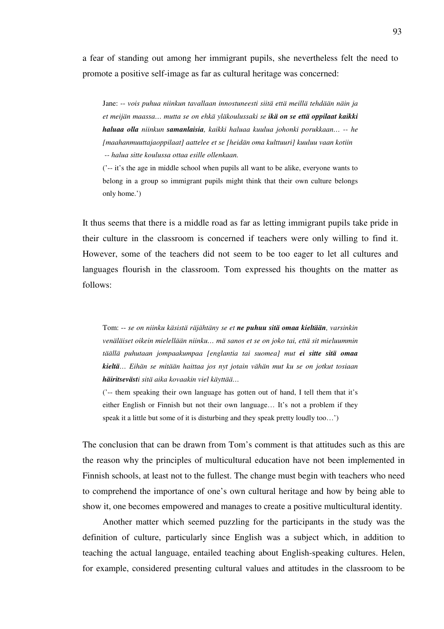a fear of standing out among her immigrant pupils, she nevertheless felt the need to promote a positive self-image as far as cultural heritage was concerned:

Jane: -- *vois puhua niinkun tavallaan innostuneesti siitä että meillä tehdään näin ja et meijän maassa… mutta se on ehkä yläkoulussaki se ikä on se että oppilaat kaikki haluaa olla niinkun samanlaisia, kaikki haluaa kuulua johonki porukkaan… -- he [maahanmuuttajaoppilaat] aattelee et se [heidän oma kulttuuri] kuuluu vaan kotiin -- halua sitte koulussa ottaa esille ollenkaan.* 

('-- it's the age in middle school when pupils all want to be alike, everyone wants to belong in a group so immigrant pupils might think that their own culture belongs only home.')

It thus seems that there is a middle road as far as letting immigrant pupils take pride in their culture in the classroom is concerned if teachers were only willing to find it. However, some of the teachers did not seem to be too eager to let all cultures and languages flourish in the classroom. Tom expressed his thoughts on the matter as follows:

Tom: -- *se on niinku käsistä räjähtäny se et ne puhuu sitä omaa kieltään, varsinkin venäläiset oikein mielellään niinku… mä sanos et se on joko tai, että sit mieluummin täällä puhutaan jompaakumpaa [englantia tai suomea] mut ei sitte sitä omaa kieltä… Eihän se mitään haittaa jos nyt jotain vähän mut ku se on jotkut tosiaan häiritsevästi sitä aika kovaakin viel käyttää…* 

('-- them speaking their own language has gotten out of hand, I tell them that it's either English or Finnish but not their own language… It's not a problem if they speak it a little but some of it is disturbing and they speak pretty loudly too…')

The conclusion that can be drawn from Tom's comment is that attitudes such as this are the reason why the principles of multicultural education have not been implemented in Finnish schools, at least not to the fullest. The change must begin with teachers who need to comprehend the importance of one's own cultural heritage and how by being able to show it, one becomes empowered and manages to create a positive multicultural identity.

Another matter which seemed puzzling for the participants in the study was the definition of culture, particularly since English was a subject which, in addition to teaching the actual language, entailed teaching about English-speaking cultures. Helen, for example, considered presenting cultural values and attitudes in the classroom to be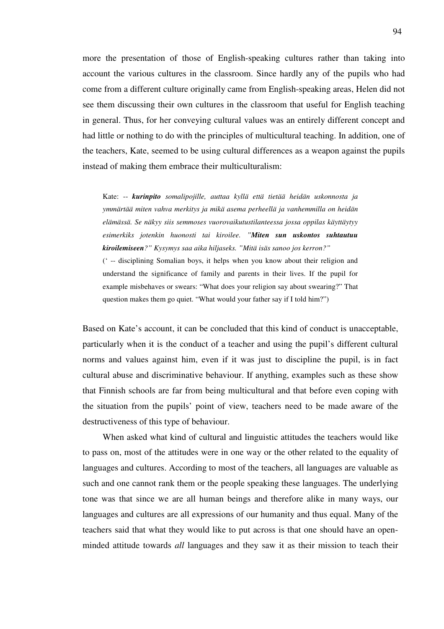more the presentation of those of English-speaking cultures rather than taking into account the various cultures in the classroom. Since hardly any of the pupils who had come from a different culture originally came from English-speaking areas, Helen did not see them discussing their own cultures in the classroom that useful for English teaching in general. Thus, for her conveying cultural values was an entirely different concept and had little or nothing to do with the principles of multicultural teaching. In addition, one of the teachers, Kate, seemed to be using cultural differences as a weapon against the pupils instead of making them embrace their multiculturalism:

Kate: -- *kurinpito somalipojille, auttaa kyllä että tietää heidän uskonnosta ja ymmärtää miten vahva merkitys ja mikä asema perheellä ja vanhemmilla on heidän elämässä. Se näkyy siis semmoses vuorovaikutustilanteessa jossa oppilas käyttäytyy esimerkiks jotenkin huonosti tai kiroilee. "Miten sun uskontos suhtautuu kiroilemiseen?" Kysymys saa aika hiljaseks. "Mitä isäs sanoo jos kerron?"*  (' -- disciplining Somalian boys, it helps when you know about their religion and understand the significance of family and parents in their lives. If the pupil for example misbehaves or swears: "What does your religion say about swearing?" That question makes them go quiet. "What would your father say if I told him?")

Based on Kate's account, it can be concluded that this kind of conduct is unacceptable, particularly when it is the conduct of a teacher and using the pupil's different cultural norms and values against him, even if it was just to discipline the pupil, is in fact cultural abuse and discriminative behaviour. If anything, examples such as these show that Finnish schools are far from being multicultural and that before even coping with the situation from the pupils' point of view, teachers need to be made aware of the destructiveness of this type of behaviour.

When asked what kind of cultural and linguistic attitudes the teachers would like to pass on, most of the attitudes were in one way or the other related to the equality of languages and cultures. According to most of the teachers, all languages are valuable as such and one cannot rank them or the people speaking these languages. The underlying tone was that since we are all human beings and therefore alike in many ways, our languages and cultures are all expressions of our humanity and thus equal. Many of the teachers said that what they would like to put across is that one should have an openminded attitude towards *all* languages and they saw it as their mission to teach their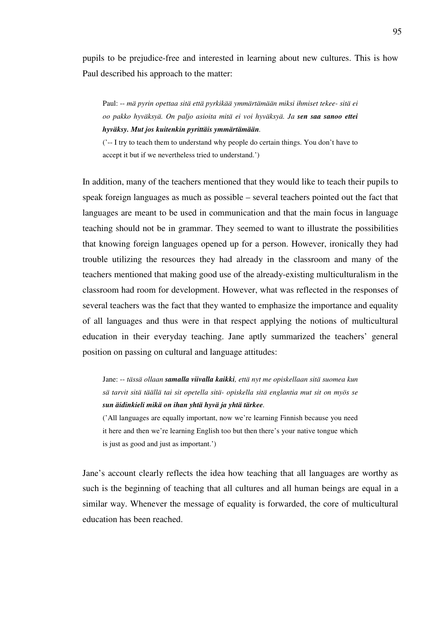pupils to be prejudice-free and interested in learning about new cultures. This is how Paul described his approach to the matter:

Paul: -- *mä pyrin opettaa sitä että pyrkikää ymmärtämään miksi ihmiset tekee- sitä ei oo pakko hyväksyä. On paljo asioita mitä ei voi hyväksyä. Ja sen saa sanoo ettei hyväksy. Mut jos kuitenkin pyrittäis ymmärtämään.* 

('-- I try to teach them to understand why people do certain things. You don't have to accept it but if we nevertheless tried to understand.')

In addition, many of the teachers mentioned that they would like to teach their pupils to speak foreign languages as much as possible – several teachers pointed out the fact that languages are meant to be used in communication and that the main focus in language teaching should not be in grammar. They seemed to want to illustrate the possibilities that knowing foreign languages opened up for a person. However, ironically they had trouble utilizing the resources they had already in the classroom and many of the teachers mentioned that making good use of the already-existing multiculturalism in the classroom had room for development. However, what was reflected in the responses of several teachers was the fact that they wanted to emphasize the importance and equality of all languages and thus were in that respect applying the notions of multicultural education in their everyday teaching. Jane aptly summarized the teachers' general position on passing on cultural and language attitudes:

Jane: -- *tässä ollaan samalla viivalla kaikki, että nyt me opiskellaan sitä suomea kun sä tarvit sitä täällä tai sit opetella sitä- opiskella sitä englantia mut sit on myös se sun äidinkieli mikä on ihan yhtä hyvä ja yhtä tärkee.* 

('All languages are equally important, now we're learning Finnish because you need it here and then we're learning English too but then there's your native tongue which is just as good and just as important.')

Jane's account clearly reflects the idea how teaching that all languages are worthy as such is the beginning of teaching that all cultures and all human beings are equal in a similar way. Whenever the message of equality is forwarded, the core of multicultural education has been reached.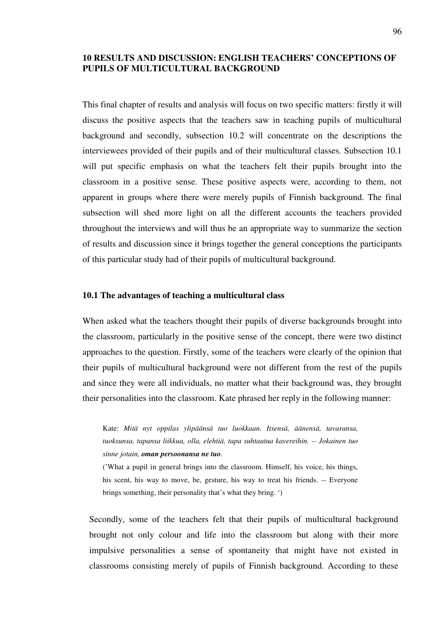# **10 RESULTS AND DISCUSSION: ENGLISH TEACHERS' CONCEPTIONS OF PUPILS OF MULTICULTURAL BACKGROUND**

This final chapter of results and analysis will focus on two specific matters: firstly it will discuss the positive aspects that the teachers saw in teaching pupils of multicultural background and secondly, subsection 10.2 will concentrate on the descriptions the interviewees provided of their pupils and of their multicultural classes. Subsection 10.1 will put specific emphasis on what the teachers felt their pupils brought into the classroom in a positive sense. These positive aspects were, according to them, not apparent in groups where there were merely pupils of Finnish background. The final subsection will shed more light on all the different accounts the teachers provided throughout the interviews and will thus be an appropriate way to summarize the section of results and discussion since it brings together the general conceptions the participants of this particular study had of their pupils of multicultural background.

### **10.1 The advantages of teaching a multicultural class**

When asked what the teachers thought their pupils of diverse backgrounds brought into the classroom, particularly in the positive sense of the concept, there were two distinct approaches to the question. Firstly, some of the teachers were clearly of the opinion that their pupils of multicultural background were not different from the rest of the pupils and since they were all individuals, no matter what their background was, they brought their personalities into the classroom. Kate phrased her reply in the following manner:

Kate: *Mitä nyt oppilas ylipäänsä tuo luokkaan. Itsensä, äänensä, tavaransa, tuoksunsa, tapansa liikkua, olla, elehtiä, tapa suhtautua kavereihin. -- Jokainen tuo sinne jotain, oman persoonansa ne tuo.* 

('What a pupil in general brings into the classroom. Himself, his voice, his things, his scent, his way to move, be, gesture, his way to treat his friends. -- Everyone brings something, their personality that's what they bring. ')

Secondly, some of the teachers felt that their pupils of multicultural background brought not only colour and life into the classroom but along with their more impulsive personalities a sense of spontaneity that might have not existed in classrooms consisting merely of pupils of Finnish background. According to these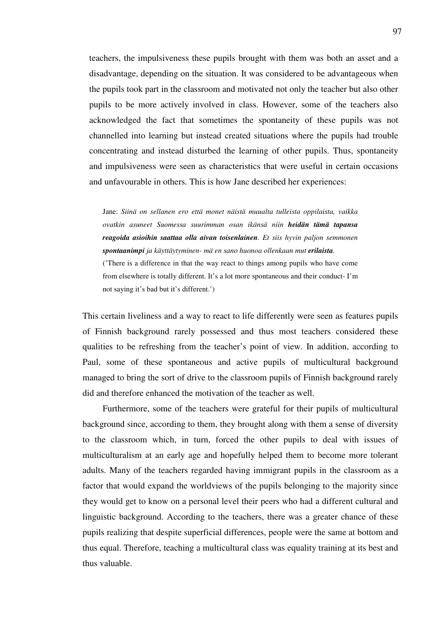teachers, the impulsiveness these pupils brought with them was both an asset and a disadvantage, depending on the situation. It was considered to be advantageous when the pupils took part in the classroom and motivated not only the teacher but also other pupils to be more actively involved in class. However, some of the teachers also acknowledged the fact that sometimes the spontaneity of these pupils was not channelled into learning but instead created situations where the pupils had trouble concentrating and instead disturbed the learning of other pupils. Thus, spontaneity and impulsiveness were seen as characteristics that were useful in certain occasions and unfavourable in others. This is how Jane described her experiences:

Jane: *Siinä on sellanen ero että monet näistä muualta tulleista oppilaista, vaikka ovatkin asuneet Suomessa suurimman osan ikänsä niin heidän tämä tapansa reagoida asioihin saattaa olla aivan toisenlainen. Et siis hyvin paljon semmonen spontaanimpi ja käyttäytyminen- mä en sano huonoa ollenkaan mut erilaista.*  ('There is a difference in that the way react to things among pupils who have come from elsewhere is totally different. It's a lot more spontaneous and their conduct- I'm not saying it's bad but it's different.')

This certain liveliness and a way to react to life differently were seen as features pupils of Finnish background rarely possessed and thus most teachers considered these qualities to be refreshing from the teacher's point of view. In addition, according to Paul, some of these spontaneous and active pupils of multicultural background managed to bring the sort of drive to the classroom pupils of Finnish background rarely did and therefore enhanced the motivation of the teacher as well.

Furthermore, some of the teachers were grateful for their pupils of multicultural background since, according to them, they brought along with them a sense of diversity to the classroom which, in turn, forced the other pupils to deal with issues of multiculturalism at an early age and hopefully helped them to become more tolerant adults. Many of the teachers regarded having immigrant pupils in the classroom as a factor that would expand the worldviews of the pupils belonging to the majority since they would get to know on a personal level their peers who had a different cultural and linguistic background. According to the teachers, there was a greater chance of these pupils realizing that despite superficial differences, people were the same at bottom and thus equal. Therefore, teaching a multicultural class was equality training at its best and thus valuable.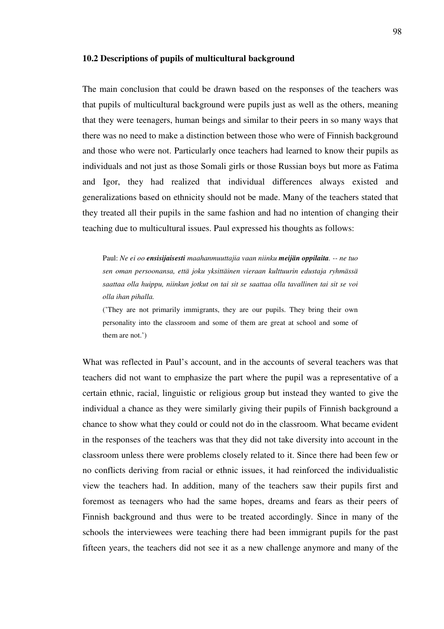#### **10.2 Descriptions of pupils of multicultural background**

The main conclusion that could be drawn based on the responses of the teachers was that pupils of multicultural background were pupils just as well as the others, meaning that they were teenagers, human beings and similar to their peers in so many ways that there was no need to make a distinction between those who were of Finnish background and those who were not. Particularly once teachers had learned to know their pupils as individuals and not just as those Somali girls or those Russian boys but more as Fatima and Igor, they had realized that individual differences always existed and generalizations based on ethnicity should not be made. Many of the teachers stated that they treated all their pupils in the same fashion and had no intention of changing their teaching due to multicultural issues. Paul expressed his thoughts as follows:

Paul: *Ne ei oo ensisijaisesti maahanmuuttajia vaan niinku meijän oppilaita. -- ne tuo sen oman persoonansa, että joku yksittäinen vieraan kulttuurin edustaja ryhmässä saattaa olla huippu, niinkun jotkut on tai sit se saattaa olla tavallinen tai sit se voi olla ihan pihalla.* 

('They are not primarily immigrants, they are our pupils. They bring their own personality into the classroom and some of them are great at school and some of them are not.')

What was reflected in Paul's account, and in the accounts of several teachers was that teachers did not want to emphasize the part where the pupil was a representative of a certain ethnic, racial, linguistic or religious group but instead they wanted to give the individual a chance as they were similarly giving their pupils of Finnish background a chance to show what they could or could not do in the classroom. What became evident in the responses of the teachers was that they did not take diversity into account in the classroom unless there were problems closely related to it. Since there had been few or no conflicts deriving from racial or ethnic issues, it had reinforced the individualistic view the teachers had. In addition, many of the teachers saw their pupils first and foremost as teenagers who had the same hopes, dreams and fears as their peers of Finnish background and thus were to be treated accordingly. Since in many of the schools the interviewees were teaching there had been immigrant pupils for the past fifteen years, the teachers did not see it as a new challenge anymore and many of the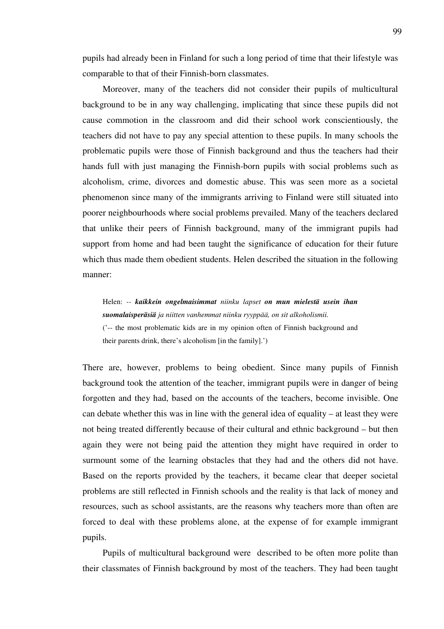pupils had already been in Finland for such a long period of time that their lifestyle was comparable to that of their Finnish-born classmates.

Moreover, many of the teachers did not consider their pupils of multicultural background to be in any way challenging, implicating that since these pupils did not cause commotion in the classroom and did their school work conscientiously, the teachers did not have to pay any special attention to these pupils. In many schools the problematic pupils were those of Finnish background and thus the teachers had their hands full with just managing the Finnish-born pupils with social problems such as alcoholism, crime, divorces and domestic abuse. This was seen more as a societal phenomenon since many of the immigrants arriving to Finland were still situated into poorer neighbourhoods where social problems prevailed. Many of the teachers declared that unlike their peers of Finnish background, many of the immigrant pupils had support from home and had been taught the significance of education for their future which thus made them obedient students. Helen described the situation in the following manner:

Helen: *-- kaikkein ongelmaisimmat niinku lapset on mun mielestä usein ihan suomalaisperäsiä ja niitten vanhemmat niinku ryyppää, on sit alkoholismii.*  ('-- the most problematic kids are in my opinion often of Finnish background and their parents drink, there's alcoholism [in the family].')

There are, however, problems to being obedient. Since many pupils of Finnish background took the attention of the teacher, immigrant pupils were in danger of being forgotten and they had, based on the accounts of the teachers, become invisible. One can debate whether this was in line with the general idea of equality – at least they were not being treated differently because of their cultural and ethnic background – but then again they were not being paid the attention they might have required in order to surmount some of the learning obstacles that they had and the others did not have. Based on the reports provided by the teachers, it became clear that deeper societal problems are still reflected in Finnish schools and the reality is that lack of money and resources, such as school assistants, are the reasons why teachers more than often are forced to deal with these problems alone, at the expense of for example immigrant pupils.

Pupils of multicultural background were described to be often more polite than their classmates of Finnish background by most of the teachers. They had been taught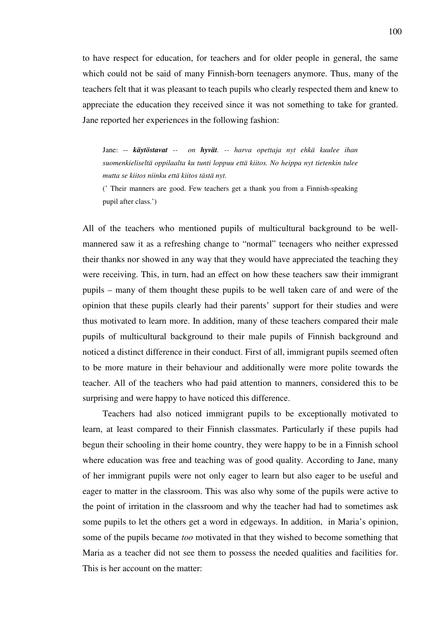to have respect for education, for teachers and for older people in general, the same which could not be said of many Finnish-born teenagers anymore. Thus, many of the teachers felt that it was pleasant to teach pupils who clearly respected them and knew to appreciate the education they received since it was not something to take for granted. Jane reported her experiences in the following fashion:

Jane: -- *käytöstavat -- on hyvät. -- harva opettaja nyt ehkä kuulee ihan suomenkieliseltä oppilaalta ku tunti loppuu että kiitos. No heippa nyt tietenkin tulee mutta se kiitos niinku että kiitos tästä nyt.* 

(' Their manners are good. Few teachers get a thank you from a Finnish-speaking pupil after class.')

All of the teachers who mentioned pupils of multicultural background to be wellmannered saw it as a refreshing change to "normal" teenagers who neither expressed their thanks nor showed in any way that they would have appreciated the teaching they were receiving. This, in turn, had an effect on how these teachers saw their immigrant pupils – many of them thought these pupils to be well taken care of and were of the opinion that these pupils clearly had their parents' support for their studies and were thus motivated to learn more. In addition, many of these teachers compared their male pupils of multicultural background to their male pupils of Finnish background and noticed a distinct difference in their conduct. First of all, immigrant pupils seemed often to be more mature in their behaviour and additionally were more polite towards the teacher. All of the teachers who had paid attention to manners, considered this to be surprising and were happy to have noticed this difference.

Teachers had also noticed immigrant pupils to be exceptionally motivated to learn, at least compared to their Finnish classmates. Particularly if these pupils had begun their schooling in their home country, they were happy to be in a Finnish school where education was free and teaching was of good quality. According to Jane, many of her immigrant pupils were not only eager to learn but also eager to be useful and eager to matter in the classroom. This was also why some of the pupils were active to the point of irritation in the classroom and why the teacher had had to sometimes ask some pupils to let the others get a word in edgeways. In addition, in Maria's opinion, some of the pupils became *too* motivated in that they wished to become something that Maria as a teacher did not see them to possess the needed qualities and facilities for. This is her account on the matter: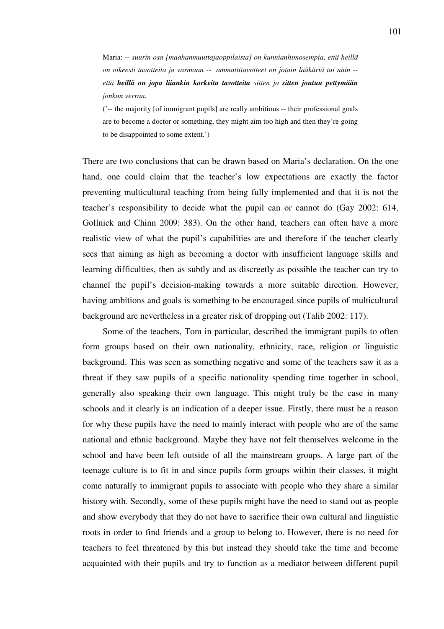Maria: -- *suurin osa [maahanmuuttajaoppilaista] on kunnianhimosempia, että heillä on oikeesti tavotteita ja varmaan -- ammattitavotteet on jotain lääkäriä tai näin - että heillä on jopa liiankin korkeita tavotteita sitten ja sitten joutuu pettymään jonkun verran.* 

('-- the majority [of immigrant pupils] are really ambitious -- their professional goals are to become a doctor or something, they might aim too high and then they're going to be disappointed to some extent.')

There are two conclusions that can be drawn based on Maria's declaration. On the one hand, one could claim that the teacher's low expectations are exactly the factor preventing multicultural teaching from being fully implemented and that it is not the teacher's responsibility to decide what the pupil can or cannot do (Gay 2002: 614, Gollnick and Chinn 2009: 383). On the other hand, teachers can often have a more realistic view of what the pupil's capabilities are and therefore if the teacher clearly sees that aiming as high as becoming a doctor with insufficient language skills and learning difficulties, then as subtly and as discreetly as possible the teacher can try to channel the pupil's decision-making towards a more suitable direction. However, having ambitions and goals is something to be encouraged since pupils of multicultural background are nevertheless in a greater risk of dropping out (Talib 2002: 117).

Some of the teachers, Tom in particular, described the immigrant pupils to often form groups based on their own nationality, ethnicity, race, religion or linguistic background. This was seen as something negative and some of the teachers saw it as a threat if they saw pupils of a specific nationality spending time together in school, generally also speaking their own language. This might truly be the case in many schools and it clearly is an indication of a deeper issue. Firstly, there must be a reason for why these pupils have the need to mainly interact with people who are of the same national and ethnic background. Maybe they have not felt themselves welcome in the school and have been left outside of all the mainstream groups. A large part of the teenage culture is to fit in and since pupils form groups within their classes, it might come naturally to immigrant pupils to associate with people who they share a similar history with. Secondly, some of these pupils might have the need to stand out as people and show everybody that they do not have to sacrifice their own cultural and linguistic roots in order to find friends and a group to belong to. However, there is no need for teachers to feel threatened by this but instead they should take the time and become acquainted with their pupils and try to function as a mediator between different pupil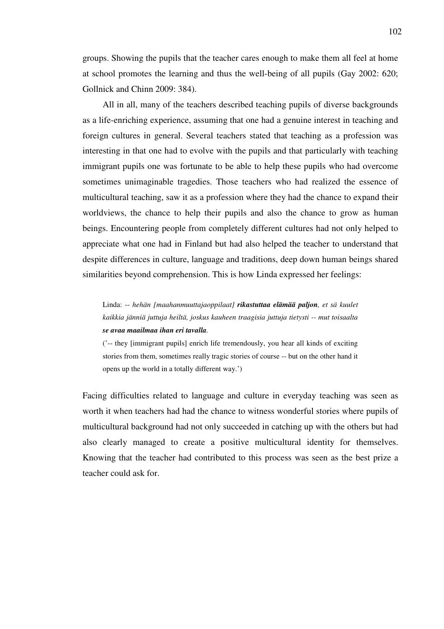groups. Showing the pupils that the teacher cares enough to make them all feel at home at school promotes the learning and thus the well-being of all pupils (Gay 2002: 620; Gollnick and Chinn 2009: 384).

All in all, many of the teachers described teaching pupils of diverse backgrounds as a life-enriching experience, assuming that one had a genuine interest in teaching and foreign cultures in general. Several teachers stated that teaching as a profession was interesting in that one had to evolve with the pupils and that particularly with teaching immigrant pupils one was fortunate to be able to help these pupils who had overcome sometimes unimaginable tragedies. Those teachers who had realized the essence of multicultural teaching, saw it as a profession where they had the chance to expand their worldviews, the chance to help their pupils and also the chance to grow as human beings. Encountering people from completely different cultures had not only helped to appreciate what one had in Finland but had also helped the teacher to understand that despite differences in culture, language and traditions, deep down human beings shared similarities beyond comprehension. This is how Linda expressed her feelings:

Linda: -- *hehän [maahanmuuttajaoppilaat] rikastuttaa elämää paljon, et sä kuulet kaikkia jänniä juttuja heiltä, joskus kauheen traagisia juttuja tietysti -- mut toisaalta se avaa maailmaa ihan eri tavalla.* 

('-- they [immigrant pupils] enrich life tremendously, you hear all kinds of exciting stories from them, sometimes really tragic stories of course -- but on the other hand it opens up the world in a totally different way.')

Facing difficulties related to language and culture in everyday teaching was seen as worth it when teachers had had the chance to witness wonderful stories where pupils of multicultural background had not only succeeded in catching up with the others but had also clearly managed to create a positive multicultural identity for themselves. Knowing that the teacher had contributed to this process was seen as the best prize a teacher could ask for.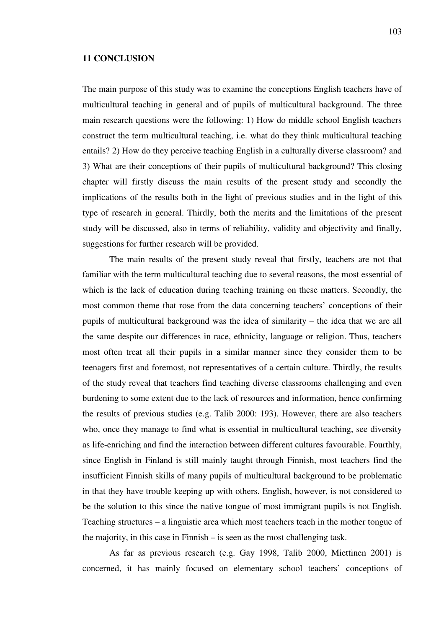#### **11 CONCLUSION**

The main purpose of this study was to examine the conceptions English teachers have of multicultural teaching in general and of pupils of multicultural background. The three main research questions were the following: 1) How do middle school English teachers construct the term multicultural teaching, i.e. what do they think multicultural teaching entails? 2) How do they perceive teaching English in a culturally diverse classroom? and 3) What are their conceptions of their pupils of multicultural background? This closing chapter will firstly discuss the main results of the present study and secondly the implications of the results both in the light of previous studies and in the light of this type of research in general. Thirdly, both the merits and the limitations of the present study will be discussed, also in terms of reliability, validity and objectivity and finally, suggestions for further research will be provided.

The main results of the present study reveal that firstly, teachers are not that familiar with the term multicultural teaching due to several reasons, the most essential of which is the lack of education during teaching training on these matters. Secondly, the most common theme that rose from the data concerning teachers' conceptions of their pupils of multicultural background was the idea of similarity – the idea that we are all the same despite our differences in race, ethnicity, language or religion. Thus, teachers most often treat all their pupils in a similar manner since they consider them to be teenagers first and foremost, not representatives of a certain culture. Thirdly, the results of the study reveal that teachers find teaching diverse classrooms challenging and even burdening to some extent due to the lack of resources and information, hence confirming the results of previous studies (e.g. Talib 2000: 193). However, there are also teachers who, once they manage to find what is essential in multicultural teaching, see diversity as life-enriching and find the interaction between different cultures favourable. Fourthly, since English in Finland is still mainly taught through Finnish, most teachers find the insufficient Finnish skills of many pupils of multicultural background to be problematic in that they have trouble keeping up with others. English, however, is not considered to be the solution to this since the native tongue of most immigrant pupils is not English. Teaching structures – a linguistic area which most teachers teach in the mother tongue of the majority, in this case in Finnish – is seen as the most challenging task.

As far as previous research (e.g. Gay 1998, Talib 2000, Miettinen 2001) is concerned, it has mainly focused on elementary school teachers' conceptions of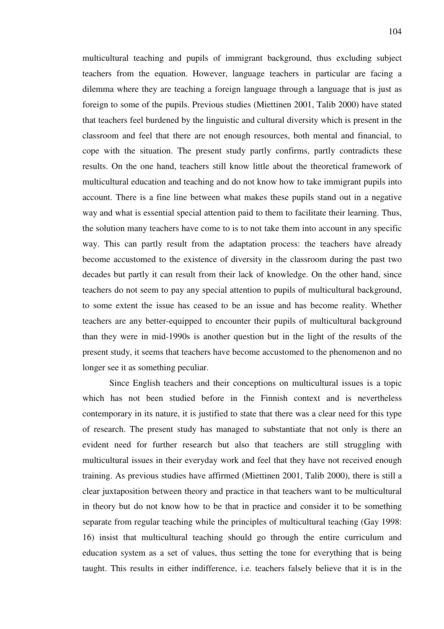104

multicultural teaching and pupils of immigrant background, thus excluding subject teachers from the equation. However, language teachers in particular are facing a dilemma where they are teaching a foreign language through a language that is just as foreign to some of the pupils. Previous studies (Miettinen 2001, Talib 2000) have stated that teachers feel burdened by the linguistic and cultural diversity which is present in the classroom and feel that there are not enough resources, both mental and financial, to cope with the situation. The present study partly confirms, partly contradicts these results. On the one hand, teachers still know little about the theoretical framework of multicultural education and teaching and do not know how to take immigrant pupils into account. There is a fine line between what makes these pupils stand out in a negative way and what is essential special attention paid to them to facilitate their learning. Thus, the solution many teachers have come to is to not take them into account in any specific way. This can partly result from the adaptation process: the teachers have already become accustomed to the existence of diversity in the classroom during the past two decades but partly it can result from their lack of knowledge. On the other hand, since teachers do not seem to pay any special attention to pupils of multicultural background, to some extent the issue has ceased to be an issue and has become reality. Whether teachers are any better-equipped to encounter their pupils of multicultural background than they were in mid-1990s is another question but in the light of the results of the present study, it seems that teachers have become accustomed to the phenomenon and no longer see it as something peculiar.

Since English teachers and their conceptions on multicultural issues is a topic which has not been studied before in the Finnish context and is nevertheless contemporary in its nature, it is justified to state that there was a clear need for this type of research. The present study has managed to substantiate that not only is there an evident need for further research but also that teachers are still struggling with multicultural issues in their everyday work and feel that they have not received enough training. As previous studies have affirmed (Miettinen 2001, Talib 2000), there is still a clear juxtaposition between theory and practice in that teachers want to be multicultural in theory but do not know how to be that in practice and consider it to be something separate from regular teaching while the principles of multicultural teaching (Gay 1998: 16) insist that multicultural teaching should go through the entire curriculum and education system as a set of values, thus setting the tone for everything that is being taught. This results in either indifference, i.e. teachers falsely believe that it is in the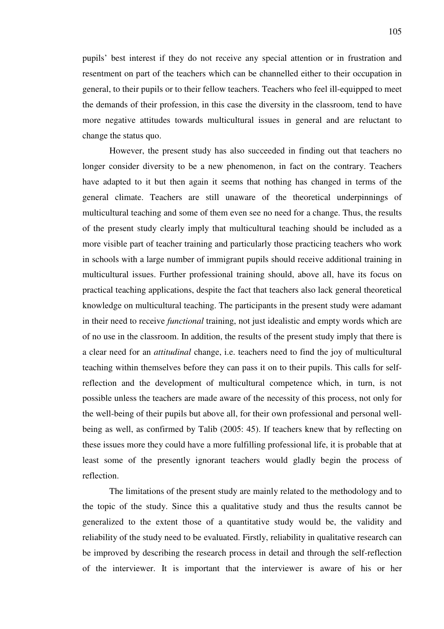pupils' best interest if they do not receive any special attention or in frustration and resentment on part of the teachers which can be channelled either to their occupation in general, to their pupils or to their fellow teachers. Teachers who feel ill-equipped to meet the demands of their profession, in this case the diversity in the classroom, tend to have more negative attitudes towards multicultural issues in general and are reluctant to change the status quo.

However, the present study has also succeeded in finding out that teachers no longer consider diversity to be a new phenomenon, in fact on the contrary. Teachers have adapted to it but then again it seems that nothing has changed in terms of the general climate. Teachers are still unaware of the theoretical underpinnings of multicultural teaching and some of them even see no need for a change. Thus, the results of the present study clearly imply that multicultural teaching should be included as a more visible part of teacher training and particularly those practicing teachers who work in schools with a large number of immigrant pupils should receive additional training in multicultural issues. Further professional training should, above all, have its focus on practical teaching applications, despite the fact that teachers also lack general theoretical knowledge on multicultural teaching. The participants in the present study were adamant in their need to receive *functional* training, not just idealistic and empty words which are of no use in the classroom. In addition, the results of the present study imply that there is a clear need for an *attitudinal* change, i.e. teachers need to find the joy of multicultural teaching within themselves before they can pass it on to their pupils. This calls for selfreflection and the development of multicultural competence which, in turn, is not possible unless the teachers are made aware of the necessity of this process, not only for the well-being of their pupils but above all, for their own professional and personal wellbeing as well, as confirmed by Talib (2005: 45). If teachers knew that by reflecting on these issues more they could have a more fulfilling professional life, it is probable that at least some of the presently ignorant teachers would gladly begin the process of reflection.

The limitations of the present study are mainly related to the methodology and to the topic of the study. Since this a qualitative study and thus the results cannot be generalized to the extent those of a quantitative study would be, the validity and reliability of the study need to be evaluated. Firstly, reliability in qualitative research can be improved by describing the research process in detail and through the self-reflection of the interviewer. It is important that the interviewer is aware of his or her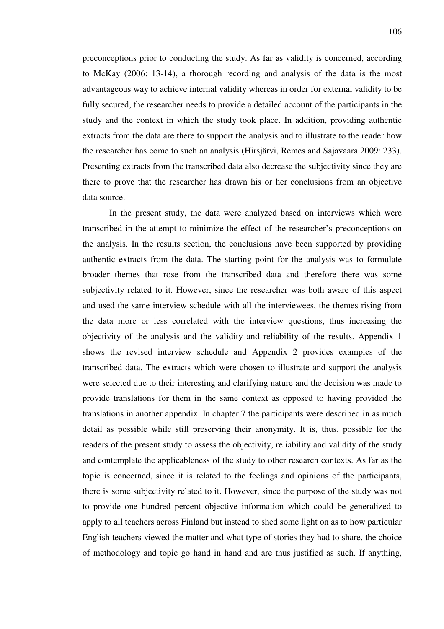preconceptions prior to conducting the study. As far as validity is concerned, according to McKay (2006: 13-14), a thorough recording and analysis of the data is the most advantageous way to achieve internal validity whereas in order for external validity to be fully secured, the researcher needs to provide a detailed account of the participants in the study and the context in which the study took place. In addition, providing authentic extracts from the data are there to support the analysis and to illustrate to the reader how the researcher has come to such an analysis (Hirsjärvi, Remes and Sajavaara 2009: 233). Presenting extracts from the transcribed data also decrease the subjectivity since they are there to prove that the researcher has drawn his or her conclusions from an objective data source.

In the present study, the data were analyzed based on interviews which were transcribed in the attempt to minimize the effect of the researcher's preconceptions on the analysis. In the results section, the conclusions have been supported by providing authentic extracts from the data. The starting point for the analysis was to formulate broader themes that rose from the transcribed data and therefore there was some subjectivity related to it. However, since the researcher was both aware of this aspect and used the same interview schedule with all the interviewees, the themes rising from the data more or less correlated with the interview questions, thus increasing the objectivity of the analysis and the validity and reliability of the results. Appendix 1 shows the revised interview schedule and Appendix 2 provides examples of the transcribed data. The extracts which were chosen to illustrate and support the analysis were selected due to their interesting and clarifying nature and the decision was made to provide translations for them in the same context as opposed to having provided the translations in another appendix. In chapter 7 the participants were described in as much detail as possible while still preserving their anonymity. It is, thus, possible for the readers of the present study to assess the objectivity, reliability and validity of the study and contemplate the applicableness of the study to other research contexts. As far as the topic is concerned, since it is related to the feelings and opinions of the participants, there is some subjectivity related to it. However, since the purpose of the study was not to provide one hundred percent objective information which could be generalized to apply to all teachers across Finland but instead to shed some light on as to how particular English teachers viewed the matter and what type of stories they had to share, the choice of methodology and topic go hand in hand and are thus justified as such. If anything,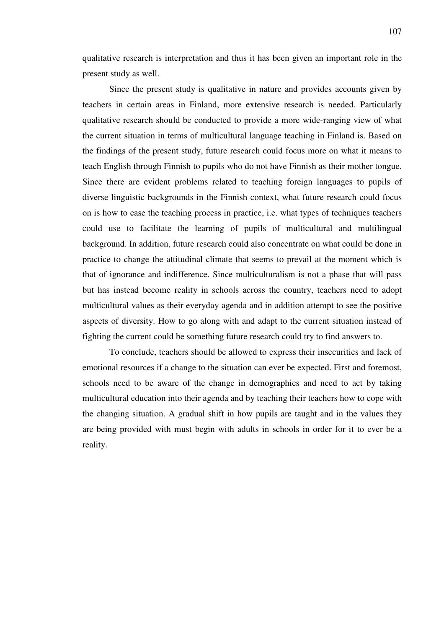qualitative research is interpretation and thus it has been given an important role in the present study as well.

Since the present study is qualitative in nature and provides accounts given by teachers in certain areas in Finland, more extensive research is needed. Particularly qualitative research should be conducted to provide a more wide-ranging view of what the current situation in terms of multicultural language teaching in Finland is. Based on the findings of the present study, future research could focus more on what it means to teach English through Finnish to pupils who do not have Finnish as their mother tongue. Since there are evident problems related to teaching foreign languages to pupils of diverse linguistic backgrounds in the Finnish context, what future research could focus on is how to ease the teaching process in practice, i.e. what types of techniques teachers could use to facilitate the learning of pupils of multicultural and multilingual background. In addition, future research could also concentrate on what could be done in practice to change the attitudinal climate that seems to prevail at the moment which is that of ignorance and indifference. Since multiculturalism is not a phase that will pass but has instead become reality in schools across the country, teachers need to adopt multicultural values as their everyday agenda and in addition attempt to see the positive aspects of diversity. How to go along with and adapt to the current situation instead of fighting the current could be something future research could try to find answers to.

To conclude, teachers should be allowed to express their insecurities and lack of emotional resources if a change to the situation can ever be expected. First and foremost, schools need to be aware of the change in demographics and need to act by taking multicultural education into their agenda and by teaching their teachers how to cope with the changing situation. A gradual shift in how pupils are taught and in the values they are being provided with must begin with adults in schools in order for it to ever be a reality.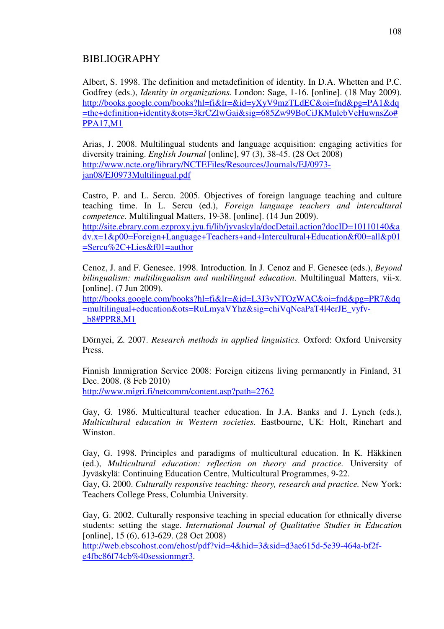# BIBLIOGRAPHY

Albert, S. 1998. The definition and metadefinition of identity. In D.A. Whetten and P.C. Godfrey (eds.), *Identity in organizations.* London: Sage, 1-16. [online]. (18 May 2009). http://books.google.com/books?hl=fi&lr=&id=yXyV9mzTLdEC&oi=fnd&pg=PA1&dq =the+definition+identity&ots=3krCZlwGai&sig=685Zw99BoCiJKMulebVeHuwnsZo# PPA17,M1

Arias, J. 2008. Multilingual students and language acquisition: engaging activities for diversity training. *English Journal* [online], 97 (3), 38-45. (28 Oct 2008) http://www.ncte.org/library/NCTEFiles/Resources/Journals/EJ/0973 jan08/EJ0973Multilingual.pdf

Castro, P. and L. Sercu. 2005. Objectives of foreign language teaching and culture teaching time. In L. Sercu (ed.), *Foreign language teachers and intercultural competence.* Multilingual Matters, 19-38. [online]. (14 Jun 2009). http://site.ebrary.com.ezproxy.jyu.fi/lib/jyvaskyla/docDetail.action?docID=10110140&a dv.x=1&p00=Foreign+Language+Teachers+and+Intercultural+Education&f00=all&p01 =Sercu%2C+Lies&f01=author

Cenoz, J. and F. Genesee. 1998. Introduction. In J. Cenoz and F. Genesee (eds.), *Beyond bilingualism: multilingualism and multilingual education*. Multilingual Matters, vii-x. [online]. (7 Jun 2009).

http://books.google.com/books?hl=fi&lr=&id=L3J3vNTOzWAC&oi=fnd&pg=PR7&dq =multilingual+education&ots=RuLmyaVYhz&sig=chiVqNeaPaT4l4erJE\_vyfv- \_b8#PPR8,M1

Dörnyei, Z. 2007. *Research methods in applied linguistics.* Oxford: Oxford University Press.

Finnish Immigration Service 2008: Foreign citizens living permanently in Finland, 31 Dec. 2008. (8 Feb 2010) http://www.migri.fi/netcomm/content.asp?path=2762

Gay, G. 1986. Multicultural teacher education. In J.A. Banks and J. Lynch (eds.), *Multicultural education in Western societies.* Eastbourne, UK: Holt, Rinehart and Winston.

Gay, G. 1998. Principles and paradigms of multicultural education. In K. Häkkinen (ed.), *Multicultural education: reflection on theory and practice.* University of Jyväskylä: Continuing Education Centre, Multicultural Programmes, 9-22.

Gay, G. 2000. *Culturally responsive teaching: theory, research and practice.* New York: Teachers College Press, Columbia University.

Gay, G. 2002. Culturally responsive teaching in special education for ethnically diverse students: setting the stage. *International Journal of Qualitative Studies in Education*  [online], 15 (6), 613-629. (28 Oct 2008)

http://web.ebscohost.com/ehost/pdf?vid=4&hid=3&sid=d3ae615d-5e39-464a-bf2fe4fbc86f74cb%40sessionmgr3.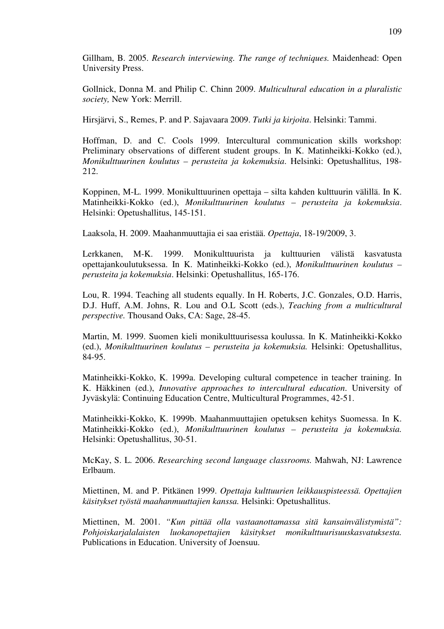Gillham, B. 2005. *Research interviewing. The range of techniques.* Maidenhead: Open University Press.

Gollnick, Donna M. and Philip C. Chinn 2009. *Multicultural education in a pluralistic society,* New York: Merrill.

Hirsjärvi, S., Remes, P. and P. Sajavaara 2009. *Tutki ja kirjoita*. Helsinki: Tammi.

Hoffman, D. and C. Cools 1999. Intercultural communication skills workshop: Preliminary observations of different student groups. In K. Matinheikki-Kokko (ed.), *Monikulttuurinen koulutus – perusteita ja kokemuksia*. Helsinki: Opetushallitus, 198- 212.

Koppinen, M-L. 1999. Monikulttuurinen opettaja – silta kahden kulttuurin välillä. In K. Matinheikki-Kokko (ed.), *Monikulttuurinen koulutus – perusteita ja kokemuksia*. Helsinki: Opetushallitus, 145-151.

Laaksola, H. 2009. Maahanmuuttajia ei saa eristää. *Opettaja*, 18-19/2009, 3.

Lerkkanen, M-K. 1999. Monikulttuurista ja kulttuurien välistä kasvatusta opettajankoulutuksessa. In K. Matinheikki-Kokko (ed.), *Monikulttuurinen koulutus – perusteita ja kokemuksia*. Helsinki: Opetushallitus, 165-176.

Lou, R. 1994. Teaching all students equally. In H. Roberts, J.C. Gonzales, O.D. Harris, D.J. Huff, A.M. Johns, R. Lou and O.L Scott (eds.), *Teaching from a multicultural perspective.* Thousand Oaks, CA: Sage, 28-45.

Martin, M. 1999. Suomen kieli monikulttuurisessa koulussa. In K. Matinheikki-Kokko (ed.), *Monikulttuurinen koulutus – perusteita ja kokemuksia.* Helsinki: Opetushallitus, 84-95.

Matinheikki-Kokko, K. 1999a. Developing cultural competence in teacher training. In K. Häkkinen (ed.), *Innovative approaches to intercultural education*. University of Jyväskylä: Continuing Education Centre, Multicultural Programmes, 42-51.

Matinheikki-Kokko, K. 1999b. Maahanmuuttajien opetuksen kehitys Suomessa. In K. Matinheikki-Kokko (ed.), *Monikulttuurinen koulutus – perusteita ja kokemuksia.*  Helsinki: Opetushallitus, 30-51.

McKay, S. L. 2006. *Researching second language classrooms.* Mahwah, NJ: Lawrence Erlbaum.

Miettinen, M. and P. Pitkänen 1999. *Opettaja kulttuurien leikkauspisteessä. Opettajien käsitykset työstä maahanmuuttajien kanssa.* Helsinki: Opetushallitus.

Miettinen, M. 2001. *"Kun pittää olla vastaanottamassa sitä kansainvälistymistä": Pohjoiskarjalalaisten luokanopettajien käsitykset monikulttuurisuuskasvatuksesta.*  Publications in Education. University of Joensuu.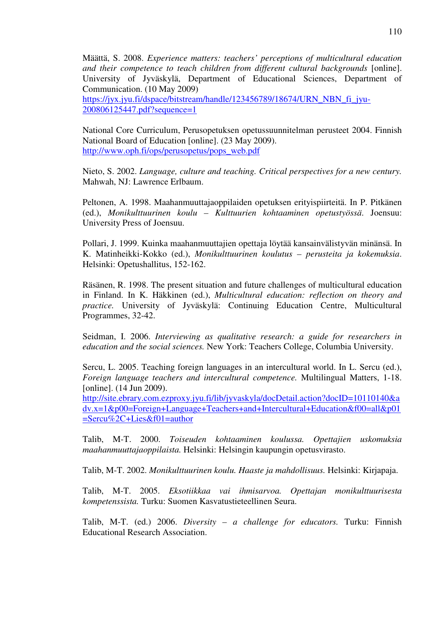Määttä, S. 2008. *Experience matters: teachers' perceptions of multicultural education and their competence to teach children from different cultural backgrounds* [online]. University of Jyväskylä, Department of Educational Sciences, Department of Communication. (10 May 2009)

https://jyx.jyu.fi/dspace/bitstream/handle/123456789/18674/URN\_NBN\_fi\_jyu-200806125447.pdf?sequence=1

National Core Curriculum, Perusopetuksen opetussuunnitelman perusteet 2004. Finnish National Board of Education [online]. (23 May 2009). http://www.oph.fi/ops/perusopetus/pops\_web.pdf

Nieto, S. 2002. *Language, culture and teaching. Critical perspectives for a new century.*  Mahwah, NJ: Lawrence Erlbaum.

Peltonen, A. 1998. Maahanmuuttajaoppilaiden opetuksen erityispiirteitä. In P. Pitkänen (ed.), *Monikulttuurinen koulu – Kulttuurien kohtaaminen opetustyössä*. Joensuu: University Press of Joensuu.

Pollari, J. 1999. Kuinka maahanmuuttajien opettaja löytää kansainvälistyvän minänsä. In K. Matinheikki-Kokko (ed.), *Monikulttuurinen koulutus – perusteita ja kokemuksia*. Helsinki: Opetushallitus, 152-162.

Räsänen, R. 1998. The present situation and future challenges of multicultural education in Finland. In K. Häkkinen (ed.), *Multicultural education: reflection on theory and practice.* University of Jyväskylä: Continuing Education Centre, Multicultural Programmes, 32-42.

Seidman, I. 2006. *Interviewing as qualitative research: a guide for researchers in education and the social sciences.* New York: Teachers College, Columbia University.

Sercu, L. 2005. Teaching foreign languages in an intercultural world. In L. Sercu (ed.), *Foreign language teachers and intercultural competence.* Multilingual Matters, 1-18. [online]. (14 Jun 2009).

http://site.ebrary.com.ezproxy.jyu.fi/lib/jyvaskyla/docDetail.action?docID=10110140&a dv.x=1&p00=Foreign+Language+Teachers+and+Intercultural+Education&f00=all&p01 =Sercu%2C+Lies&f01=author

Talib, M-T. 2000. *Toiseuden kohtaaminen koulussa. Opettajien uskomuksia maahanmuuttajaoppilaista.* Helsinki: Helsingin kaupungin opetusvirasto.

Talib, M-T. 2002. *Monikulttuurinen koulu. Haaste ja mahdollisuus.* Helsinki: Kirjapaja.

Talib, M-T. 2005. *Eksotiikkaa vai ihmisarvoa. Opettajan monikulttuurisesta kompetenssista.* Turku: Suomen Kasvatustieteellinen Seura.

Talib, M-T. (ed.) 2006. *Diversity – a challenge for educators.* Turku: Finnish Educational Research Association.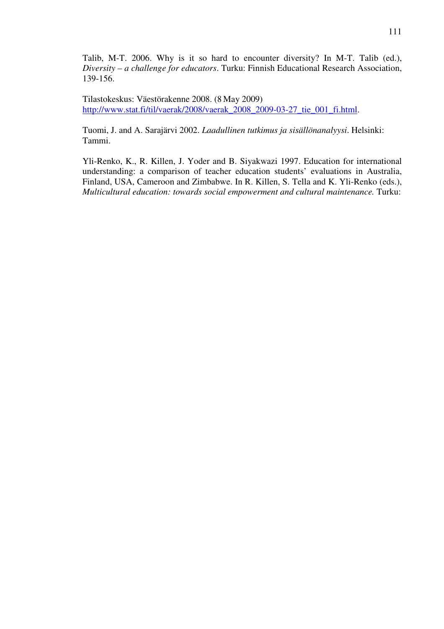Talib, M-T. 2006. Why is it so hard to encounter diversity? In M-T. Talib (ed.), *Diversity – a challenge for educators*. Turku: Finnish Educational Research Association, 139-156.

Tilastokeskus: Väestörakenne 2008. (8 May 2009) http://www.stat.fi/til/vaerak/2008/vaerak\_2008\_2009-03-27\_tie\_001\_fi.html.

Tuomi, J. and A. Sarajärvi 2002. *Laadullinen tutkimus ja sisällönanalyysi*. Helsinki: Tammi.

Yli-Renko, K., R. Killen, J. Yoder and B. Siyakwazi 1997. Education for international understanding: a comparison of teacher education students' evaluations in Australia, Finland, USA, Cameroon and Zimbabwe. In R. Killen, S. Tella and K. Yli-Renko (eds.), *Multicultural education: towards social empowerment and cultural maintenance.* Turku: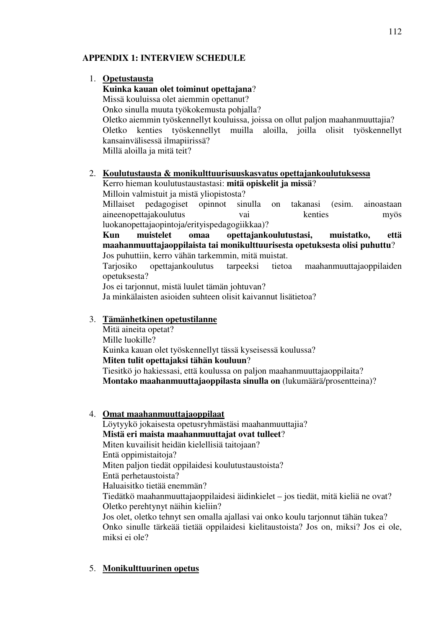### **APPENDIX 1: INTERVIEW SCHEDULE**

#### 1. **Opetustausta**

# **Kuinka kauan olet toiminut opettajana**?

Missä kouluissa olet aiemmin opettanut?

Onko sinulla muuta työkokemusta pohjalla? Oletko aiemmin työskennellyt kouluissa, joissa on ollut paljon maahanmuuttajia? Oletko kenties työskennellyt muilla aloilla, joilla olisit työskennellyt kansainvälisessä ilmapiirissä? Millä aloilla ja mitä teit?

#### 2. **Koulutustausta & monikulttuurisuuskasvatus opettajankoulutuksessa** Kerro hieman koulutustaustastasi: **mitä opiskelit ja missä**?

Milloin valmistuit ja mistä yliopistosta?

Millaiset pedagogiset opinnot sinulla on takanasi (esim. ainoastaan aineenopettajakoulutus vai kenties myös luokanopettajaopintoja/erityispedagogiikkaa)?

**Kun muistelet omaa opettajankoulutustasi, muistatko, että maahanmuuttajaoppilaista tai monikulttuurisesta opetuksesta olisi puhuttu**? Jos puhuttiin, kerro vähän tarkemmin, mitä muistat.

Tarjosiko opettajankoulutus tarpeeksi tietoa maahanmuuttajaoppilaiden opetuksesta?

Jos ei tarjonnut, mistä luulet tämän johtuvan?

Ja minkälaisten asioiden suhteen olisit kaivannut lisätietoa?

### 3. **Tämänhetkinen opetustilanne**

Mitä aineita opetat? Mille luokille? Kuinka kauan olet työskennellyt tässä kyseisessä koulussa? **Miten tulit opettajaksi tähän kouluun**? Tiesitkö jo hakiessasi, että koulussa on paljon maahanmuuttajaoppilaita? **Montako maahanmuuttajaoppilasta sinulla on** (lukumäärä/prosentteina)?

### 4. **Omat maahanmuuttajaoppilaat**

Löytyykö jokaisesta opetusryhmästäsi maahanmuuttajia? **Mistä eri maista maahanmuuttajat ovat tulleet**? Miten kuvailisit heidän kielellisiä taitojaan? Entä oppimistaitoja? Miten paljon tiedät oppilaidesi koulutustaustoista? Entä perhetaustoista? Haluaisitko tietää enemmän? Tiedätkö maahanmuuttajaoppilaidesi äidinkielet – jos tiedät, mitä kieliä ne ovat? Oletko perehtynyt näihin kieliin? Jos olet, oletko tehnyt sen omalla ajallasi vai onko koulu tarjonnut tähän tukea? Onko sinulle tärkeää tietää oppilaidesi kielitaustoista? Jos on, miksi? Jos ei ole, miksi ei ole?

## 5. **Monikulttuurinen opetus**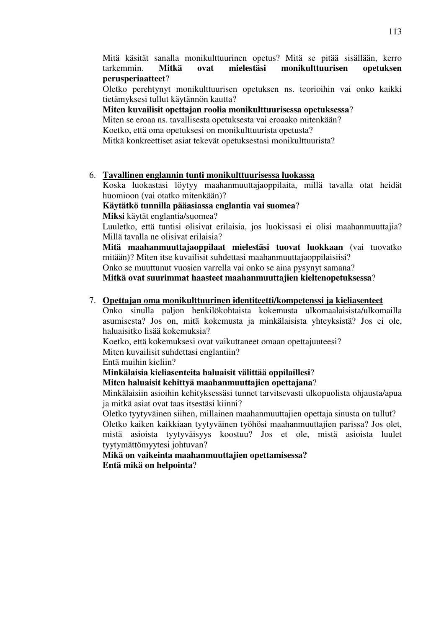Mitä käsität sanalla monikulttuurinen opetus? Mitä se pitää sisällään, kerro tarkemmin. **Mitkä ovat mielestäsi monikulttuurisen opetuksen perusperiaatteet**?

Oletko perehtynyt monikulttuurisen opetuksen ns. teorioihin vai onko kaikki tietämyksesi tullut käytännön kautta?

#### **Miten kuvailisit opettajan roolia monikulttuurisessa opetuksessa**?

Miten se eroaa ns. tavallisesta opetuksesta vai eroaako mitenkään?

Koetko, että oma opetuksesi on monikulttuurista opetusta?

Mitkä konkreettiset asiat tekevät opetuksestasi monikulttuurista?

#### 6. **Tavallinen englannin tunti monikulttuurisessa luokassa**

Koska luokastasi löytyy maahanmuuttajaoppilaita, millä tavalla otat heidät huomioon (vai otatko mitenkään)?

**Käytätkö tunnilla pääasiassa englantia vai suomea**?

**Miksi** käytät englantia/suomea?

Luuletko, että tuntisi olisivat erilaisia, jos luokissasi ei olisi maahanmuuttajia? Millä tavalla ne olisivat erilaisia?

**Mitä maahanmuuttajaoppilaat mielestäsi tuovat luokkaan** (vai tuovatko mitään)? Miten itse kuvailisit suhdettasi maahanmuuttajaoppilaisiisi?

Onko se muuttunut vuosien varrella vai onko se aina pysynyt samana?

**Mitkä ovat suurimmat haasteet maahanmuuttajien kieltenopetuksessa**?

### 7. **Opettajan oma monikulttuurinen identiteetti/kompetenssi ja kieliasenteet**

Onko sinulla paljon henkilökohtaista kokemusta ulkomaalaisista/ulkomailla asumisesta? Jos on, mitä kokemusta ja minkälaisista yhteyksistä? Jos ei ole, haluaisitko lisää kokemuksia?

Koetko, että kokemuksesi ovat vaikuttaneet omaan opettajuuteesi?

Miten kuvailisit suhdettasi englantiin?

Entä muihin kieliin?

### **Minkälaisia kieliasenteita haluaisit välittää oppilaillesi**?

### **Miten haluaisit kehittyä maahanmuuttajien opettajana**?

Minkälaisiin asioihin kehityksessäsi tunnet tarvitsevasti ulkopuolista ohjausta/apua ja mitkä asiat ovat taas itsestäsi kiinni?

Oletko tyytyväinen siihen, millainen maahanmuuttajien opettaja sinusta on tullut? Oletko kaiken kaikkiaan tyytyväinen työhösi maahanmuuttajien parissa? Jos olet,

mistä asioista tyytyväisyys koostuu? Jos et ole, mistä asioista luulet tyytymättömyytesi johtuvan?

**Mikä on vaikeinta maahanmuuttajien opettamisessa? Entä mikä on helpointa**?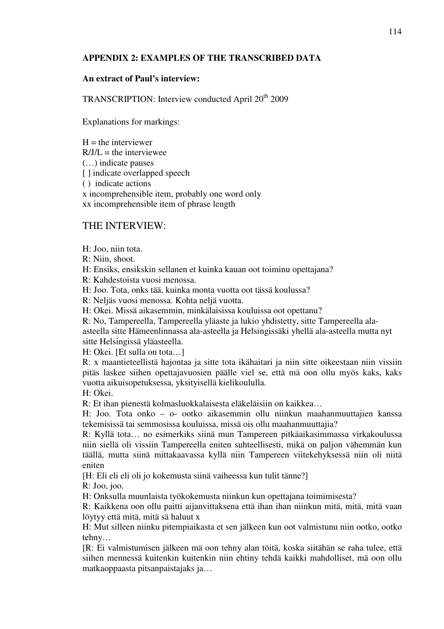#### **APPENDIX 2: EXAMPLES OF THE TRANSCRIBED DATA**

#### **An extract of Paul's interview:**

TRANSCRIPTION: Interview conducted April 20<sup>th</sup> 2009

Explanations for markings:

 $H =$  the interviewer  $R/JI =$  the interviewee (…) indicate pauses [ ] indicate overlapped speech ( ) indicate actions x incomprehensible item, probably one word only xx incomprehensible item of phrase length

### THE INTERVIEW:

H: Joo, niin tota.

R: Niin, shoot.

H: Ensiks, ensikskin sellanen et kuinka kauan oot toiminu opettajana?

R: Kahdestoista vuosi menossa.

H: Joo. Tota, onks tää, kuinka monta vuotta oot tässä koulussa?

R: Neljäs vuosi menossa. Kohta neljä vuotta.

H: Okei. Missä aikasemmin, minkälaisissa kouluissa oot opettanu?

R: No, Tampereella, Tampereella yläaste ja lukio yhdistetty, sitte Tampereella alaasteella sitte Hämeenlinnassa ala-asteella ja Helsingissäki yhellä ala-asteella mutta nyt sitte Helsingissä yläasteella.

H: Okei. [Et sulla on tota…]

R: x maantieteellistä hajontaa ja sitte tota ikähaitari ja niin sitte oikeestaan niin vissiin pitäs laskee siihen opettajavuosien päälle viel se, että mä oon ollu myös kaks, kaks vuotta aikuisopetuksessa, yksityisellä kielikoululla.

H: Okei.

R: Et ihan pienestä kolmasluokkalaisesta eläkeläisiin on kaikkea…

H: Joo. Tota onko – o- ootko aikasemmin ollu niinkun maahanmuuttajien kanssa tekemisissä tai semmosissa kouluissa, missä ois ollu maahanmuuttajia?

R: Kyllä tota… no esimerkiks siinä mun Tampereen pitkäaikasimmassa virkakoulussa niin siellä oli vissiin Tampereella eniten suhteellisesti, mikä on paljon vähemmän kun täällä, mutta siinä mittakaavassa kyllä niin Tampereen viitekehyksessä niin oli niitä eniten

[H: Eli eli eli oli jo kokemusta siinä vaiheessa kun tulit tänne?]

R: Joo, joo.

H: Onksulla muunlaista työkokemusta niinkun kun opettajana toimimisesta?

R: Kaikkena oon ollu paitti aijanvittaksena että ihan ihan niinkun mitä, mitä, mitä vaan löytyy että mitä, mitä sä haluut x

H: Mut silleen niinku pitempiaikasta et sen jälkeen kun oot valmistunu niin ootko, ootko tehny…

[R: Ei valmistumisen jälkeen mä oon tehny alan töitä, koska siitähän se raha tulee, että siihen mennessä kuitenkin kuitenkin niin ehtiny tehdä kaikki mahdolliset, mä oon ollu matkaoppaasta pitsanpaistajaks ja…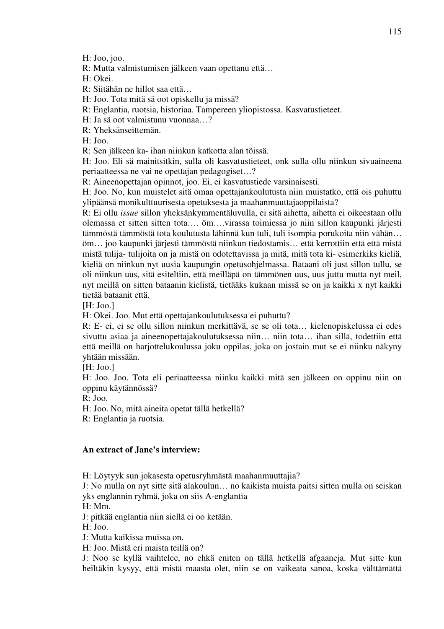H: Joo, joo.

R: Mutta valmistumisen jälkeen vaan opettanu että…

H: Okei.

R: Siitähän ne hillot saa että…

H: Joo. Tota mitä sä oot opiskellu ja missä?

R: Englantia, ruotsia, historiaa. Tampereen yliopistossa. Kasvatustieteet.

H: Ja sä oot valmistunu vuonnaa…?

R: Yheksänseittemän.

H: Joo.

R: Sen jälkeen ka- ihan niinkun katkotta alan töissä.

H: Joo. Eli sä mainitsitkin, sulla oli kasvatustieteet, onk sulla ollu niinkun sivuaineena periaatteessa ne vai ne opettajan pedagogiset…?

R: Aineenopettajan opinnot, joo. Ei, ei kasvatustiede varsinaisesti.

H: Joo. No, kun muistelet sitä omaa opettajankoulutusta niin muistatko, että ois puhuttu ylipäänsä monikulttuurisesta opetuksesta ja maahanmuuttajaoppilaista?

R: Ei ollu *issue* sillon yheksänkymmentäluvulla, ei sitä aihetta, aihetta ei oikeestaan ollu olemassa et sitten sitten tota…. öm….virassa toimiessa jo niin sillon kaupunki järjesti tämmöstä tämmöstä tota koulutusta lähinnä kun tuli, tuli isompia porukoita niin vähän… öm… joo kaupunki järjesti tämmöstä niinkun tiedostamis… että kerrottiin että että mistä mistä tulija- tulijoita on ja mistä on odotettavissa ja mitä, mitä tota ki- esimerkiks kieliä, kieliä on niinkun nyt uusia kaupungin opetusohjelmassa. Bataani oli just sillon tullu, se oli niinkun uus, sitä esiteltiin, että meilläpä on tämmönen uus, uus juttu mutta nyt meil, nyt meillä on sitten bataanin kielistä, tietääks kukaan missä se on ja kaikki x nyt kaikki tietää bataanit että.

[H: Joo.]

H: Okei. Joo. Mut että opettajankoulutuksessa ei puhuttu?

R: E- ei, ei se ollu sillon niinkun merkittävä, se se oli tota… kielenopiskelussa ei edes sivuttu asiaa ja aineenopettajakoulutuksessa niin… niin tota… ihan sillä, todettiin että että meillä on harjottelukoulussa joku oppilas, joka on jostain mut se ei niinku näkyny yhtään missään.

 $[H: Joo.]$ 

H: Joo. Joo. Tota eli periaatteessa niinku kaikki mitä sen jälkeen on oppinu niin on oppinu käytännössä?

R: Joo.

H: Joo. No, mitä aineita opetat tällä hetkellä?

R: Englantia ja ruotsia.

#### **An extract of Jane's interview:**

H: Löytyyk sun jokasesta opetusryhmästä maahanmuuttajia?

J: No mulla on nyt sitte sitä alakoulun… no kaikista muista paitsi sitten mulla on seiskan yks englannin ryhmä, joka on siis A-englantia

H: Mm.

J: pitkää englantia niin siellä ei oo ketään.

H: Joo.

J: Mutta kaikissa muissa on.

H: Joo. Mistä eri maista teillä on?

J: Noo se kyllä vaihtelee, no ehkä eniten on tällä hetkellä afgaaneja. Mut sitte kun heiltäkin kysyy, että mistä maasta olet, niin se on vaikeata sanoa, koska välttämättä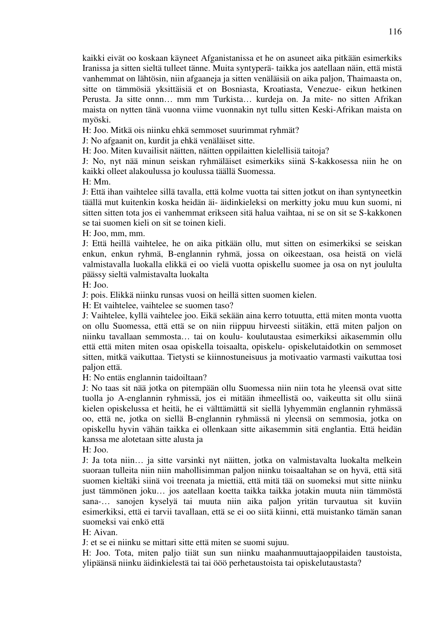kaikki eivät oo koskaan käyneet Afganistanissa et he on asuneet aika pitkään esimerkiks Iranissa ja sitten sieltä tulleet tänne. Muita syntyperä- taikka jos aatellaan näin, että mistä vanhemmat on lähtösin, niin afgaaneja ja sitten venäläisiä on aika paljon, Thaimaasta on, sitte on tämmösiä yksittäisiä et on Bosniasta, Kroatiasta, Venezue- eikun hetkinen Perusta. Ja sitte onnn… mm mm Turkista… kurdeja on. Ja mite- no sitten Afrikan maista on nytten tänä vuonna viime vuonnakin nyt tullu sitten Keski-Afrikan maista on myöski.

H: Joo. Mitkä ois niinku ehkä semmoset suurimmat ryhmät?

J: No afgaanit on, kurdit ja ehkä venäläiset sitte.

H: Joo. Miten kuvailisit näitten, näitten oppilaitten kielellisiä taitoja?

J: No, nyt nää minun seiskan ryhmäläiset esimerkiks siinä S-kakkosessa niin he on kaikki olleet alakoulussa jo koulussa täällä Suomessa.

H: Mm.

J: Että ihan vaihtelee sillä tavalla, että kolme vuotta tai sitten jotkut on ihan syntyneetkin täällä mut kuitenkin koska heidän äi- äidinkieleksi on merkitty joku muu kun suomi, ni sitten sitten tota jos ei vanhemmat erikseen sitä halua vaihtaa, ni se on sit se S-kakkonen se tai suomen kieli on sit se toinen kieli.

H: Joo, mm, mm.

J: Että heillä vaihtelee, he on aika pitkään ollu, mut sitten on esimerkiksi se seiskan enkun, enkun ryhmä, B-englannin ryhmä, jossa on oikeestaan, osa heistä on vielä valmistavalla luokalla elikkä ei oo vielä vuotta opiskellu suomee ja osa on nyt joululta päässy sieltä valmistavalta luokalta

H: Joo.

J: pois. Elikkä niinku runsas vuosi on heillä sitten suomen kielen.

H: Et vaihtelee, vaihtelee se suomen taso?

J: Vaihtelee, kyllä vaihtelee joo. Eikä sekään aina kerro totuutta, että miten monta vuotta on ollu Suomessa, että että se on niin riippuu hirveesti siitäkin, että miten paljon on niinku tavallaan semmosta… tai on koulu- koulutaustaa esimerkiksi aikasemmin ollu että että miten miten osaa opiskella toisaalta, opiskelu- opiskelutaidotkin on semmoset sitten, mitkä vaikuttaa. Tietysti se kiinnostuneisuus ja motivaatio varmasti vaikuttaa tosi paljon että.

H: No entäs englannin taidoiltaan?

J: No taas sit nää jotka on pitempään ollu Suomessa niin niin tota he yleensä ovat sitte tuolla jo A-englannin ryhmissä, jos ei mitään ihmeellistä oo, vaikeutta sit ollu siinä kielen opiskelussa et heitä, he ei välttämättä sit siellä lyhyemmän englannin ryhmässä oo, että ne, jotka on siellä B-englannin ryhmässä ni yleensä on semmosia, jotka on opiskellu hyvin vähän taikka ei ollenkaan sitte aikasemmin sitä englantia. Että heidän kanssa me alotetaan sitte alusta ja

H: Joo.

J: Ja tota niin… ja sitte varsinki nyt näitten, jotka on valmistavalta luokalta melkein suoraan tulleita niin niin mahollisimman paljon niinku toisaaltahan se on hyvä, että sitä suomen kieltäki siinä voi treenata ja miettiä, että mitä tää on suomeksi mut sitte niinku just tämmönen joku… jos aatellaan koetta taikka taikka jotakin muuta niin tämmöstä sana-… sanojen kyselyä tai muuta niin aika paljon yritän turvautua sit kuviin esimerkiksi, että ei tarvii tavallaan, että se ei oo siitä kiinni, että muistanko tämän sanan suomeksi vai enkö että

H: Aivan.

J: et se ei niinku se mittari sitte että miten se suomi sujuu.

H: Joo. Tota, miten paljo tiiät sun sun niinku maahanmuuttajaoppilaiden taustoista, ylipäänsä niinku äidinkielestä tai tai ööö perhetaustoista tai opiskelutaustasta?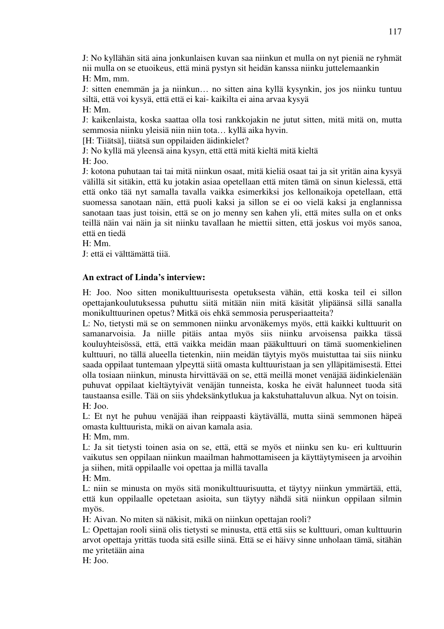J: No kyllähän sitä aina jonkunlaisen kuvan saa niinkun et mulla on nyt pieniä ne ryhmät nii mulla on se etuoikeus, että minä pystyn sit heidän kanssa niinku juttelemaankin H: Mm, mm.

J: sitten enemmän ja ja niinkun… no sitten aina kyllä kysynkin, jos jos niinku tuntuu siltä, että voi kysyä, että että ei kai- kaikilta ei aina arvaa kysyä H: Mm.

J: kaikenlaista, koska saattaa olla tosi rankkojakin ne jutut sitten, mitä mitä on, mutta semmosia niinku yleisiä niin niin tota… kyllä aika hyvin.

[H: Tiiätsä], tiiätsä sun oppilaiden äidinkielet?

J: No kyllä mä yleensä aina kysyn, että että mitä kieltä mitä kieltä

H: Joo.

J: kotona puhutaan tai tai mitä niinkun osaat, mitä kieliä osaat tai ja sit yritän aina kysyä välillä sit sitäkin, että ku jotakin asiaa opetellaan että miten tämä on sinun kielessä, että että onko tää nyt samalla tavalla vaikka esimerkiksi jos kellonaikoja opetellaan, että suomessa sanotaan näin, että puoli kaksi ja sillon se ei oo vielä kaksi ja englannissa sanotaan taas just toisin, että se on jo menny sen kahen yli, että mites sulla on et onks teillä näin vai näin ja sit niinku tavallaan he miettii sitten, että joskus voi myös sanoa, että en tiedä

H: Mm.

J: että ei välttämättä tiiä.

#### **An extract of Linda's interview:**

H: Joo. Noo sitten monikulttuurisesta opetuksesta vähän, että koska teil ei sillon opettajankoulutuksessa puhuttu siitä mitään niin mitä käsität ylipäänsä sillä sanalla monikulttuurinen opetus? Mitkä ois ehkä semmosia perusperiaatteita?

L: No, tietysti mä se on semmonen niinku arvonäkemys myös, että kaikki kulttuurit on samanarvoisia. Ja niille pitäis antaa myös siis niinku arvoisensa paikka tässä kouluyhteisössä, että, että vaikka meidän maan pääkulttuuri on tämä suomenkielinen kulttuuri, no tällä alueella tietenkin, niin meidän täytyis myös muistuttaa tai siis niinku saada oppilaat tuntemaan ylpeyttä siitä omasta kulttuuristaan ja sen ylläpitämisestä. Ettei olla tosiaan niinkun, minusta hirvittävää on se, että meillä monet venäjää äidinkielenään puhuvat oppilaat kieltäytyivät venäjän tunneista, koska he eivät halunneet tuoda sitä taustaansa esille. Tää on siis yhdeksänkytlukua ja kakstuhattaluvun alkua. Nyt on toisin. H: Joo.

L: Et nyt he puhuu venäjää ihan reippaasti käytävällä, mutta siinä semmonen häpeä omasta kulttuurista, mikä on aivan kamala asia.

H: Mm, mm.

L: Ja sit tietysti toinen asia on se, että, että se myös et niinku sen ku- eri kulttuurin vaikutus sen oppilaan niinkun maailman hahmottamiseen ja käyttäytymiseen ja arvoihin ja siihen, mitä oppilaalle voi opettaa ja millä tavalla

H: Mm.

L: niin se minusta on myös sitä monikulttuurisuutta, et täytyy niinkun ymmärtää, että, että kun oppilaalle opetetaan asioita, sun täytyy nähdä sitä niinkun oppilaan silmin myös.

H: Aivan. No miten sä näkisit, mikä on niinkun opettajan rooli?

L: Opettajan rooli siinä olis tietysti se minusta, että että siis se kulttuuri, oman kulttuurin arvot opettaja yrittäs tuoda sitä esille siinä. Että se ei häivy sinne unholaan tämä, sitähän me yritetään aina

H: Joo.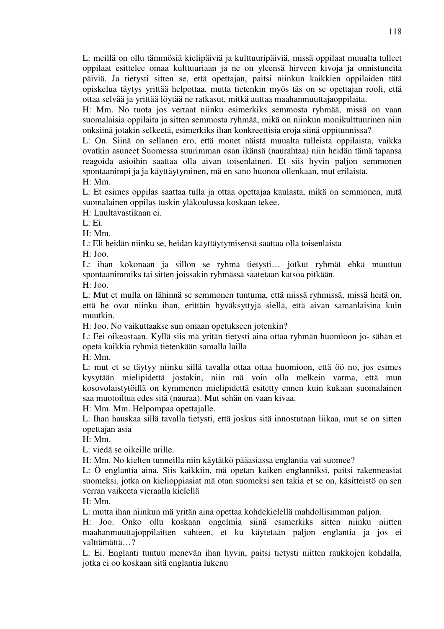L: meillä on ollu tämmösiä kielipäiviä ja kulttuuripäiviä, missä oppilaat muualta tulleet oppilaat esittelee omaa kulttuuriaan ja ne on yleensä hirveen kivoja ja onnistuneita päiviä. Ja tietysti sitten se, että opettajan, paitsi niinkun kaikkien oppilaiden tätä opiskelua täytys yrittää helpottaa, mutta tietenkin myös täs on se opettajan rooli, että ottaa selvää ja yrittää löytää ne ratkasut, mitkä auttaa maahanmuuttajaoppilaita.

H: Mm. No tuota jos vertaat niinku esimerkiks semmosta ryhmää, missä on vaan suomalaisia oppilaita ja sitten semmosta ryhmää, mikä on niinkun monikulttuurinen niin onksiinä jotakin selkeetä, esimerkiks ihan konkreettisia eroja siinä oppitunnissa?

L: On. Siinä on sellanen ero, että monet näistä muualta tulleista oppilaista, vaikka ovatkin asuneet Suomessa suurimman osan ikänsä (naurahtaa) niin heidän tämä tapansa reagoida asioihin saattaa olla aivan toisenlainen. Et siis hyvin paljon semmonen spontaanimpi ja ja käyttäytyminen, mä en sano huonoa ollenkaan, mut erilaista.

H: Mm.

L: Et esimes oppilas saattaa tulla ja ottaa opettajaa kaulasta, mikä on semmonen, mitä suomalainen oppilas tuskin yläkoulussa koskaan tekee.

H: Luultavastikaan ei.

 $L:$  Ei.

H: Mm.

L: Eli heidän niinku se, heidän käyttäytymisensä saattaa olla toisenlaista

H: Joo.

L: ihan kokonaan ja sillon se ryhmä tietysti… jotkut ryhmät ehkä muuttuu spontaanimmiks tai sitten joissakin ryhmässä saatetaan katsoa pitkään.

H: Joo.

L: Mut et mulla on lähinnä se semmonen tuntuma, että niissä ryhmissä, missä heitä on, että he ovat niinku ihan, erittäin hyväksyttyjä siellä, että aivan samanlaisina kuin muutkin.

H: Joo. No vaikuttaakse sun omaan opetukseen jotenkin?

L: Eei oikeastaan. Kyllä siis mä yritän tietysti aina ottaa ryhmän huomioon jo- sähän et opeta kaikkia ryhmiä tietenkään samalla lailla

H: Mm.

L: mut et se täytyy niinku sillä tavalla ottaa ottaa huomioon, että öö no, jos esimes kysytään mielipidettä jostakin, niin mä voin olla melkein varma, että mun kosovolaistytöillä on kymmenen mielipidettä esitetty ennen kuin kukaan suomalainen saa muotoiltua edes sitä (nauraa). Mut sehän on vaan kivaa.

H: Mm. Mm. Helpompaa opettajalle.

L: Ihan hauskaa sillä tavalla tietysti, että joskus sitä innostutaan liikaa, mut se on sitten opettajan asia

H: Mm.

L: viedä se oikeille urille.

H: Mm. No kielten tunneilla niin käytätkö pääasiassa englantia vai suomee?

L: Ö englantia aina. Siis kaikkiin, mä opetan kaiken englanniksi, paitsi rakenneasiat suomeksi, jotka on kielioppiasiat mä otan suomeksi sen takia et se on, käsitteistö on sen verran vaikeeta vieraalla kielellä

H: Mm.

L: mutta ihan niinkun mä yritän aina opettaa kohdekielellä mahdollisimman paljon.

H: Joo. Onko ollu koskaan ongelmia siinä esimerkiks sitten niinku niitten maahanmuuttajoppilaitten suhteen, et ku käytetään paljon englantia ja jos ei välttämättä…?

L: Ei. Englanti tuntuu menevän ihan hyvin, paitsi tietysti niitten raukkojen kohdalla, jotka ei oo koskaan sitä englantia lukenu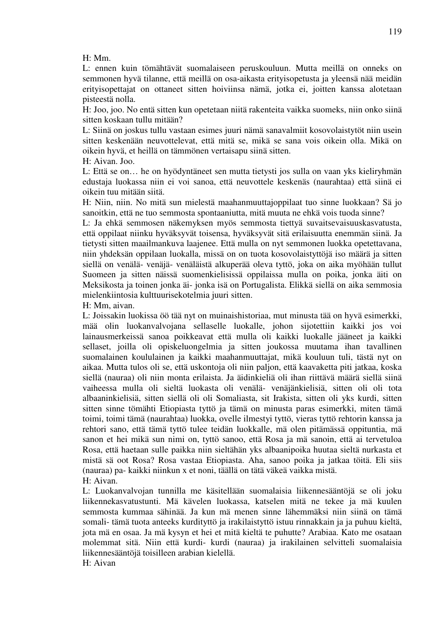H: Mm.

L: ennen kuin tömähtävät suomalaiseen peruskouluun. Mutta meillä on onneks on semmonen hyvä tilanne, että meillä on osa-aikasta erityisopetusta ja yleensä nää meidän erityisopettajat on ottaneet sitten hoiviinsa nämä, jotka ei, joitten kanssa alotetaan pisteestä nolla.

H: Joo, joo. No entä sitten kun opetetaan niitä rakenteita vaikka suomeks, niin onko siinä sitten koskaan tullu mitään?

L: Siinä on joskus tullu vastaan esimes juuri nämä sanavalmiit kosovolaistytöt niin usein sitten keskenään neuvottelevat, että mitä se, mikä se sana vois oikein olla. Mikä on oikein hyvä, et heillä on tämmönen vertaisapu siinä sitten.

H: Aivan. Joo.

L: Että se on… he on hyödyntäneet sen mutta tietysti jos sulla on vaan yks kieliryhmän edustaja luokassa niin ei voi sanoa, että neuvottele keskenäs (naurahtaa) että siinä ei oikein tuu mitään siitä.

H: Niin, niin. No mitä sun mielestä maahanmuuttajoppilaat tuo sinne luokkaan? Sä jo sanoitkin, että ne tuo semmosta spontaaniutta, mitä muuta ne ehkä vois tuoda sinne?

L: Ja ehkä semmosen näkemyksen myös semmosta tiettyä suvaitsevaisuuskasvatusta, että oppilaat niinku hyväksyvät toisensa, hyväksyvät sitä erilaisuutta enemmän siinä. Ja tietysti sitten maailmankuva laajenee. Että mulla on nyt semmonen luokka opetettavana, niin yhdeksän oppilaan luokalla, missä on on tuota kosovolaistyttöjä iso määrä ja sitten siellä on venälä- venäjä- venäläistä alkuperää oleva tyttö, joka on aika myöhään tullut Suomeen ja sitten näissä suomenkielisissä oppilaissa mulla on poika, jonka äiti on Meksikosta ja toinen jonka äi- jonka isä on Portugalista. Elikkä siellä on aika semmosia mielenkiintosia kulttuurisekotelmia juuri sitten.

H: Mm, aivan.

L: Joissakin luokissa öö tää nyt on muinaishistoriaa, mut minusta tää on hyvä esimerkki, mää olin luokanvalvojana sellaselle luokalle, johon sijotettiin kaikki jos voi lainausmerkeissä sanoa poikkeavat että mulla oli kaikki luokalle jääneet ja kaikki sellaset, joilla oli opiskeluongelmia ja sitten joukossa muutama ihan tavallinen suomalainen koululainen ja kaikki maahanmuuttajat, mikä kouluun tuli, tästä nyt on aikaa. Mutta tulos oli se, että uskontoja oli niin paljon, että kaavaketta piti jatkaa, koska siellä (nauraa) oli niin monta erilaista. Ja äidinkieliä oli ihan riittävä määrä siellä siinä vaiheessa mulla oli sieltä luokasta oli venälä- venäjänkielisiä, sitten oli oli tota albaaninkielisiä, sitten siellä oli oli Somaliasta, sit Irakista, sitten oli yks kurdi, sitten sitten sinne tömähti Etiopiasta tyttö ja tämä on minusta paras esimerkki, miten tämä toimi, toimi tämä (naurahtaa) luokka, ovelle ilmestyi tyttö, vieras tyttö rehtorin kanssa ja rehtori sano, että tämä tyttö tulee teidän luokkalle, mä olen pitämässä oppituntia, mä sanon et hei mikä sun nimi on, tyttö sanoo, että Rosa ja mä sanoin, että ai tervetuloa Rosa, että haetaan sulle paikka niin sieltähän yks albaanipoika huutaa sieltä nurkasta et mistä sä oot Rosa? Rosa vastaa Etiopiasta. Aha, sanoo poika ja jatkaa töitä. Eli siis (nauraa) pa- kaikki niinkun x et noni, täällä on tätä väkeä vaikka mistä. H: Aivan.

L: Luokanvalvojan tunnilla me käsitellään suomalaisia liikennesääntöjä se oli joku liikennekasvatustunti. Mä kävelen luokassa, katselen mitä ne tekee ja mä kuulen semmosta kummaa sähinää. Ja kun mä menen sinne lähemmäksi niin siinä on tämä somali- tämä tuota anteeks kurdityttö ja irakilaistyttö istuu rinnakkain ja ja puhuu kieltä, jota mä en osaa. Ja mä kysyn et hei et mitä kieltä te puhutte? Arabiaa. Kato me osataan molemmat sitä. Niin että kurdi- kurdi (nauraa) ja irakilainen selvitteli suomalaisia liikennesääntöjä toisilleen arabian kielellä.

H: Aivan